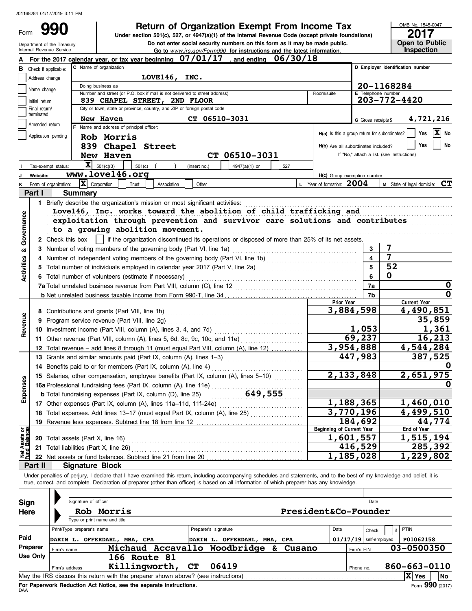Department of the Treasury

Form 990

## **Return of Organization Exempt From Income Tax**

Do not enter social security numbers on this form as it may be made public. **Under section 501(c), 527, or 4947(a)(1) of the Internal Revenue Code (except private foundations)** OMB No. 1545-0047

| ZU I 7                |  |
|-----------------------|--|
| <b>Open to Public</b> |  |
| Inspection            |  |

|                                |                               | Internal Revenue Service                                                                                                                                                                                                                                                                                                 |                                                                             |        |               |                      | Go to www.irs.gov/Form990 for instructions and the latest information. |          |                                  |                                                 |                    | <b>Inspection</b>                      |
|--------------------------------|-------------------------------|--------------------------------------------------------------------------------------------------------------------------------------------------------------------------------------------------------------------------------------------------------------------------------------------------------------------------|-----------------------------------------------------------------------------|--------|---------------|----------------------|------------------------------------------------------------------------|----------|----------------------------------|-------------------------------------------------|--------------------|----------------------------------------|
|                                |                               | For the 2017 calendar year, or tax year beginning 07/01/17                                                                                                                                                                                                                                                               |                                                                             |        |               |                      | , and ending                                                           | 06/30/18 |                                  |                                                 |                    |                                        |
|                                | <b>B</b> Check if applicable: |                                                                                                                                                                                                                                                                                                                          | C Name of organization                                                      |        |               |                      |                                                                        |          |                                  |                                                 |                    | D Employer identification number       |
|                                | Address change                |                                                                                                                                                                                                                                                                                                                          |                                                                             |        | LOVE146, INC. |                      |                                                                        |          |                                  |                                                 |                    |                                        |
|                                |                               |                                                                                                                                                                                                                                                                                                                          | Doing business as                                                           |        |               |                      |                                                                        |          |                                  |                                                 | 20-1168284         |                                        |
|                                | Name change                   |                                                                                                                                                                                                                                                                                                                          | Number and street (or P.O. box if mail is not delivered to street address)  |        |               |                      |                                                                        |          | Room/suite                       |                                                 | E Telephone number |                                        |
|                                | Initial return                |                                                                                                                                                                                                                                                                                                                          | 839 CHAPEL STREET, 2ND FLOOR                                                |        |               |                      |                                                                        |          |                                  |                                                 | 203-772-4420       |                                        |
|                                | Final return/                 |                                                                                                                                                                                                                                                                                                                          | City or town, state or province, country, and ZIP or foreign postal code    |        |               |                      |                                                                        |          |                                  |                                                 |                    |                                        |
|                                | terminated                    |                                                                                                                                                                                                                                                                                                                          | New Haven                                                                   |        |               |                      | CT 06510-3031                                                          |          |                                  | G Gross receipts \$                             |                    | 4,721,216                              |
|                                | Amended return                |                                                                                                                                                                                                                                                                                                                          | F Name and address of principal officer:                                    |        |               |                      |                                                                        |          |                                  |                                                 |                    |                                        |
|                                |                               | Application pending                                                                                                                                                                                                                                                                                                      |                                                                             |        |               |                      |                                                                        |          |                                  | $H(a)$ is this a group return for subordinates? |                    | $\mathbf{X}$ No<br>Yes                 |
|                                |                               |                                                                                                                                                                                                                                                                                                                          | Rob Morris                                                                  |        |               |                      |                                                                        |          |                                  |                                                 |                    | No                                     |
|                                |                               |                                                                                                                                                                                                                                                                                                                          | 839 Chapel Street                                                           |        |               |                      |                                                                        |          |                                  | H(b) Are all subordinates included?             |                    | Yes                                    |
|                                |                               |                                                                                                                                                                                                                                                                                                                          | New Haven                                                                   |        |               |                      | CT 06510-3031                                                          |          |                                  | If "No," attach a list. (see instructions)      |                    |                                        |
|                                |                               | Tax-exempt status:                                                                                                                                                                                                                                                                                                       | $\overline{\mathbf{X}}$ 501(c)(3)                                           | 501(c) |               | (insert no.)         | 4947(a)(1) or                                                          | 527      |                                  |                                                 |                    |                                        |
|                                | Website:                      |                                                                                                                                                                                                                                                                                                                          | www.love146.org                                                             |        |               |                      |                                                                        |          |                                  | H(c) Group exemption number                     |                    |                                        |
| κ                              |                               | Form of organization:                                                                                                                                                                                                                                                                                                    | $ \mathbf{X} $ Corporation                                                  | Trust  | Association   | Other                |                                                                        |          | L Year of formation: 2004        |                                                 |                    | <b>M</b> State of legal domicile: $CT$ |
|                                | Part I                        | <b>Summary</b>                                                                                                                                                                                                                                                                                                           |                                                                             |        |               |                      |                                                                        |          |                                  |                                                 |                    |                                        |
|                                |                               |                                                                                                                                                                                                                                                                                                                          |                                                                             |        |               |                      |                                                                        |          |                                  |                                                 |                    |                                        |
|                                |                               |                                                                                                                                                                                                                                                                                                                          |                                                                             |        |               |                      |                                                                        |          |                                  |                                                 |                    |                                        |
|                                |                               |                                                                                                                                                                                                                                                                                                                          | Love146, Inc. works toward the abolition of child trafficking and           |        |               |                      |                                                                        |          |                                  |                                                 |                    |                                        |
|                                |                               |                                                                                                                                                                                                                                                                                                                          | exploitation through prevention and survivor care solutions and contributes |        |               |                      |                                                                        |          |                                  |                                                 |                    |                                        |
| Governance                     |                               |                                                                                                                                                                                                                                                                                                                          | to a growing abolition movement.                                            |        |               |                      |                                                                        |          |                                  |                                                 |                    |                                        |
|                                |                               | 2 Check this box     if the organization discontinued its operations or disposed of more than 25% of its net assets.                                                                                                                                                                                                     |                                                                             |        |               |                      |                                                                        |          |                                  |                                                 |                    |                                        |
| త                              |                               |                                                                                                                                                                                                                                                                                                                          |                                                                             |        |               |                      |                                                                        |          |                                  | 3                                               |                    |                                        |
|                                |                               | 4 Number of independent voting members of the governing body (Part VI, line 1b) [11] [11] Number of independent voting members of the governing body (Part VI, line 1b)                                                                                                                                                  |                                                                             |        |               |                      |                                                                        |          |                                  |                                                 | 7                  |                                        |
|                                |                               |                                                                                                                                                                                                                                                                                                                          |                                                                             |        |               |                      |                                                                        |          |                                  | 5                                               | 52                 |                                        |
| Activities                     |                               |                                                                                                                                                                                                                                                                                                                          |                                                                             |        |               |                      |                                                                        |          |                                  |                                                 | $\mathbf 0$        |                                        |
|                                |                               | 6 Total number of volunteers (estimate if necessary)                                                                                                                                                                                                                                                                     |                                                                             |        |               |                      |                                                                        |          |                                  | 6                                               |                    |                                        |
|                                |                               |                                                                                                                                                                                                                                                                                                                          |                                                                             |        |               |                      |                                                                        |          |                                  | 7a                                              |                    | 0                                      |
|                                |                               |                                                                                                                                                                                                                                                                                                                          |                                                                             |        |               |                      |                                                                        |          |                                  | 7b                                              |                    | 0                                      |
|                                |                               |                                                                                                                                                                                                                                                                                                                          |                                                                             |        |               |                      |                                                                        |          | Prior Year                       |                                                 |                    | <b>Current Year</b>                    |
|                                |                               |                                                                                                                                                                                                                                                                                                                          |                                                                             |        |               |                      |                                                                        |          |                                  | 3,884,598                                       |                    | 4,490,851                              |
|                                |                               | 9 Program service revenue (Part VIII, line 2g)                                                                                                                                                                                                                                                                           |                                                                             |        |               |                      |                                                                        |          |                                  |                                                 |                    | 35,859                                 |
| Revenue                        |                               |                                                                                                                                                                                                                                                                                                                          |                                                                             |        |               |                      |                                                                        |          |                                  | 1,053                                           |                    | 1,361                                  |
|                                |                               | 11 Other revenue (Part VIII, column (A), lines 5, 6d, 8c, 9c, 10c, and 11e)                                                                                                                                                                                                                                              |                                                                             |        |               |                      |                                                                        |          |                                  | 69,237                                          |                    | 16,213                                 |
|                                |                               | 12 Total revenue - add lines 8 through 11 (must equal Part VIII, column (A), line 12)                                                                                                                                                                                                                                    |                                                                             |        |               |                      |                                                                        |          |                                  | 3,954,888                                       |                    | 4,544,284                              |
|                                |                               | 13 Grants and similar amounts paid (Part IX, column (A), lines 1-3) [11, 12, 13, 13, 13, 13, 13, 13, 13, 13, 1                                                                                                                                                                                                           |                                                                             |        |               |                      |                                                                        |          |                                  | 447,983                                         |                    | 387,525                                |
|                                |                               |                                                                                                                                                                                                                                                                                                                          |                                                                             |        |               |                      |                                                                        |          |                                  |                                                 |                    |                                        |
|                                |                               | 14 Benefits paid to or for members (Part IX, column (A), line 4)                                                                                                                                                                                                                                                         |                                                                             |        |               |                      |                                                                        |          |                                  |                                                 |                    |                                        |
|                                |                               | 15 Salaries, other compensation, employee benefits (Part IX, column (A), lines 5-10)                                                                                                                                                                                                                                     |                                                                             |        |               |                      |                                                                        |          |                                  | 2, 133, 848                                     |                    | 2,651,975                              |
| enses                          |                               | 15 Salaries, other components, $\frac{1}{2}$ , $\frac{1}{2}$<br>16a Professional fundraising fees (Part IX, column (A), line 11e)<br>$\frac{(0.4 \text{ N})}{2}$ column (D), line 25                                                                                                                                     |                                                                             |        |               |                      |                                                                        |          |                                  |                                                 |                    |                                        |
| 정                              |                               |                                                                                                                                                                                                                                                                                                                          |                                                                             |        |               |                      |                                                                        |          |                                  |                                                 |                    |                                        |
|                                |                               | 17 Other expenses (Part IX, column (A), lines 11a-11d, 11f-24e)                                                                                                                                                                                                                                                          |                                                                             |        |               |                      |                                                                        |          |                                  | 1,188,365                                       |                    | 1,460,010                              |
|                                |                               | 18 Total expenses. Add lines 13-17 (must equal Part IX, column (A), line 25)                                                                                                                                                                                                                                             |                                                                             |        |               |                      |                                                                        |          |                                  | 3,770,196                                       |                    | 4,499,510                              |
|                                |                               | 19 Revenue less expenses. Subtract line 18 from line 12                                                                                                                                                                                                                                                                  |                                                                             |        |               |                      |                                                                        |          |                                  | 184,692                                         |                    | 44,774                                 |
|                                |                               |                                                                                                                                                                                                                                                                                                                          |                                                                             |        |               |                      |                                                                        |          | <b>Beginning of Current Year</b> |                                                 |                    | End of Year                            |
| Net Assets or<br>Fund Balances |                               | 20 Total assets (Part X, line 16) Mathematical and Contact the Contact of Total assets (Part X, line 16)                                                                                                                                                                                                                 |                                                                             |        |               |                      |                                                                        |          |                                  | 1,601,557                                       |                    | 1,515,194                              |
|                                |                               | 21 Total liabilities (Part X, line 26)                                                                                                                                                                                                                                                                                   |                                                                             |        |               |                      |                                                                        |          |                                  | 416,529                                         |                    | 285,392                                |
|                                |                               | 22 Net assets or fund balances. Subtract line 21 from line 20                                                                                                                                                                                                                                                            |                                                                             |        |               |                      |                                                                        |          |                                  | 1,185,028                                       |                    | 1,229,802                              |
|                                | Part II                       |                                                                                                                                                                                                                                                                                                                          | <b>Signature Block</b>                                                      |        |               |                      |                                                                        |          |                                  |                                                 |                    |                                        |
|                                |                               |                                                                                                                                                                                                                                                                                                                          |                                                                             |        |               |                      |                                                                        |          |                                  |                                                 |                    |                                        |
|                                |                               | Under penalties of perjury, I declare that I have examined this return, including accompanying schedules and statements, and to the best of my knowledge and belief, it is<br>true, correct, and complete. Declaration of preparer (other than officer) is based on all information of which preparer has any knowledge. |                                                                             |        |               |                      |                                                                        |          |                                  |                                                 |                    |                                        |
|                                |                               |                                                                                                                                                                                                                                                                                                                          |                                                                             |        |               |                      |                                                                        |          |                                  |                                                 |                    |                                        |
|                                |                               |                                                                                                                                                                                                                                                                                                                          |                                                                             |        |               |                      |                                                                        |          |                                  |                                                 |                    |                                        |
| <b>Sign</b>                    |                               | Signature of officer                                                                                                                                                                                                                                                                                                     |                                                                             |        |               |                      |                                                                        |          |                                  | Date                                            |                    |                                        |
| Here                           |                               |                                                                                                                                                                                                                                                                                                                          | Rob Morris                                                                  |        |               |                      |                                                                        |          | President&Co-Founder             |                                                 |                    |                                        |
|                                |                               |                                                                                                                                                                                                                                                                                                                          | Type or print name and title                                                |        |               |                      |                                                                        |          |                                  |                                                 |                    |                                        |
|                                |                               | Print/Type preparer's name                                                                                                                                                                                                                                                                                               |                                                                             |        |               | Preparer's signature |                                                                        |          | Date                             | Check                                           |                    | PTIN                                   |
| Paid                           |                               |                                                                                                                                                                                                                                                                                                                          |                                                                             |        |               |                      |                                                                        |          |                                  |                                                 |                    |                                        |
|                                | Preparer                      |                                                                                                                                                                                                                                                                                                                          | DARIN L. OFFERDAHL, MBA, CPA                                                |        |               |                      | DARIN L. OFFERDAHL, MBA, CPA                                           |          |                                  | $01/17/19$ self-employed                        |                    | P01062158                              |
|                                | <b>Use Only</b>               | Firm's name                                                                                                                                                                                                                                                                                                              |                                                                             |        |               |                      | Michaud Accavallo Woodbridge & Cusano                                  |          |                                  | Firm's EIN                                      |                    | 03-0500350                             |
|                                |                               |                                                                                                                                                                                                                                                                                                                          | <b>166 Route 81</b>                                                         |        |               |                      |                                                                        |          |                                  |                                                 |                    |                                        |
|                                |                               | Firm's address                                                                                                                                                                                                                                                                                                           | Killingworth,                                                               |        |               | <b>CT</b>            | 06419                                                                  |          |                                  | Phone no.                                       |                    | 860-663-0110                           |
|                                |                               | May the IRS discuss this return with the preparer shown above? (see instructions)                                                                                                                                                                                                                                        |                                                                             |        |               |                      |                                                                        |          |                                  |                                                 |                    | $ X $ Yes<br>  No                      |

| Sign<br>Here         | Signature of officer<br>Type or print name and title | <b>Rob Morris</b>                                                                 |                |                                             | President&Co-Founder |      | Date                              |                   |
|----------------------|------------------------------------------------------|-----------------------------------------------------------------------------------|----------------|---------------------------------------------|----------------------|------|-----------------------------------|-------------------|
| Paid                 | Print/Type preparer's name<br>DARIN L.               | OFFERDAHL, MBA, CPA                                                               | DARIN L.       | Preparer's signature<br>OFFERDAHL, MBA, CPA |                      | Date | Check<br>$01/17/19$ self-employed | PTIN<br>P01062158 |
| Preparer<br>Use Only | Firm's name                                          | Michaud Accavallo Woodbridge & Cusano                                             |                |                                             |                      |      | Firm's EIN                        | 03-0500350        |
|                      | Firm's address                                       | <b>166 Route 81</b><br>Killingworth,                                              | C <sub>T</sub> | 06419                                       |                      |      | Phone no.                         | 860-663-0110      |
|                      |                                                      | May the IRS discuss this return with the preparer shown above? (see instructions) |                |                                             |                      |      |                                   | l No<br>Yes       |
| <b>DAA</b>           |                                                      | For Paperwork Reduction Act Notice, see the separate instructions.                |                |                                             |                      |      |                                   | Form 990 (2017)   |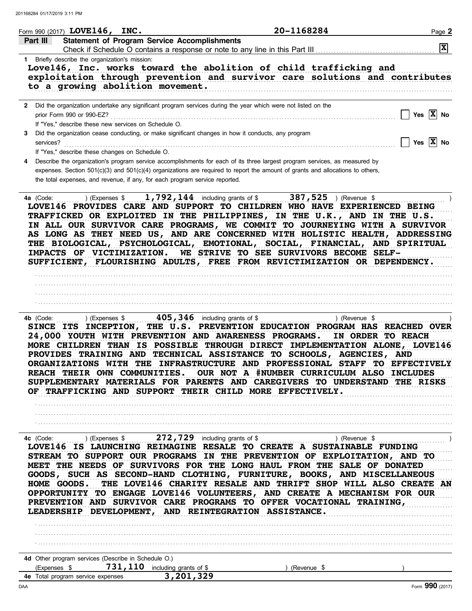|                          | Form 990 (2017) LOVE146, INC.                  |                                                      | 20-1168284                                                                                                                                                                                                                                                                                                                                                                                                                                                                                                                                                                                                                         |                                    | Page 2                  |
|--------------------------|------------------------------------------------|------------------------------------------------------|------------------------------------------------------------------------------------------------------------------------------------------------------------------------------------------------------------------------------------------------------------------------------------------------------------------------------------------------------------------------------------------------------------------------------------------------------------------------------------------------------------------------------------------------------------------------------------------------------------------------------------|------------------------------------|-------------------------|
| Part III                 |                                                |                                                      | <b>Statement of Program Service Accomplishments</b>                                                                                                                                                                                                                                                                                                                                                                                                                                                                                                                                                                                |                                    |                         |
|                          |                                                |                                                      | Check if Schedule O contains a response or note to any line in this Part III                                                                                                                                                                                                                                                                                                                                                                                                                                                                                                                                                       |                                    | $\overline{\mathbf{x}}$ |
|                          | 1 Briefly describe the organization's mission: |                                                      | Love146, Inc. works toward the abolition of child trafficking and                                                                                                                                                                                                                                                                                                                                                                                                                                                                                                                                                                  |                                    |                         |
|                          |                                                | to a growing abolition movement.                     | exploitation through prevention and survivor care solutions and contributes                                                                                                                                                                                                                                                                                                                                                                                                                                                                                                                                                        |                                    |                         |
|                          | prior Form 990 or 990-EZ?                      |                                                      | 2 Did the organization undertake any significant program services during the year which were not listed on the                                                                                                                                                                                                                                                                                                                                                                                                                                                                                                                     |                                    | Yes $ \mathbf{X} $ No   |
|                          |                                                | If "Yes," describe these new services on Schedule O. |                                                                                                                                                                                                                                                                                                                                                                                                                                                                                                                                                                                                                                    |                                    |                         |
| 3<br>services?           |                                                |                                                      | Did the organization cease conducting, or make significant changes in how it conducts, any program                                                                                                                                                                                                                                                                                                                                                                                                                                                                                                                                 |                                    | Yes $\overline{X}$ No   |
|                          |                                                | If "Yes," describe these changes on Schedule O.      |                                                                                                                                                                                                                                                                                                                                                                                                                                                                                                                                                                                                                                    |                                    |                         |
| 4                        |                                                |                                                      | Describe the organization's program service accomplishments for each of its three largest program services, as measured by<br>expenses. Section 501(c)(3) and 501(c)(4) organizations are required to report the amount of grants and allocations to others,<br>the total expenses, and revenue, if any, for each program service reported.                                                                                                                                                                                                                                                                                        |                                    |                         |
|                          |                                                |                                                      | LOVE146 PROVIDES CARE AND SUPPORT TO CHILDREN WHO HAVE EXPERIENCED BEING<br>TRAFFICKED OR EXPLOITED IN THE PHILIPPINES, IN THE U.K., AND IN THE U.S.<br>IN ALL OUR SURVIVOR CARE PROGRAMS, WE COMMIT TO JOURNEYING WITH A SURVIVOR<br>AS LONG AS THEY NEED US, AND ARE CONCERNED WITH HOLISTIC HEALTH, ADDRESSING<br>THE BIOLOGICAL, PSYCHOLOGICAL, EMOTIONAL, SOCIAL, FINANCIAL, AND SPIRITUAL<br>IMPACTS OF VICTIMIZATION. WE STRIVE TO SEE SURVIVORS BECOME SELF-<br>SUFFICIENT, FLOURISHING ADULTS, FREE FROM REVICTIMIZATION OR DEPENDENCY.                                                                                   |                                    |                         |
| 4b (Code:                | ) (Expenses \$                                 |                                                      | $405,346$ including grants of \$<br>SINCE ITS INCEPTION, THE U.S. PREVENTION EDUCATION PROGRAM HAS REACHED OVER<br>24,000 YOUTH WITH PREVENTION AND AWARENESS PROGRAMS.<br>MORE CHILDREN THAN IS POSSIBLE THROUGH DIRECT IMPLEMENTATION ALONE, LOVE146<br>PROVIDES TRAINING AND TECHNICAL ASSISTANCE TO SCHOOLS, AGENCIES, AND<br>ORGANIZATIONS WITH THE INFRASTRUCTURE AND PROFESSIONAL STAFF TO EFFECTIVELY<br>REACH THEIR OWN COMMUNITIES. OUR NOT A #NUMBER CURRICULUM ALSO INCLUDES<br>SUPPLEMENTARY MATERIALS FOR PARENTS AND CAREGIVERS TO UNDERSTAND THE RISKS<br>OF TRAFFICKING AND SUPPORT THEIR CHILD MORE EFFECTIVELY. | ) (Revenue \$<br>IN ORDER TO REACH |                         |
|                          |                                                |                                                      |                                                                                                                                                                                                                                                                                                                                                                                                                                                                                                                                                                                                                                    |                                    |                         |
| 4c (Code:<br>HOME GOODS. | ) (Expenses \$                                 |                                                      | $272,729$ including grants of \$<br>LOVE146 IS LAUNCHING REIMAGINE RESALE TO CREATE A SUSTAINABLE FUNDING<br>STREAM TO SUPPORT OUR PROGRAMS IN THE PREVENTION OF EXPLOITATION, AND TO<br>MEET THE NEEDS OF SURVIVORS FOR THE LONG HAUL FROM THE SALE OF DONATED<br>GOODS, SUCH AS SECOND-HAND CLOTHING, FURNITURE, BOOKS, AND MISCELLANEOUS<br>THE LOVE146 CHARITY RESALE AND THRIFT SHOP WILL ALSO CREATE AN<br>OPPORTUNITY TO ENGAGE LOVE146 VOLUNTEERS, AND CREATE A MECHANISM FOR OUR<br>PREVENTION AND SURVIVOR CARE PROGRAMS TO OFFER VOCATIONAL TRAINING,<br>LEADERSHIP DEVELOPMENT, AND REINTEGRATION ASSISTANCE.          | ) (Revenue \$                      |                         |
|                          |                                                |                                                      |                                                                                                                                                                                                                                                                                                                                                                                                                                                                                                                                                                                                                                    |                                    |                         |
|                          |                                                | 4d Other program services (Describe in Schedule O.)  |                                                                                                                                                                                                                                                                                                                                                                                                                                                                                                                                                                                                                                    |                                    |                         |
| (Expenses \$             | 4e Total program service expenses              |                                                      | 731, 110 including grants of \$<br>) (Revenue $$$<br>3,201,329                                                                                                                                                                                                                                                                                                                                                                                                                                                                                                                                                                     |                                    |                         |
| DAA                      |                                                |                                                      |                                                                                                                                                                                                                                                                                                                                                                                                                                                                                                                                                                                                                                    |                                    | Form 990 (2017)         |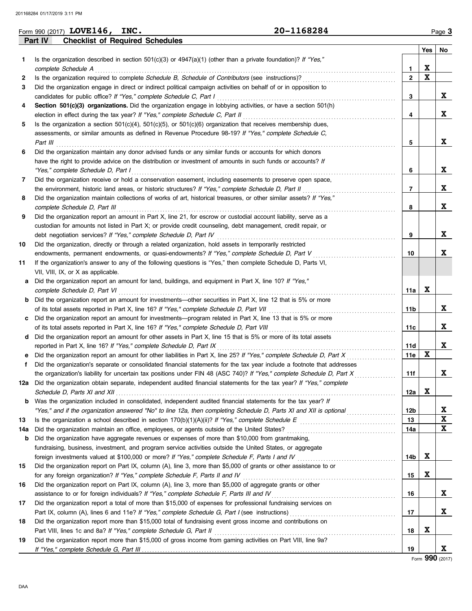|     | 20-1168284<br>Form 990 (2017) LOVE146, INC.                                                                             |                |             | Page 3 |
|-----|-------------------------------------------------------------------------------------------------------------------------|----------------|-------------|--------|
|     | Part IV<br><b>Checklist of Required Schedules</b>                                                                       |                |             |        |
|     |                                                                                                                         |                | Yes         | No     |
| 1.  | Is the organization described in section $501(c)(3)$ or $4947(a)(1)$ (other than a private foundation)? If "Yes,"       |                |             |        |
|     | complete Schedule A                                                                                                     | 1              | X           |        |
| 2   | Is the organization required to complete Schedule B, Schedule of Contributors (see instructions)?                       | $\overline{2}$ | $\mathbf x$ |        |
| 3   | Did the organization engage in direct or indirect political campaign activities on behalf of or in opposition to        |                |             |        |
|     | candidates for public office? If "Yes," complete Schedule C, Part I                                                     | 3              |             | X      |
| 4   | Section 501(c)(3) organizations. Did the organization engage in lobbying activities, or have a section 501(h)           |                |             |        |
|     | election in effect during the tax year? If "Yes," complete Schedule C, Part II                                          | 4              |             | X      |
| 5   | Is the organization a section $501(c)(4)$ , $501(c)(5)$ , or $501(c)(6)$ organization that receives membership dues,    |                |             |        |
|     | assessments, or similar amounts as defined in Revenue Procedure 98-19? If "Yes," complete Schedule C,                   |                |             |        |
|     | Part III                                                                                                                | 5              |             | X      |
| 6   | Did the organization maintain any donor advised funds or any similar funds or accounts for which donors                 |                |             |        |
|     | have the right to provide advice on the distribution or investment of amounts in such funds or accounts? If             |                |             |        |
|     | "Yes," complete Schedule D, Part I                                                                                      | 6              |             | X      |
| 7   | Did the organization receive or hold a conservation easement, including easements to preserve open space,               |                |             |        |
|     | the environment, historic land areas, or historic structures? If "Yes," complete Schedule D, Part II                    | 7              |             | X      |
| 8   | Did the organization maintain collections of works of art, historical treasures, or other similar assets? If "Yes,"     |                |             |        |
|     | complete Schedule D, Part III                                                                                           | 8              |             | X      |
| 9   | Did the organization report an amount in Part X, line 21, for escrow or custodial account liability, serve as a         |                |             |        |
|     | custodian for amounts not listed in Part X; or provide credit counseling, debt management, credit repair, or            |                |             |        |
|     | debt negotiation services? If "Yes," complete Schedule D, Part IV                                                       | 9              |             | X      |
| 10  | Did the organization, directly or through a related organization, hold assets in temporarily restricted                 |                |             |        |
|     | endowments, permanent endowments, or quasi-endowments? If "Yes," complete Schedule D, Part V                            | 10             |             | X      |
| 11  | If the organization's answer to any of the following questions is "Yes," then complete Schedule D, Parts VI,            |                |             |        |
|     | VII, VIII, IX, or X as applicable.                                                                                      |                |             |        |
| а   | Did the organization report an amount for land, buildings, and equipment in Part X, line 10? If "Yes,"                  |                |             |        |
|     | complete Schedule D, Part VI                                                                                            | 11a            | X           |        |
| b   | Did the organization report an amount for investments—other securities in Part X, line 12 that is 5% or more            |                |             |        |
|     | of its total assets reported in Part X, line 16? If "Yes," complete Schedule D, Part VII                                | 11b            |             | X      |
| c   | Did the organization report an amount for investments—program related in Part X, line 13 that is 5% or more             |                |             |        |
|     | of its total assets reported in Part X, line 16? If "Yes," complete Schedule D, Part VIII                               | 11c            |             | X      |
| d   | Did the organization report an amount for other assets in Part X, line 15 that is 5% or more of its total assets        |                |             |        |
|     | reported in Part X, line 16? If "Yes," complete Schedule D, Part IX                                                     | 11d            |             | X      |
| е   | Did the organization report an amount for other liabilities in Part X, line 25? If "Yes," complete Schedule D, Part X   | 11e            | X           |        |
|     | Did the organization's separate or consolidated financial statements for the tax year include a footnote that addresses |                |             |        |
|     | the organization's liability for uncertain tax positions under FIN 48 (ASC 740)? If "Yes," complete Schedule D, Part X  | 11f            |             |        |
|     | 12a Did the organization obtain separate, independent audited financial statements for the tax year? If "Yes," complete |                |             | л      |
|     |                                                                                                                         | 12a            | X           |        |
|     | Was the organization included in consolidated, independent audited financial statements for the tax year? If            |                |             |        |
| b   | "Yes," and if the organization answered "No" to line 12a, then completing Schedule D, Parts XI and XII is optional      | 12b            |             | X      |
|     |                                                                                                                         | 13             |             | X      |
| 13  |                                                                                                                         | 14a            |             | X      |
| 14a | Did the organization maintain an office, employees, or agents outside of the United States?                             |                |             |        |
| b   | Did the organization have aggregate revenues or expenses of more than \$10,000 from grantmaking,                        |                |             |        |
|     | fundraising, business, investment, and program service activities outside the United States, or aggregate               |                | X           |        |
|     | foreign investments valued at \$100,000 or more? If "Yes," complete Schedule F, Parts I and IV [[[[[[[[[[[[[[[          | 14b            |             |        |
| 15  | Did the organization report on Part IX, column (A), line 3, more than \$5,000 of grants or other assistance to or       |                |             |        |
|     | for any foreign organization? If "Yes," complete Schedule F, Parts II and IV                                            | 15             | X           |        |
| 16  | Did the organization report on Part IX, column (A), line 3, more than \$5,000 of aggregate grants or other              |                |             |        |
|     | assistance to or for foreign individuals? If "Yes," complete Schedule F, Parts III and IV                               | 16             |             | X      |
| 17  | Did the organization report a total of more than \$15,000 of expenses for professional fundraising services on          |                |             |        |
|     |                                                                                                                         | 17             |             | X      |
| 18  | Did the organization report more than \$15,000 total of fundraising event gross income and contributions on             |                |             |        |
|     | Part VIII, lines 1c and 8a? If "Yes," complete Schedule G, Part II                                                      | 18             | X           |        |
| 19  | Did the organization report more than \$15,000 of gross income from gaming activities on Part VIII, line 9a?            |                |             |        |
|     | If "Yes," complete Schedule G, Part III.                                                                                | 19             |             | X      |

Form **990** (2017)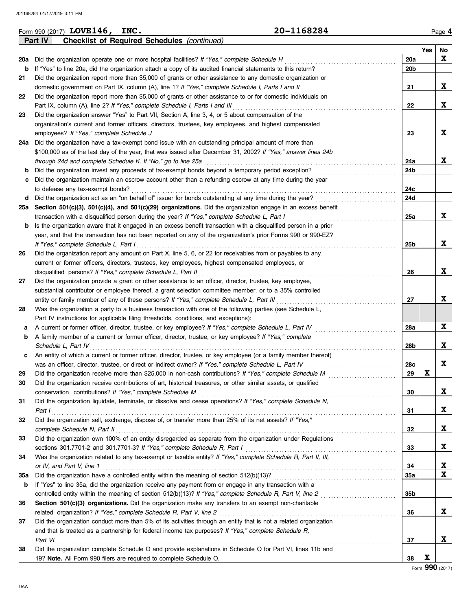|     | Part IV<br><b>Checklist of Required Schedules (continued)</b>                                                         |     |     |                  |
|-----|-----------------------------------------------------------------------------------------------------------------------|-----|-----|------------------|
|     |                                                                                                                       |     | Yes | No               |
| 20a | Did the organization operate one or more hospital facilities? If "Yes," complete Schedule H                           | 20a |     | X                |
| b   | If "Yes" to line 20a, did the organization attach a copy of its audited financial statements to this return?          | 20b |     |                  |
| 21  | Did the organization report more than \$5,000 of grants or other assistance to any domestic organization or           |     |     |                  |
|     | domestic government on Part IX, column (A), line 1? If "Yes," complete Schedule I, Parts I and II                     | 21  |     | X                |
| 22  | Did the organization report more than \$5,000 of grants or other assistance to or for domestic individuals on         |     |     |                  |
|     | Part IX, column (A), line 2? If "Yes," complete Schedule I, Parts I and III                                           | 22  |     | X                |
| 23  | Did the organization answer "Yes" to Part VII, Section A, line 3, 4, or 5 about compensation of the                   |     |     |                  |
|     | organization's current and former officers, directors, trustees, key employees, and highest compensated               |     |     |                  |
|     | employees? If "Yes," complete Schedule J                                                                              | 23  |     | X                |
|     | 24a Did the organization have a tax-exempt bond issue with an outstanding principal amount of more than               |     |     |                  |
|     | \$100,000 as of the last day of the year, that was issued after December 31, 2002? If "Yes," answer lines 24b         |     |     |                  |
|     | through 24d and complete Schedule K. If "No," go to line 25a                                                          | 24a |     | X                |
| b   | Did the organization invest any proceeds of tax-exempt bonds beyond a temporary period exception?                     | 24b |     |                  |
| c   | Did the organization maintain an escrow account other than a refunding escrow at any time during the year             |     |     |                  |
|     | to defease any tax-exempt bonds?                                                                                      | 24c |     |                  |
|     | d Did the organization act as an "on behalf of" issuer for bonds outstanding at any time during the year?             | 24d |     |                  |
|     | 25a Section 501(c)(3), 501(c)(4), and 501(c)(29) organizations. Did the organization engage in an excess benefit      |     |     |                  |
|     | transaction with a disqualified person during the year? If "Yes," complete Schedule L, Part I                         | 25a |     | X                |
| b   | Is the organization aware that it engaged in an excess benefit transaction with a disqualified person in a prior      |     |     |                  |
|     | year, and that the transaction has not been reported on any of the organization's prior Forms 990 or 990-EZ?          |     |     |                  |
|     | If "Yes," complete Schedule L, Part I                                                                                 | 25b |     | X                |
| 26  | Did the organization report any amount on Part X, line 5, 6, or 22 for receivables from or payables to any            |     |     |                  |
|     | current or former officers, directors, trustees, key employees, highest compensated employees, or                     |     |     |                  |
|     | disqualified persons? If "Yes," complete Schedule L, Part II                                                          | 26  |     | X                |
| 27  | Did the organization provide a grant or other assistance to an officer, director, trustee, key employee,              |     |     |                  |
|     | substantial contributor or employee thereof, a grant selection committee member, or to a 35% controlled               |     |     |                  |
|     | entity or family member of any of these persons? If "Yes," complete Schedule L, Part III                              | 27  |     | X                |
| 28  | Was the organization a party to a business transaction with one of the following parties (see Schedule L,             |     |     |                  |
|     | Part IV instructions for applicable filing thresholds, conditions, and exceptions):                                   |     |     |                  |
| а   | A current or former officer, director, trustee, or key employee? If "Yes," complete Schedule L, Part IV               | 28a |     | X                |
| b   | A family member of a current or former officer, director, trustee, or key employee? If "Yes," complete                |     |     |                  |
|     | Schedule L, Part IV                                                                                                   | 28b |     | X                |
| c   | An entity of which a current or former officer, director, trustee, or key employee (or a family member thereof)       |     |     |                  |
|     | was an officer, director, trustee, or direct or indirect owner? If "Yes," complete Schedule L, Part IV                | 28c |     | X                |
| 29  | Did the organization receive more than \$25,000 in non-cash contributions? If "Yes," complete Schedule M              | 29  | X   |                  |
| 30  | Did the organization receive contributions of art, historical treasures, or other similar assets, or qualified        |     |     |                  |
|     | conservation contributions? If "Yes," complete Schedule M                                                             | 30  |     | X                |
| 31  | Did the organization liquidate, terminate, or dissolve and cease operations? If "Yes," complete Schedule N,           |     |     |                  |
|     | Part I                                                                                                                | 31  |     | X                |
| 32  | Did the organization sell, exchange, dispose of, or transfer more than 25% of its net assets? If "Yes,"               |     |     |                  |
|     | complete Schedule N, Part II                                                                                          | 32  |     | X                |
| 33  | Did the organization own 100% of an entity disregarded as separate from the organization under Regulations            |     |     |                  |
|     | sections 301.7701-2 and 301.7701-3? If "Yes," complete Schedule R, Part I                                             | 33  |     | X                |
| 34  | Was the organization related to any tax-exempt or taxable entity? If "Yes," complete Schedule R, Part II, III,        |     |     |                  |
|     | or IV, and Part V, line 1                                                                                             | 34  |     | X<br>$\mathbf x$ |
| 35a |                                                                                                                       | 35a |     |                  |
| b   | If "Yes" to line 35a, did the organization receive any payment from or engage in any transaction with a               |     |     |                  |
|     | controlled entity within the meaning of section 512(b)(13)? If "Yes," complete Schedule R, Part V, line 2             | 35b |     |                  |
| 36  | Section 501(c)(3) organizations. Did the organization make any transfers to an exempt non-charitable                  |     |     |                  |
|     | related organization? If "Yes," complete Schedule R, Part V, line 2                                                   | 36  |     | X                |
| 37  | Did the organization conduct more than 5% of its activities through an entity that is not a related organization      |     |     |                  |
|     | and that is treated as a partnership for federal income tax purposes? If "Yes," complete Schedule R,                  |     |     | X                |
|     | Part VI<br>Did the organization complete Schedule O and provide explanations in Schedule O for Part VI, lines 11b and | 37  |     |                  |
| 38  |                                                                                                                       |     | X   |                  |
|     | 19? Note. All Form 990 filers are required to complete Schedule O.                                                    | 38  |     |                  |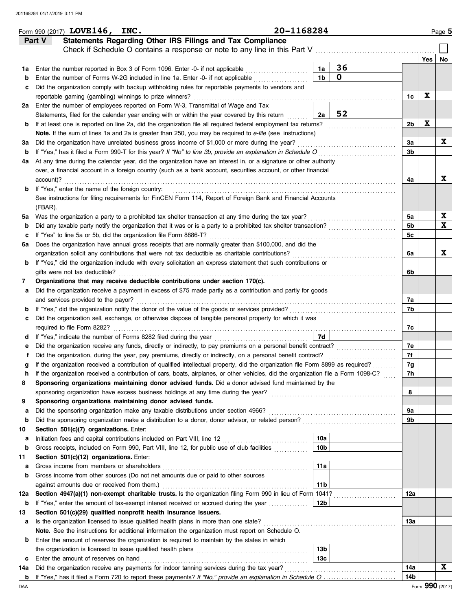|     | Form 990 (2017) LOVE146, INC.                                                                                                                      | 20-1168284      |             |          |     | Page 5      |
|-----|----------------------------------------------------------------------------------------------------------------------------------------------------|-----------------|-------------|----------|-----|-------------|
|     | Statements Regarding Other IRS Filings and Tax Compliance<br>Part V                                                                                |                 |             |          |     |             |
|     | Check if Schedule O contains a response or note to any line in this Part V                                                                         |                 |             |          |     |             |
|     |                                                                                                                                                    |                 |             |          | Yes | <b>No</b>   |
| 1a  | Enter the number reported in Box 3 of Form 1096. Enter -0- if not applicable                                                                       | 1a              | 36          |          |     |             |
| b   | Enter the number of Forms W-2G included in line 1a. Enter -0- if not applicable                                                                    | 1 <sub>b</sub>  | $\mathbf 0$ |          |     |             |
| с   | Did the organization comply with backup withholding rules for reportable payments to vendors and                                                   |                 |             |          |     |             |
|     | reportable gaming (gambling) winnings to prize winners?                                                                                            |                 |             | 1c       | X   |             |
| 2a  | Enter the number of employees reported on Form W-3, Transmittal of Wage and Tax                                                                    |                 |             |          |     |             |
|     | Statements, filed for the calendar year ending with or within the year covered by this return                                                      | 2a              | 52          |          |     |             |
| b   | If at least one is reported on line 2a, did the organization file all required federal employment tax returns?                                     |                 |             | 2b       | X   |             |
|     | Note. If the sum of lines 1a and 2a is greater than 250, you may be required to e-file (see instructions)                                          |                 |             |          |     |             |
| За  | Did the organization have unrelated business gross income of \$1,000 or more during the year?                                                      |                 |             | За       |     | X           |
| b   | If "Yes," has it filed a Form 990-T for this year? If "No" to line 3b, provide an explanation in Schedule O                                        |                 |             | 3b       |     |             |
| 4a  | At any time during the calendar year, did the organization have an interest in, or a signature or other authority                                  |                 |             |          |     |             |
|     | over, a financial account in a foreign country (such as a bank account, securities account, or other financial                                     |                 |             |          |     |             |
|     | account)?                                                                                                                                          |                 |             | 4a       |     | X           |
| b   | If "Yes," enter the name of the foreign country:                                                                                                   |                 |             |          |     |             |
|     | See instructions for filing requirements for FinCEN Form 114, Report of Foreign Bank and Financial Accounts                                        |                 |             |          |     |             |
|     | (FBAR).                                                                                                                                            |                 |             |          |     |             |
| 5а  | Was the organization a party to a prohibited tax shelter transaction at any time during the tax year?                                              |                 |             | 5a       |     | X           |
| b   | Did any taxable party notify the organization that it was or is a party to a prohibited tax shelter transaction?                                   |                 |             | 5b       |     | $\mathbf x$ |
| с   | If "Yes" to line 5a or 5b, did the organization file Form 8886-T?                                                                                  |                 |             | 5c       |     |             |
| 6а  | Does the organization have annual gross receipts that are normally greater than \$100,000, and did the                                             |                 |             |          |     |             |
|     | organization solicit any contributions that were not tax deductible as charitable contributions?                                                   |                 |             | 6а       |     | X           |
| b   | If "Yes," did the organization include with every solicitation an express statement that such contributions or                                     |                 |             |          |     |             |
|     | gifts were not tax deductible?                                                                                                                     |                 |             | 6b       |     |             |
| 7   | Organizations that may receive deductible contributions under section 170(c).                                                                      |                 |             |          |     |             |
| а   | Did the organization receive a payment in excess of \$75 made partly as a contribution and partly for goods<br>and services provided to the payor? |                 |             |          |     |             |
|     | If "Yes," did the organization notify the donor of the value of the goods or services provided?                                                    |                 |             | 7а<br>7b |     |             |
| b   | Did the organization sell, exchange, or otherwise dispose of tangible personal property for which it was                                           |                 |             |          |     |             |
| с   | required to file Form 8282?                                                                                                                        |                 |             | 7с       |     |             |
| d   | If "Yes," indicate the number of Forms 8282 filed during the year                                                                                  | 7d              |             |          |     |             |
| е   | Did the organization receive any funds, directly or indirectly, to pay premiums on a personal benefit contract?                                    |                 |             | 7е       |     |             |
|     | Did the organization, during the year, pay premiums, directly or indirectly, on a personal benefit contract?                                       |                 |             | 7f       |     |             |
|     | If the organization received a contribution of qualified intellectual property, did the organization file Form 8899 as required?                   |                 |             | 7g       |     |             |
|     | If the organization received a contribution of cars, boats, airplanes, or other vehicles, did the organization file a Form 1098-C?                 |                 |             | 7h       |     |             |
| 8   | Sponsoring organizations maintaining donor advised funds. Did a donor advised fund maintained by the                                               |                 |             |          |     |             |
|     | sponsoring organization have excess business holdings at any time during the year?                                                                 |                 |             | 8        |     |             |
| 9   | Sponsoring organizations maintaining donor advised funds.                                                                                          |                 |             |          |     |             |
| а   | Did the sponsoring organization make any taxable distributions under section 4966?                                                                 |                 |             | 9а       |     |             |
| b   | Did the sponsoring organization make a distribution to a donor, donor advisor, or related person?                                                  |                 |             | 9b       |     |             |
| 10  | Section 501(c)(7) organizations. Enter:                                                                                                            |                 |             |          |     |             |
| а   | Initiation fees and capital contributions included on Part VIII, line 12                                                                           | 10a             |             |          |     |             |
| b   | Gross receipts, included on Form 990, Part VIII, line 12, for public use of club facilities                                                        | 10b             |             |          |     |             |
| 11  | Section 501(c)(12) organizations. Enter:                                                                                                           |                 |             |          |     |             |
| а   | Gross income from members or shareholders                                                                                                          | 11a             |             |          |     |             |
| b   | Gross income from other sources (Do not net amounts due or paid to other sources                                                                   |                 |             |          |     |             |
|     | against amounts due or received from them.)                                                                                                        | 11 <sub>b</sub> |             |          |     |             |
| 12a | Section 4947(a)(1) non-exempt charitable trusts. Is the organization filing Form 990 in lieu of Form 1041?                                         |                 |             | 12a      |     |             |
| b   | If "Yes," enter the amount of tax-exempt interest received or accrued during the year                                                              | 12 <sub>b</sub> |             |          |     |             |
| 13  | Section 501(c)(29) qualified nonprofit health insurance issuers.                                                                                   |                 |             |          |     |             |
| а   | Is the organization licensed to issue qualified health plans in more than one state?                                                               |                 |             | 13а      |     |             |
|     | Note. See the instructions for additional information the organization must report on Schedule O.                                                  |                 |             |          |     |             |
| b   | Enter the amount of reserves the organization is required to maintain by the states in which                                                       |                 |             |          |     |             |
|     |                                                                                                                                                    | 13b             |             |          |     |             |
| c   | Enter the amount of reserves on hand                                                                                                               | 13c             |             |          |     |             |
| 14a | Did the organization receive any payments for indoor tanning services during the tax year?                                                         |                 |             | 14a      |     | X           |
|     | <b>b</b> If "Yes," has it filed a Form 720 to report these payments? If "No," provide an explanation in Schedule O                                 |                 |             | 14b      |     |             |

DAA Form **990** (2017)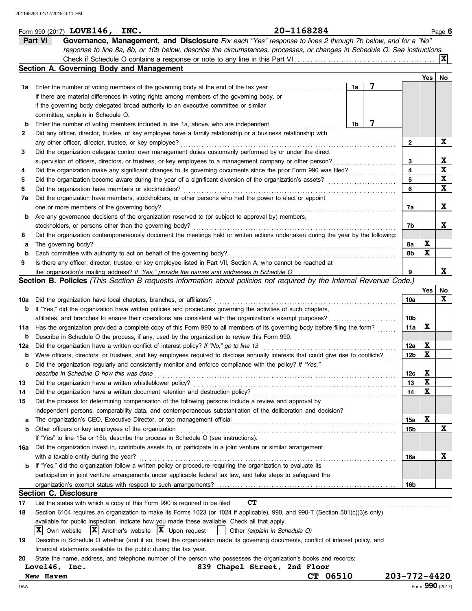|     | 20-1168284<br>Form 990 (2017) LOVE146, INC.                                                                                         |          |    |   |                 |     | Page 6      |
|-----|-------------------------------------------------------------------------------------------------------------------------------------|----------|----|---|-----------------|-----|-------------|
|     | Governance, Management, and Disclosure For each "Yes" response to lines 2 through 7b below, and for a "No"<br>Part VI               |          |    |   |                 |     |             |
|     | response to line 8a, 8b, or 10b below, describe the circumstances, processes, or changes in Schedule O. See instructions.           |          |    |   |                 |     |             |
|     |                                                                                                                                     |          |    |   |                 |     | $\mathbf x$ |
|     | Section A. Governing Body and Management                                                                                            |          |    |   |                 |     |             |
|     |                                                                                                                                     |          |    |   |                 | Yes | No          |
| 1а  | Enter the number of voting members of the governing body at the end of the tax year                                                 |          | 1a | 7 |                 |     |             |
|     | If there are material differences in voting rights among members of the governing body, or                                          |          |    |   |                 |     |             |
|     | if the governing body delegated broad authority to an executive committee or similar                                                |          |    |   |                 |     |             |
|     | committee, explain in Schedule O.                                                                                                   |          |    |   |                 |     |             |
| b   | Enter the number of voting members included in line 1a, above, who are independent                                                  |          | 1b | 7 |                 |     |             |
| 2   | Did any officer, director, trustee, or key employee have a family relationship or a business relationship with                      |          |    |   |                 |     |             |
|     | any other officer, director, trustee, or key employee?                                                                              |          |    |   | $\mathbf{2}$    |     | X           |
| 3   | Did the organization delegate control over management duties customarily performed by or under the direct                           |          |    |   |                 |     |             |
|     | supervision of officers, directors, or trustees, or key employees to a management company or other person?                          |          |    |   | 3               |     | X           |
| 4   | Did the organization make any significant changes to its governing documents since the prior Form 990 was filed?                    |          |    |   | 4               |     | $\mathbf x$ |
|     | Did the organization become aware during the year of a significant diversion of the organization's assets?                          |          |    |   | 5               |     | $\mathbf x$ |
| 5   | Did the organization have members or stockholders?                                                                                  |          |    |   | 6               |     | $\mathbf x$ |
| 6   |                                                                                                                                     |          |    |   |                 |     |             |
| 7a  | Did the organization have members, stockholders, or other persons who had the power to elect or appoint                             |          |    |   |                 |     | X           |
|     | one or more members of the governing body?                                                                                          |          |    |   | 7a              |     |             |
| b   | Are any governance decisions of the organization reserved to (or subject to approval by) members,                                   |          |    |   |                 |     |             |
|     | stockholders, or persons other than the governing body?                                                                             |          |    |   | 7b              |     | X           |
| 8   | Did the organization contemporaneously document the meetings held or written actions undertaken during the year by the following:   |          |    |   |                 |     |             |
| а   | The governing body?                                                                                                                 |          |    |   | 8а              | X   |             |
| b   | Each committee with authority to act on behalf of the governing body?                                                               |          |    |   | 8b              | X   |             |
| 9   | Is there any officer, director, trustee, or key employee listed in Part VII, Section A, who cannot be reached at                    |          |    |   |                 |     |             |
|     |                                                                                                                                     |          |    |   | 9               |     | X           |
|     | Section B. Policies (This Section B requests information about policies not required by the Internal Revenue Code.)                 |          |    |   |                 |     |             |
|     |                                                                                                                                     |          |    |   |                 | Yes | No          |
| 10a | Did the organization have local chapters, branches, or affiliates?                                                                  |          |    |   | 10a             |     | x           |
| b   | If "Yes," did the organization have written policies and procedures governing the activities of such chapters,                      |          |    |   |                 |     |             |
|     |                                                                                                                                     |          |    |   | 10b             |     |             |
| 11a | Has the organization provided a complete copy of this Form 990 to all members of its governing body before filing the form?         |          |    |   | 11a             | X   |             |
| b   | Describe in Schedule O the process, if any, used by the organization to review this Form 990.                                       |          |    |   |                 |     |             |
| 12a |                                                                                                                                     |          |    |   | 12a             | X   |             |
| b   | Were officers, directors, or trustees, and key employees required to disclose annually interests that could give rise to conflicts? |          |    |   | 12 <sub>b</sub> | X   |             |
| c   | Did the organization regularly and consistently monitor and enforce compliance with the policy? If "Yes,"                           |          |    |   |                 |     |             |
|     | describe in Schedule O how this was done                                                                                            |          |    |   | 12c             | X   |             |
| 13  | Did the organization have a written whistleblower policy?                                                                           |          |    |   | 13              | X   |             |
| 14  | Did the organization have a written document retention and destruction policy?                                                      |          |    |   | 14              | X   |             |
| 15  | Did the process for determining compensation of the following persons include a review and approval by                              |          |    |   |                 |     |             |
|     | independent persons, comparability data, and contemporaneous substantiation of the deliberation and decision?                       |          |    |   |                 |     |             |
| а   | The organization's CEO, Executive Director, or top management official                                                              |          |    |   | 15a             | X   |             |
| b   | Other officers or key employees of the organization                                                                                 |          |    |   | 15b             |     | x           |
|     | If "Yes" to line 15a or 15b, describe the process in Schedule O (see instructions).                                                 |          |    |   |                 |     |             |
| 16a | Did the organization invest in, contribute assets to, or participate in a joint venture or similar arrangement                      |          |    |   |                 |     |             |
|     | with a taxable entity during the year?                                                                                              |          |    |   | 16a             |     | X           |
| b   | If "Yes," did the organization follow a written policy or procedure requiring the organization to evaluate its                      |          |    |   |                 |     |             |
|     | participation in joint venture arrangements under applicable federal tax law, and take steps to safeguard the                       |          |    |   |                 |     |             |
|     |                                                                                                                                     |          |    |   | 16b             |     |             |
|     | <b>Section C. Disclosure</b>                                                                                                        |          |    |   |                 |     |             |
| 17  | <b>CT</b><br>List the states with which a copy of this Form 990 is required to be filed                                             |          |    |   |                 |     |             |
| 18  | Section 6104 requires an organization to make its Forms 1023 (or 1024 if applicable), 990, and 990-T (Section 501(c)(3)s only)      |          |    |   |                 |     |             |
|     | available for public inspection. Indicate how you made these available. Check all that apply.                                       |          |    |   |                 |     |             |
|     | $ \mathbf{X} $ Another's website $ \mathbf{X} $ Upon request<br>IXI<br>Other (explain in Schedule O)<br>Own website                 |          |    |   |                 |     |             |
| 19  | Describe in Schedule O whether (and if so, how) the organization made its governing documents, conflict of interest policy, and     |          |    |   |                 |     |             |
|     | financial statements available to the public during the tax year.                                                                   |          |    |   |                 |     |             |
| 20  | State the name, address, and telephone number of the person who possesses the organization's books and records:                     |          |    |   |                 |     |             |
|     | Love146, Inc.<br>839 Chapel Street, 2nd Floor                                                                                       |          |    |   |                 |     |             |
|     | New Haven                                                                                                                           | CT 06510 |    |   | 203-772-4420    |     |             |
|     |                                                                                                                                     |          |    |   |                 |     |             |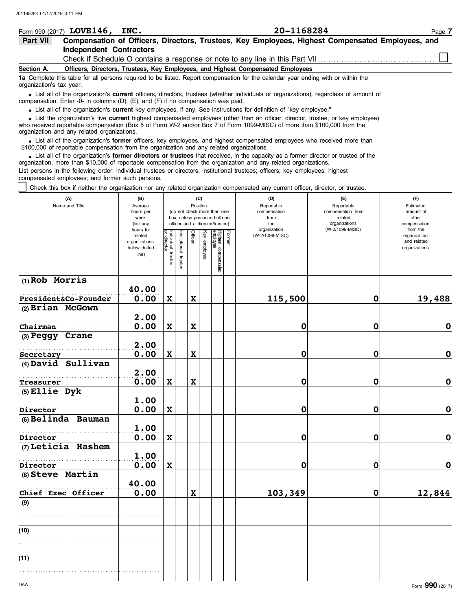| Form 990 (2017)          | <b>LOVE146,</b><br>INC.                     | 20-1168284                                                                                                                                                                                                                                                  | Page 7 |
|--------------------------|---------------------------------------------|-------------------------------------------------------------------------------------------------------------------------------------------------------------------------------------------------------------------------------------------------------------|--------|
| Part VII                 |                                             | Compensation of Officers, Directors, Trustees, Key Employees, Highest Compensated Employees, and                                                                                                                                                            |        |
|                          | <b>Independent Contractors</b>              |                                                                                                                                                                                                                                                             |        |
|                          |                                             | Check if Schedule O contains a response or note to any line in this Part VII <i>concerential</i>                                                                                                                                                            |        |
| Section A.               |                                             | Officers, Directors, Trustees, Key Employees, and Highest Compensated Employees                                                                                                                                                                             |        |
| organization's tax year. |                                             | 1a Complete this table for all persons required to be listed. Report compensation for the calendar year ending with or within the                                                                                                                           |        |
|                          |                                             | • List all of the organization's current officers, directors, trustees (whether individuals or organizations), regardless of amount of<br>compensation. Enter -0- in columns $(D)$ , $(E)$ , and $(F)$ if no compensation was paid.                         |        |
|                          |                                             | • List all of the organization's current key employees, if any. See instructions for definition of "key employee."                                                                                                                                          |        |
|                          | organization and any related organizations. | • List the organization's five current highest compensated employees (other than an officer, director, trustee, or key employee)<br>who received reportable compensation (Box 5 of Form W-2 and/or Box 7 of Form 1099-MISC) of more than \$100,000 from the |        |

List all of the organization's **former** officers, key employees, and highest compensated employees who received more than • List all of the organization's **former** officers, key employees, and highest compensate \$100,000 of reportable compensation from the organization and any related organizations.

• List all of the organization's **former directors or trustees** that received, in the capacity as a former director or trustee of the principle companisation from the organization and any related organizations organization, more than \$10,000 of reportable compensation from the organization and any related organizations. List persons in the following order: individual trustees or directors; institutional trustees; officers; key employees; highest compensated employees; and former such persons.

Check this box if neither the organization nor any related organization compensated any current officer, director, or trustee.

| (A)<br>Name and Title | (B)<br>Average<br>hours per<br>week<br>(list any<br>hours for |                    |                       |                | (C)<br>Position | (do not check more than one<br>box, unless person is both an<br>officer and a director/trustee) |        | (D)<br>Reportable<br>compensation<br>from<br>the<br>organization | (E)<br>Reportable<br>compensation from<br>related<br>organizations<br>(W-2/1099-MISC) | (F)<br>Estimated<br>amount of<br>other<br>compensation<br>from the |
|-----------------------|---------------------------------------------------------------|--------------------|-----------------------|----------------|-----------------|-------------------------------------------------------------------------------------------------|--------|------------------------------------------------------------------|---------------------------------------------------------------------------------------|--------------------------------------------------------------------|
|                       | related<br>organizations<br>below dotted<br>line)             | Individual trustee | Institutional trustee | <b>Officer</b> | Key employee    | Highest compensated<br>employee                                                                 | Former | (W-2/1099-MISC)                                                  |                                                                                       | organization<br>and related<br>organizations                       |
| $(1)$ Rob Morris      | 40.00                                                         |                    |                       |                |                 |                                                                                                 |        |                                                                  |                                                                                       |                                                                    |
| President&Co-Founder  | 0.00                                                          | $\mathbf x$        |                       | $\mathbf x$    |                 |                                                                                                 |        | 115,500                                                          | $\mathbf 0$                                                                           | 19,488                                                             |
| (2) Brian McGown      | 2.00                                                          |                    |                       |                |                 |                                                                                                 |        |                                                                  |                                                                                       |                                                                    |
| Chairman              | 0.00                                                          | $\mathbf x$        |                       | $\mathbf x$    |                 |                                                                                                 |        | 0                                                                | 0                                                                                     | $\mathbf 0$                                                        |
| (3) Peggy Crane       | 2.00                                                          |                    |                       |                |                 |                                                                                                 |        |                                                                  |                                                                                       |                                                                    |
| Secretary             | 0.00                                                          | $\mathbf x$        |                       | $\mathbf x$    |                 |                                                                                                 |        | 0                                                                | 0                                                                                     | $\mathbf 0$                                                        |
| (4) David Sullivan    |                                                               |                    |                       |                |                 |                                                                                                 |        |                                                                  |                                                                                       |                                                                    |
|                       | 2.00                                                          |                    |                       |                |                 |                                                                                                 |        |                                                                  |                                                                                       |                                                                    |
| Treasurer             | 0.00                                                          | $\mathbf x$        |                       | $\mathbf x$    |                 |                                                                                                 |        | 0                                                                | $\mathbf 0$                                                                           | $\mathbf 0$                                                        |
| $(5)$ Ellie Dyk       |                                                               |                    |                       |                |                 |                                                                                                 |        |                                                                  |                                                                                       |                                                                    |
|                       | 1.00                                                          |                    |                       |                |                 |                                                                                                 |        |                                                                  |                                                                                       |                                                                    |
| Director              | 0.00                                                          | $\mathbf x$        |                       |                |                 |                                                                                                 |        | 0                                                                | 0                                                                                     | $\mathbf 0$                                                        |
| (6) Belinda Bauman    | 1.00                                                          |                    |                       |                |                 |                                                                                                 |        |                                                                  |                                                                                       |                                                                    |
| Director              | 0.00                                                          | $\mathbf x$        |                       |                |                 |                                                                                                 |        | 0                                                                | $\mathbf 0$                                                                           | $\mathbf 0$                                                        |
| (7) Leticia Hashem    |                                                               |                    |                       |                |                 |                                                                                                 |        |                                                                  |                                                                                       |                                                                    |
|                       | 1.00                                                          |                    |                       |                |                 |                                                                                                 |        |                                                                  |                                                                                       |                                                                    |
| Director              | 0.00                                                          | $\mathbf x$        |                       |                |                 |                                                                                                 |        | 0                                                                | $\mathbf 0$                                                                           | 0                                                                  |
| (8) Steve Martin      | 40.00                                                         |                    |                       |                |                 |                                                                                                 |        |                                                                  |                                                                                       |                                                                    |
| Chief Exec Officer    | 0.00                                                          |                    |                       | $\mathbf x$    |                 |                                                                                                 |        | 103,349                                                          | 0                                                                                     | 12,844                                                             |
| (9)                   |                                                               |                    |                       |                |                 |                                                                                                 |        |                                                                  |                                                                                       |                                                                    |
|                       |                                                               |                    |                       |                |                 |                                                                                                 |        |                                                                  |                                                                                       |                                                                    |
| (10)                  |                                                               |                    |                       |                |                 |                                                                                                 |        |                                                                  |                                                                                       |                                                                    |
|                       |                                                               |                    |                       |                |                 |                                                                                                 |        |                                                                  |                                                                                       |                                                                    |
| (11)                  |                                                               |                    |                       |                |                 |                                                                                                 |        |                                                                  |                                                                                       |                                                                    |
|                       |                                                               |                    |                       |                |                 |                                                                                                 |        |                                                                  |                                                                                       |                                                                    |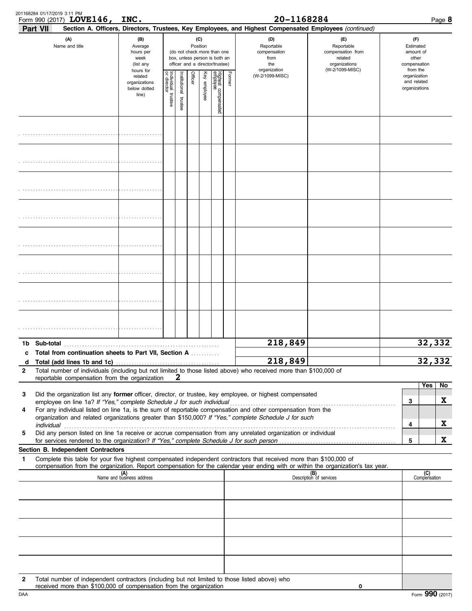|                   | 201168284 01/17/2019 3:11 PM<br>Form 990 (2017) LOVE146,<br><b>Part VII</b>                                                                                                                                                                                                                                                                                                                                                                                                                                                                                                  | INC.                                                           |                                                                                                                                                                                                                                                                                 |                          |         |              |                                 |                                                                    | 20-1168284<br>Section A. Officers, Directors, Trustees, Key Employees, and Highest Compensated Employees (continued) |                                | Page 8                                       |
|-------------------|------------------------------------------------------------------------------------------------------------------------------------------------------------------------------------------------------------------------------------------------------------------------------------------------------------------------------------------------------------------------------------------------------------------------------------------------------------------------------------------------------------------------------------------------------------------------------|----------------------------------------------------------------|---------------------------------------------------------------------------------------------------------------------------------------------------------------------------------------------------------------------------------------------------------------------------------|--------------------------|---------|--------------|---------------------------------|--------------------------------------------------------------------|----------------------------------------------------------------------------------------------------------------------|--------------------------------|----------------------------------------------|
|                   | (A)<br>Name and title                                                                                                                                                                                                                                                                                                                                                                                                                                                                                                                                                        | (B)<br>Average<br>hours per<br>week<br>(list any               | (D)<br>(C)<br>(E)<br>Position<br>Reportable<br>Reportable<br>(do not check more than one<br>compensation<br>compensation from<br>box, unless person is both an<br>from<br>related<br>officer and a director/trustee)<br>the<br>organizations<br>(W-2/1099-MISC)<br>organization |                          |         |              |                                 | (F)<br>Estimated<br>amount of<br>other<br>compensation<br>from the |                                                                                                                      |                                |                                              |
|                   |                                                                                                                                                                                                                                                                                                                                                                                                                                                                                                                                                                              | hours for<br>related<br>organizations<br>below dotted<br>line) | Individual trustee<br>or director                                                                                                                                                                                                                                               | Institutional<br>trustee | Officer | Key employee | Highest compensated<br>employee | Former                                                             | (W-2/1099-MISC)                                                                                                      |                                | organization<br>and related<br>organizations |
|                   |                                                                                                                                                                                                                                                                                                                                                                                                                                                                                                                                                                              |                                                                |                                                                                                                                                                                                                                                                                 |                          |         |              |                                 |                                                                    |                                                                                                                      |                                |                                              |
|                   |                                                                                                                                                                                                                                                                                                                                                                                                                                                                                                                                                                              |                                                                |                                                                                                                                                                                                                                                                                 |                          |         |              |                                 |                                                                    |                                                                                                                      |                                |                                              |
|                   |                                                                                                                                                                                                                                                                                                                                                                                                                                                                                                                                                                              |                                                                |                                                                                                                                                                                                                                                                                 |                          |         |              |                                 |                                                                    |                                                                                                                      |                                |                                              |
|                   |                                                                                                                                                                                                                                                                                                                                                                                                                                                                                                                                                                              |                                                                |                                                                                                                                                                                                                                                                                 |                          |         |              |                                 |                                                                    |                                                                                                                      |                                |                                              |
|                   |                                                                                                                                                                                                                                                                                                                                                                                                                                                                                                                                                                              |                                                                |                                                                                                                                                                                                                                                                                 |                          |         |              |                                 |                                                                    |                                                                                                                      |                                |                                              |
|                   |                                                                                                                                                                                                                                                                                                                                                                                                                                                                                                                                                                              |                                                                |                                                                                                                                                                                                                                                                                 |                          |         |              |                                 |                                                                    |                                                                                                                      |                                |                                              |
|                   |                                                                                                                                                                                                                                                                                                                                                                                                                                                                                                                                                                              |                                                                |                                                                                                                                                                                                                                                                                 |                          |         |              |                                 |                                                                    |                                                                                                                      |                                |                                              |
|                   |                                                                                                                                                                                                                                                                                                                                                                                                                                                                                                                                                                              |                                                                |                                                                                                                                                                                                                                                                                 |                          |         |              |                                 |                                                                    |                                                                                                                      |                                |                                              |
| 1b<br>c           | Sub-total<br>Total from continuation sheets to Part VII, Section A                                                                                                                                                                                                                                                                                                                                                                                                                                                                                                           |                                                                |                                                                                                                                                                                                                                                                                 |                          |         |              |                                 |                                                                    | 218,849                                                                                                              |                                | 32,332                                       |
| d<br>$\mathbf{2}$ | Total number of individuals (including but not limited to those listed above) who received more than \$100,000 of<br>reportable compensation from the organization                                                                                                                                                                                                                                                                                                                                                                                                           |                                                                |                                                                                                                                                                                                                                                                                 | $\mathbf{z}$             |         |              |                                 |                                                                    | 218,849                                                                                                              |                                | 32,332                                       |
| 3                 | Did the organization list any former officer, director, or trustee, key employee, or highest compensated                                                                                                                                                                                                                                                                                                                                                                                                                                                                     |                                                                |                                                                                                                                                                                                                                                                                 |                          |         |              |                                 |                                                                    |                                                                                                                      |                                | Yes<br>No<br>X<br>3                          |
| 4<br>5            | For any individual listed on line 1a, is the sum of reportable compensation and other compensation from the<br>organization and related organizations greater than \$150,000? If "Yes," complete Schedule J for such<br>individual <b>construction of the construction of the construction of the construction of the construction</b> of the construction of the construction of the construction of the construction of the construction of the construct<br>Did any person listed on line 1a receive or accrue compensation from any unrelated organization or individual |                                                                |                                                                                                                                                                                                                                                                                 |                          |         |              |                                 |                                                                    |                                                                                                                      |                                | X<br>4                                       |
|                   | Section B. Independent Contractors                                                                                                                                                                                                                                                                                                                                                                                                                                                                                                                                           |                                                                |                                                                                                                                                                                                                                                                                 |                          |         |              |                                 |                                                                    |                                                                                                                      |                                | X<br>5                                       |
| 1                 | Complete this table for your five highest compensated independent contractors that received more than \$100,000 of<br>compensation from the organization. Report compensation for the calendar year ending with or within the organization's tax year.                                                                                                                                                                                                                                                                                                                       |                                                                |                                                                                                                                                                                                                                                                                 |                          |         |              |                                 |                                                                    |                                                                                                                      |                                |                                              |
|                   |                                                                                                                                                                                                                                                                                                                                                                                                                                                                                                                                                                              | (A)<br>Name and business address                               |                                                                                                                                                                                                                                                                                 |                          |         |              |                                 |                                                                    |                                                                                                                      | (B)<br>Description of services | (C)<br>Compensation                          |
|                   |                                                                                                                                                                                                                                                                                                                                                                                                                                                                                                                                                                              |                                                                |                                                                                                                                                                                                                                                                                 |                          |         |              |                                 |                                                                    |                                                                                                                      |                                |                                              |
|                   |                                                                                                                                                                                                                                                                                                                                                                                                                                                                                                                                                                              |                                                                |                                                                                                                                                                                                                                                                                 |                          |         |              |                                 |                                                                    |                                                                                                                      |                                |                                              |
|                   |                                                                                                                                                                                                                                                                                                                                                                                                                                                                                                                                                                              |                                                                |                                                                                                                                                                                                                                                                                 |                          |         |              |                                 |                                                                    |                                                                                                                      |                                |                                              |
| $\mathbf{2}$      | Total number of independent contractors (including but not limited to those listed above) who<br>received more than \$100,000 of compensation from the organization                                                                                                                                                                                                                                                                                                                                                                                                          |                                                                |                                                                                                                                                                                                                                                                                 |                          |         |              |                                 |                                                                    |                                                                                                                      | 0                              |                                              |
| <b>DAA</b>        |                                                                                                                                                                                                                                                                                                                                                                                                                                                                                                                                                                              |                                                                |                                                                                                                                                                                                                                                                                 |                          |         |              |                                 |                                                                    |                                                                                                                      |                                | Form 990 (2017)                              |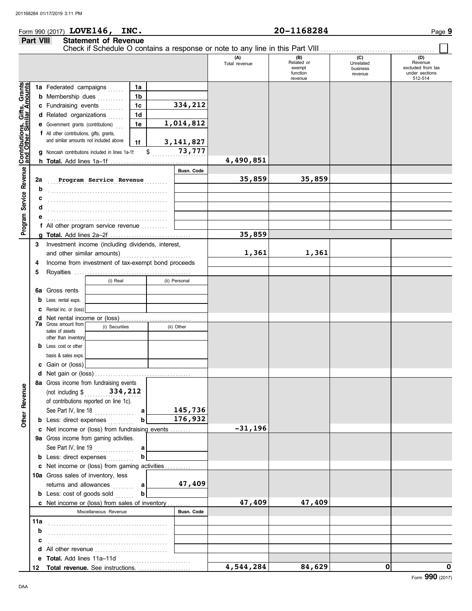### Form 990 (2017) Page **9 LOVE146, INC. 20-1168284**

|                                                                  | Part VIII<br><b>Statement of Revenue</b><br>(C)<br>(D)       |                                                                                     |                         |                |  |               |                      |                                                    |                                  |                                                           |  |  |  |  |
|------------------------------------------------------------------|--------------------------------------------------------------|-------------------------------------------------------------------------------------|-------------------------|----------------|--|---------------|----------------------|----------------------------------------------------|----------------------------------|-----------------------------------------------------------|--|--|--|--|
|                                                                  |                                                              |                                                                                     |                         |                |  |               | (A)<br>Total revenue | (B)<br>Related or<br>exempt<br>function<br>revenue | Unrelated<br>business<br>revenue | Revenue<br>excluded from tax<br>under sections<br>512-514 |  |  |  |  |
|                                                                  |                                                              | 1a Federated campaigns                                                              |                         | 1a             |  |               |                      |                                                    |                                  |                                                           |  |  |  |  |
|                                                                  |                                                              | <b>b</b> Membership dues                                                            |                         | 1b             |  |               |                      |                                                    |                                  |                                                           |  |  |  |  |
|                                                                  |                                                              | c Fundraising events                                                                |                         | 1 <sub>c</sub> |  | 334,212       |                      |                                                    |                                  |                                                           |  |  |  |  |
|                                                                  |                                                              | d Related organizations                                                             |                         | 1 <sub>d</sub> |  |               |                      |                                                    |                                  |                                                           |  |  |  |  |
|                                                                  |                                                              | e Government grants (contributions)                                                 |                         | 1e             |  | 1,014,812     |                      |                                                    |                                  |                                                           |  |  |  |  |
| <b>Contributions, Gifts, Grants</b><br>and Other Similar Amounts |                                                              | f All other contributions, gifts, grants,<br>and similar amounts not included above |                         | 1f             |  | 3, 141, 827   |                      |                                                    |                                  |                                                           |  |  |  |  |
|                                                                  |                                                              | g Noncash contributions included in lines 1a-1f:                                    |                         |                |  | \$73,777      |                      |                                                    |                                  |                                                           |  |  |  |  |
|                                                                  |                                                              |                                                                                     |                         |                |  |               | 4,490,851            |                                                    |                                  |                                                           |  |  |  |  |
|                                                                  |                                                              |                                                                                     |                         |                |  | Busn. Code    |                      |                                                    |                                  |                                                           |  |  |  |  |
|                                                                  | 2a                                                           |                                                                                     | Program Service Revenue |                |  |               | 35,859               | 35,859                                             |                                  |                                                           |  |  |  |  |
|                                                                  | b                                                            |                                                                                     |                         |                |  |               |                      |                                                    |                                  |                                                           |  |  |  |  |
|                                                                  | с                                                            |                                                                                     |                         |                |  |               |                      |                                                    |                                  |                                                           |  |  |  |  |
|                                                                  | d                                                            |                                                                                     |                         |                |  |               |                      |                                                    |                                  |                                                           |  |  |  |  |
|                                                                  | е                                                            |                                                                                     |                         |                |  |               |                      |                                                    |                                  |                                                           |  |  |  |  |
|                                                                  |                                                              | f All other program service revenue $\ldots$                                        |                         |                |  |               |                      |                                                    |                                  |                                                           |  |  |  |  |
| Program Service Revenue                                          |                                                              |                                                                                     |                         |                |  |               | 35,859               |                                                    |                                  |                                                           |  |  |  |  |
|                                                                  | 3                                                            | Investment income (including dividends, interest,                                   |                         |                |  |               |                      |                                                    |                                  |                                                           |  |  |  |  |
|                                                                  |                                                              |                                                                                     |                         |                |  |               | 1,361                | 1,361                                              |                                  |                                                           |  |  |  |  |
|                                                                  |                                                              |                                                                                     |                         |                |  |               |                      |                                                    |                                  |                                                           |  |  |  |  |
|                                                                  | Income from investment of tax-exempt bond proceeds<br>4<br>5 |                                                                                     |                         |                |  |               |                      |                                                    |                                  |                                                           |  |  |  |  |
|                                                                  |                                                              |                                                                                     | (i) Real                |                |  | (ii) Personal |                      |                                                    |                                  |                                                           |  |  |  |  |
|                                                                  |                                                              |                                                                                     |                         |                |  |               |                      |                                                    |                                  |                                                           |  |  |  |  |
|                                                                  |                                                              | 6a Gross rents                                                                      |                         |                |  |               |                      |                                                    |                                  |                                                           |  |  |  |  |
|                                                                  |                                                              | <b>b</b> Less: rental exps.                                                         |                         |                |  |               |                      |                                                    |                                  |                                                           |  |  |  |  |
|                                                                  |                                                              | C Rental inc. or (loss)                                                             |                         |                |  |               |                      |                                                    |                                  |                                                           |  |  |  |  |
|                                                                  |                                                              |                                                                                     |                         |                |  |               |                      |                                                    |                                  |                                                           |  |  |  |  |
|                                                                  |                                                              | <b>7a</b> Gross amount from<br>(i) Securities<br>(ii) Other<br>sales of assets      |                         |                |  |               |                      |                                                    |                                  |                                                           |  |  |  |  |
|                                                                  |                                                              | other than inventory                                                                |                         |                |  |               |                      |                                                    |                                  |                                                           |  |  |  |  |
|                                                                  |                                                              | <b>b</b> Less: cost or other                                                        |                         |                |  |               |                      |                                                    |                                  |                                                           |  |  |  |  |
|                                                                  |                                                              | basis & sales exps.                                                                 |                         |                |  |               |                      |                                                    |                                  |                                                           |  |  |  |  |
|                                                                  |                                                              | c Gain or (loss)                                                                    |                         |                |  |               |                      |                                                    |                                  |                                                           |  |  |  |  |
|                                                                  |                                                              |                                                                                     |                         |                |  |               |                      |                                                    |                                  |                                                           |  |  |  |  |
|                                                                  |                                                              | 8a Gross income from fundraising events                                             |                         |                |  |               |                      |                                                    |                                  |                                                           |  |  |  |  |
|                                                                  |                                                              | (not including $$334,212$                                                           |                         |                |  |               |                      |                                                    |                                  |                                                           |  |  |  |  |
|                                                                  |                                                              | of contributions reported on line 1c).                                              |                         |                |  |               |                      |                                                    |                                  |                                                           |  |  |  |  |
|                                                                  |                                                              | See Part IV, line 18                                                                |                         | $\mathbf{a}$   |  | 145,736       |                      |                                                    |                                  |                                                           |  |  |  |  |
| <b>Other Revenue</b>                                             |                                                              | <b>b</b> Less: direct expenses                                                      |                         | b              |  | 176,932       |                      |                                                    |                                  |                                                           |  |  |  |  |
|                                                                  |                                                              | c Net income or (loss) from fundraising events                                      |                         |                |  |               | $-31,196$            |                                                    |                                  |                                                           |  |  |  |  |
|                                                                  |                                                              | 9a Gross income from gaming activities.                                             |                         |                |  |               |                      |                                                    |                                  |                                                           |  |  |  |  |
|                                                                  |                                                              | See Part IV, line 19                                                                |                         | a              |  |               |                      |                                                    |                                  |                                                           |  |  |  |  |
|                                                                  |                                                              | <b>b</b> Less: direct expenses                                                      |                         | b              |  |               |                      |                                                    |                                  |                                                           |  |  |  |  |
|                                                                  |                                                              | c Net income or (loss) from gaming activities                                       |                         |                |  |               |                      |                                                    |                                  |                                                           |  |  |  |  |
|                                                                  |                                                              | 10a Gross sales of inventory, less                                                  |                         |                |  |               |                      |                                                    |                                  |                                                           |  |  |  |  |
|                                                                  |                                                              | returns and allowances                                                              |                         | al             |  | 47,409        |                      |                                                    |                                  |                                                           |  |  |  |  |
|                                                                  |                                                              | <b>b</b> Less: cost of goods sold                                                   |                         | b              |  |               |                      |                                                    |                                  |                                                           |  |  |  |  |
|                                                                  |                                                              | c Net income or (loss) from sales of inventory                                      |                         |                |  |               | 47,409               | 47,409                                             |                                  |                                                           |  |  |  |  |
|                                                                  |                                                              |                                                                                     | Miscellaneous Revenue   |                |  | Busn. Code    |                      |                                                    |                                  |                                                           |  |  |  |  |
|                                                                  | 11a                                                          |                                                                                     |                         |                |  |               |                      |                                                    |                                  |                                                           |  |  |  |  |
|                                                                  |                                                              |                                                                                     |                         |                |  |               |                      |                                                    |                                  |                                                           |  |  |  |  |
|                                                                  | b                                                            |                                                                                     |                         |                |  |               |                      |                                                    |                                  |                                                           |  |  |  |  |
|                                                                  | с                                                            |                                                                                     |                         |                |  |               |                      |                                                    |                                  |                                                           |  |  |  |  |
|                                                                  |                                                              |                                                                                     |                         |                |  |               |                      |                                                    |                                  |                                                           |  |  |  |  |
|                                                                  |                                                              |                                                                                     |                         |                |  |               |                      |                                                    |                                  |                                                           |  |  |  |  |
|                                                                  |                                                              | 12 Total revenue. See instructions.                                                 |                         |                |  |               | 4,544,284            | 84,629                                             | 0                                | 0                                                         |  |  |  |  |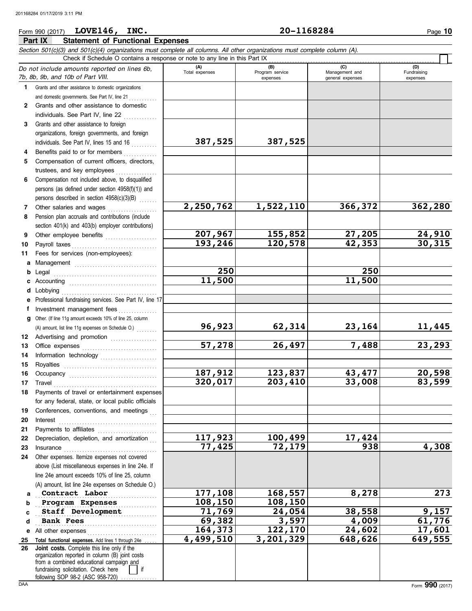# **Part IX Statement of Functional Expenses** Form 990 (2017) Page **10 LOVE146, INC. 20-1168284** *Section 501(c)(3) and 501(c)(4) organizations must complete all columns. All other organizations must complete column (A).*

|          | Seciion 501(c)(3) and 501(c)(4) organizations must complete all columns. All other organizations must complete column (A).<br>Check if Schedule O contains a response or note to any line in this Part IX                            |                |                      |                  |                         |
|----------|--------------------------------------------------------------------------------------------------------------------------------------------------------------------------------------------------------------------------------------|----------------|----------------------|------------------|-------------------------|
|          | Do not include amounts reported on lines 6b,                                                                                                                                                                                         | (A)            | (B)                  | (C)              | (D)                     |
|          | 7b, 8b, 9b, and 10b of Part VIII.                                                                                                                                                                                                    | Total expenses | Program service      | Management and   | Fundraising             |
|          |                                                                                                                                                                                                                                      |                | expenses             | general expenses | expenses                |
|          | <b>1</b> Grants and other assistance to domestic organizations                                                                                                                                                                       |                |                      |                  |                         |
|          | and domestic governments. See Part IV, line 21                                                                                                                                                                                       |                |                      |                  |                         |
|          | 2 Grants and other assistance to domestic                                                                                                                                                                                            |                |                      |                  |                         |
|          | individuals. See Part IV, line 22                                                                                                                                                                                                    |                |                      |                  |                         |
| 3        | Grants and other assistance to foreign                                                                                                                                                                                               |                |                      |                  |                         |
|          | organizations, foreign governments, and foreign                                                                                                                                                                                      |                | 387,525              |                  |                         |
|          | individuals. See Part IV, lines 15 and 16                                                                                                                                                                                            | 387,525        |                      |                  |                         |
| 4        | Benefits paid to or for members                                                                                                                                                                                                      |                |                      |                  |                         |
| 5.       | Compensation of current officers, directors,                                                                                                                                                                                         |                |                      |                  |                         |
|          | trustees, and key employees                                                                                                                                                                                                          |                |                      |                  |                         |
| 6.       | Compensation not included above, to disqualified                                                                                                                                                                                     |                |                      |                  |                         |
|          | persons (as defined under section 4958(f)(1)) and                                                                                                                                                                                    |                |                      |                  |                         |
|          | persons described in section 4958(c)(3)(B)                                                                                                                                                                                           | 2,250,762      | 1,522,110            |                  | 362,280                 |
| 7        | Other salaries and wages                                                                                                                                                                                                             |                |                      | 366,372          |                         |
| 8        | Pension plan accruals and contributions (include                                                                                                                                                                                     |                |                      |                  |                         |
|          | section 401(k) and 403(b) employer contributions)                                                                                                                                                                                    | 207,967        | 155,852              | 27,205           |                         |
| 9        | Other employee benefits                                                                                                                                                                                                              | 193,246        | 120,578              | 42,353           | $\frac{24,910}{30,315}$ |
| 10       |                                                                                                                                                                                                                                      |                |                      |                  |                         |
| 11       | Fees for services (non-employees):                                                                                                                                                                                                   |                |                      |                  |                         |
| a        |                                                                                                                                                                                                                                      | 250            |                      | 250              |                         |
| b        | Legal                                                                                                                                                                                                                                | 11,500         |                      | 11,500           |                         |
| c        |                                                                                                                                                                                                                                      |                |                      |                  |                         |
| d        | Lobbying                                                                                                                                                                                                                             |                |                      |                  |                         |
|          | Professional fundraising services. See Part IV, line 17                                                                                                                                                                              |                |                      |                  |                         |
| f.       | Investment management fees                                                                                                                                                                                                           |                |                      |                  |                         |
| a        | Other. (If line 11g amount exceeds 10% of line 25, column                                                                                                                                                                            | 96,923         | 62,314               | 23,164           | <u>11,445</u>           |
|          | (A) amount, list line 11g expenses on Schedule O.)                                                                                                                                                                                   |                |                      |                  |                         |
|          | 12 Advertising and promotion [1] [1] Advertising and promotion                                                                                                                                                                       | 57,278         | 26,497               | 7,488            | 23,293                  |
| 13       |                                                                                                                                                                                                                                      |                |                      |                  |                         |
| 14<br>15 | Information technology                                                                                                                                                                                                               |                |                      |                  |                         |
| 16       | Royalties Paramas and Paramas and Paramas and Paramas and Paramas and Paramas and Paramas and Paramas and Paramas and Paramas and Paramas and Paramas and Paramas and Paramas and Paramas and Paramas and Paramas and Paramas        | 187,912        | 123,837              | 43,477           | 20,598                  |
| 17       | Travel                                                                                                                                                                                                                               | 320,017        | $\overline{203,410}$ | 33,008           | 83,599                  |
| 18       | Payments of travel or entertainment expenses                                                                                                                                                                                         |                |                      |                  |                         |
|          | for any federal, state, or local public officials                                                                                                                                                                                    |                |                      |                  |                         |
| 19       | Conferences, conventions, and meetings                                                                                                                                                                                               |                |                      |                  |                         |
| 20       | Interest                                                                                                                                                                                                                             |                |                      |                  |                         |
| 21       | Payments to affiliates                                                                                                                                                                                                               |                |                      |                  |                         |
| 22       | <u> 1999 - Johann Stoff, market fra 1999 - A</u><br>Depreciation, depletion, and amortization                                                                                                                                        | 117,923        | 100,499              | 17,424           |                         |
| 23       | Insurance <i>manufactured in the continuum of the continuum of the continuum of the continuum of the continuum of the continuum of the continuum of the continuum of the continuum of the continuum of the continuum of the cont</i> | 77,425         | 72,179               | 938              | 4,308                   |
| 24       | Other expenses. Itemize expenses not covered                                                                                                                                                                                         |                |                      |                  |                         |
|          | above (List miscellaneous expenses in line 24e. If                                                                                                                                                                                   |                |                      |                  |                         |
|          | line 24e amount exceeds 10% of line 25, column                                                                                                                                                                                       |                |                      |                  |                         |
|          | (A) amount, list line 24e expenses on Schedule O.)                                                                                                                                                                                   |                |                      |                  |                         |
| a        | Contract Labor                                                                                                                                                                                                                       | 177,108        | 168,557              | 8,278            | 273                     |
| b        | Program Expenses                                                                                                                                                                                                                     | 108,150        | 108,150              |                  |                         |
| c        | Staff Development                                                                                                                                                                                                                    | 71,769         | 24,054               | 38,558           | 9,157                   |
| d        | <b>Bank Fees</b>                                                                                                                                                                                                                     | 69,382         | 3,597                | 4,009            | 61,776                  |
| е        | All other expenses                                                                                                                                                                                                                   | 164,373        | 122,170              | 24,602           | 17,601                  |
| 25       | Total functional expenses. Add lines 1 through 24e                                                                                                                                                                                   | 4,499,510      | 3,201,329            | 648,626          | 649,555                 |
| 26       | Joint costs. Complete this line only if the                                                                                                                                                                                          |                |                      |                  |                         |
|          | organization reported in column (B) joint costs<br>from a combined educational campaign and                                                                                                                                          |                |                      |                  |                         |
|          | fundraising solicitation. Check here<br>if                                                                                                                                                                                           |                |                      |                  |                         |
|          | following SOP 98-2 (ASC 958-720)                                                                                                                                                                                                     |                |                      |                  |                         |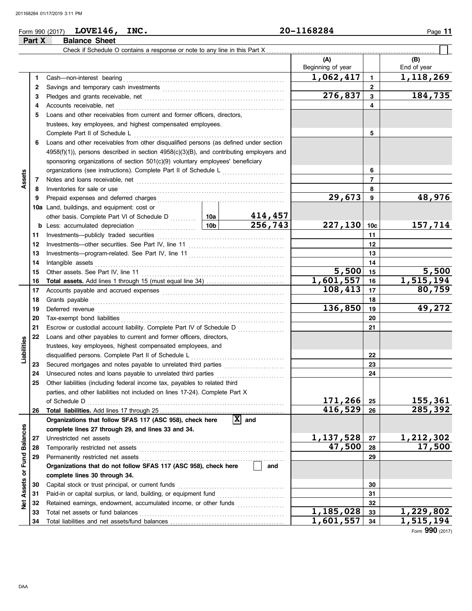## Form 990 (2017) Page **11 LOVE146, INC. 20-1168284 Part X Balance Sheet**

|                 |    | Check if Schedule O contains a response or note to any line in this Part X                                                           |                                |                   |                 |             |
|-----------------|----|--------------------------------------------------------------------------------------------------------------------------------------|--------------------------------|-------------------|-----------------|-------------|
|                 |    |                                                                                                                                      |                                | (A)               |                 | (B)         |
|                 |    |                                                                                                                                      |                                | Beginning of year |                 | End of year |
|                 | 1. | Cash-non-interest bearing                                                                                                            |                                | 1,062,417         | $\mathbf{1}$    | 1, 118, 269 |
|                 | 2  |                                                                                                                                      |                                |                   | $\mathbf{2}$    |             |
|                 | 3  |                                                                                                                                      |                                | 276,837           | 3               | 184,735     |
|                 | 4  | Accounts receivable, net                                                                                                             |                                |                   | 4               |             |
|                 | 5  | Loans and other receivables from current and former officers, directors,                                                             |                                |                   |                 |             |
|                 |    | trustees, key employees, and highest compensated employees.                                                                          |                                |                   |                 |             |
|                 |    |                                                                                                                                      |                                |                   | 5               |             |
|                 | 6  | Loans and other receivables from other disqualified persons (as defined under section                                                |                                |                   |                 |             |
|                 |    | $4958(f)(1)$ ), persons described in section $4958(c)(3)(B)$ , and contributing employers and                                        |                                |                   |                 |             |
|                 |    | sponsoring organizations of section 501(c)(9) voluntary employees' beneficiary                                                       |                                |                   |                 |             |
|                 |    | organizations (see instructions). Complete Part II of Schedule L                                                                     |                                |                   | 6               |             |
| Assets          | 7  |                                                                                                                                      |                                |                   | 7               |             |
|                 | 8  | Inventories for sale or use                                                                                                          |                                |                   | 8               |             |
|                 | 9  | Prepaid expenses and deferred charges                                                                                                |                                | 29,673            | 9               | 48,976      |
|                 |    | 10a Land, buildings, and equipment: cost or                                                                                          |                                |                   |                 |             |
|                 |    |                                                                                                                                      | 414,457                        |                   |                 |             |
|                 |    |                                                                                                                                      | 256,743                        | 227,130           | 10 <sub>c</sub> | 157,714     |
|                 | 11 |                                                                                                                                      |                                |                   | 11              |             |
|                 | 12 |                                                                                                                                      |                                |                   | 12              |             |
|                 | 13 |                                                                                                                                      |                                |                   | 13              |             |
|                 | 14 | Intangible assets                                                                                                                    |                                |                   | 14              |             |
|                 | 15 |                                                                                                                                      |                                | 5,500             | 15              | 5,500       |
|                 | 16 |                                                                                                                                      |                                | 1,601,557         | 16              | 1,515,194   |
|                 | 17 |                                                                                                                                      |                                | 108,413           | 17              | 80,759      |
|                 | 18 |                                                                                                                                      |                                |                   | 18              |             |
|                 | 19 | Deferred revenue                                                                                                                     |                                | 136,850           | 19              | 49,272      |
|                 | 20 |                                                                                                                                      |                                |                   | 20              |             |
|                 | 21 | Escrow or custodial account liability. Complete Part IV of Schedule D                                                                |                                |                   | 21              |             |
|                 | 22 | Loans and other payables to current and former officers, directors,                                                                  |                                |                   |                 |             |
| Liabilities     |    | trustees, key employees, highest compensated employees, and                                                                          |                                |                   |                 |             |
|                 |    |                                                                                                                                      |                                |                   | 22              |             |
|                 | 23 | Secured mortgages and notes payable to unrelated third parties                                                                       |                                |                   | 23              |             |
|                 | 24 | Unsecured notes and loans payable to unrelated third parties [111] [11] Unsecured notes and loans payable to unrelated third parties |                                |                   | 24              |             |
|                 | 25 | Other liabilities (including federal income tax, payables to related third                                                           |                                |                   |                 |             |
|                 |    | parties, and other liabilities not included on lines 17-24). Complete Part X                                                         |                                |                   |                 |             |
|                 |    | of Schedule D                                                                                                                        |                                | 171,266           | 25              | 155,361     |
|                 | 26 |                                                                                                                                      |                                | 416,529           | 26              | 285,392     |
|                 |    | Organizations that follow SFAS 117 (ASC 958), check here                                                                             | $\overline{\mathbf{x}}$<br>and |                   |                 |             |
|                 |    | complete lines 27 through 29, and lines 33 and 34.                                                                                   |                                |                   |                 |             |
| <b>Balances</b> | 27 | Unrestricted net assets                                                                                                              |                                | 1,137,528         | 27              | 1,212,302   |
|                 | 28 |                                                                                                                                      |                                | 47,500            | 28              | 17,500      |
| Fund            | 29 | Permanently restricted net assets                                                                                                    |                                |                   | 29              |             |
| ŏ               |    | Organizations that do not follow SFAS 117 (ASC 958), check here                                                                      | and                            |                   |                 |             |
|                 |    | complete lines 30 through 34.                                                                                                        |                                |                   |                 |             |
| Assets          | 30 | Capital stock or trust principal, or current funds                                                                                   |                                |                   | 30              |             |
|                 | 31 |                                                                                                                                      |                                |                   | 31              |             |
| <b>Net</b>      | 32 | Retained earnings, endowment, accumulated income, or other funds                                                                     |                                |                   | 32              |             |
|                 | 33 | Total net assets or fund balances                                                                                                    |                                | 1,185,028         | 33              | 1,229,802   |
|                 | 34 |                                                                                                                                      |                                | 1,601,557         | 34              | 1,515,194   |

Form **990** (2017)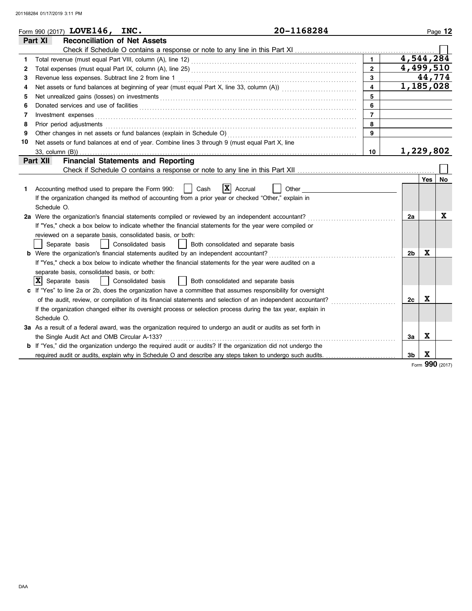|    | 20-1168284<br>Form 990 (2017) LOVE146, INC.                                                                                                                                                                                         |                         |                    |             | Page 12 |
|----|-------------------------------------------------------------------------------------------------------------------------------------------------------------------------------------------------------------------------------------|-------------------------|--------------------|-------------|---------|
|    | <b>Reconciliation of Net Assets</b><br>Part XI                                                                                                                                                                                      |                         |                    |             |         |
|    |                                                                                                                                                                                                                                     |                         |                    |             |         |
| 1. |                                                                                                                                                                                                                                     | $\mathbf{1}$            | $\sqrt{4,544,284}$ |             |         |
| 2  |                                                                                                                                                                                                                                     | $\overline{2}$          | 4,499,510          |             |         |
| 3  | Revenue less expenses. Subtract line 2 from line 1                                                                                                                                                                                  | 3                       |                    | 44,774      |         |
| 4  | Net assets or fund balances at beginning of year (must equal Part X, line 33, column (A)) contational contains                                                                                                                      | $\overline{\mathbf{4}}$ | 1,185,028          |             |         |
| 5  | Net unrealized gains (losses) on investments [1] production in the university of the unrealized gains (losses) on investments                                                                                                       | 5                       |                    |             |         |
| 6  | Donated services and use of facilities <b>constructs</b> and a service of the service of the service of the service of the service of the service of the service of the service of the service of the service of the service of the | 6                       |                    |             |         |
| 7  | Investment expenses                                                                                                                                                                                                                 | $\overline{7}$          |                    |             |         |
| 8  | Prior period adjustments                                                                                                                                                                                                            | 8                       |                    |             |         |
| 9  |                                                                                                                                                                                                                                     | 9                       |                    |             |         |
| 10 | Net assets or fund balances at end of year. Combine lines 3 through 9 (must equal Part X, line                                                                                                                                      |                         |                    |             |         |
|    |                                                                                                                                                                                                                                     | 10                      | 1,229,802          |             |         |
|    | Part XII<br><b>Financial Statements and Reporting</b>                                                                                                                                                                               |                         |                    |             |         |
|    |                                                                                                                                                                                                                                     |                         |                    |             |         |
|    |                                                                                                                                                                                                                                     |                         |                    | Yes         | No      |
| п. | $ \mathbf{X} $ Accrual<br>Accounting method used to prepare the Form 990:<br>  Cash<br>Other                                                                                                                                        |                         |                    |             |         |
|    | If the organization changed its method of accounting from a prior year or checked "Other," explain in                                                                                                                               |                         |                    |             |         |
|    | Schedule O.                                                                                                                                                                                                                         |                         |                    |             |         |
|    | 2a Were the organization's financial statements compiled or reviewed by an independent accountant?                                                                                                                                  |                         | 2a                 |             | X       |
|    | If "Yes," check a box below to indicate whether the financial statements for the year were compiled or                                                                                                                              |                         |                    |             |         |
|    | reviewed on a separate basis, consolidated basis, or both:                                                                                                                                                                          |                         |                    |             |         |
|    | Separate basis<br>  Consolidated basis<br>Both consolidated and separate basis                                                                                                                                                      |                         |                    |             |         |
|    |                                                                                                                                                                                                                                     |                         | 2 <sub>b</sub>     | X           |         |
|    | If "Yes," check a box below to indicate whether the financial statements for the year were audited on a                                                                                                                             |                         |                    |             |         |
|    | separate basis, consolidated basis, or both:                                                                                                                                                                                        |                         |                    |             |         |
|    | $\mathbf{x}$<br>Separate basis<br>Consolidated basis<br>Both consolidated and separate basis                                                                                                                                        |                         |                    |             |         |
|    | c If "Yes" to line 2a or 2b, does the organization have a committee that assumes responsibility for oversight                                                                                                                       |                         |                    |             |         |
|    | of the audit, review, or compilation of its financial statements and selection of an independent accountant?                                                                                                                        | .                       | 2c                 | X           |         |
|    | If the organization changed either its oversight process or selection process during the tax year, explain in                                                                                                                       |                         |                    |             |         |
|    | Schedule O.                                                                                                                                                                                                                         |                         |                    |             |         |
|    | 3a As a result of a federal award, was the organization required to undergo an audit or audits as set forth in                                                                                                                      |                         |                    |             |         |
|    | the Single Audit Act and OMB Circular A-133?                                                                                                                                                                                        |                         | За                 | $\mathbf x$ |         |
|    | <b>b</b> If "Yes," did the organization undergo the required audit or audits? If the organization did not undergo the                                                                                                               |                         |                    |             |         |
|    |                                                                                                                                                                                                                                     |                         | 3b                 | X           |         |

Form **990** (2017)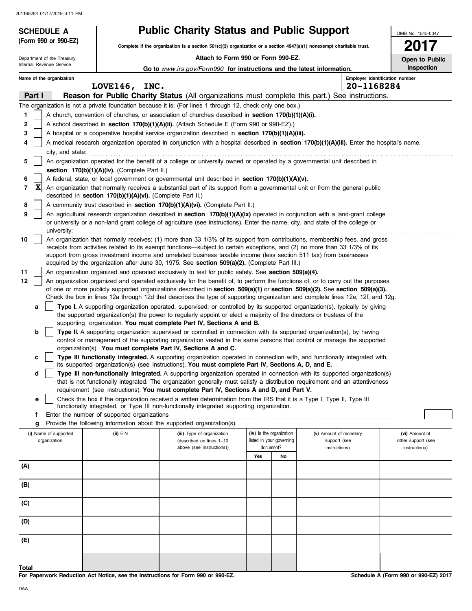# **SCHEDULE A Public Charity Status and Public Support**

**Complete if the organization is a section 501(c)(3) organization or a section 4947(a)(1) nonexempt charitable trust. (Form 990 or 990-EZ)**

 **Attach to Form 990 or Form 990-EZ.**

**2017 Open to Public**

OMB No. 1545-0047

| Department of the Treasury                                                                       |                                                            | Open to Public                                                                                                                                                                                                                                            |                                                      |    |                                        |  |                                      |
|--------------------------------------------------------------------------------------------------|------------------------------------------------------------|-----------------------------------------------------------------------------------------------------------------------------------------------------------------------------------------------------------------------------------------------------------|------------------------------------------------------|----|----------------------------------------|--|--------------------------------------|
| Internal Revenue Service                                                                         |                                                            | Go to www.irs.gov/Form990 for instructions and the latest information.                                                                                                                                                                                    |                                                      |    |                                        |  | Inspection                           |
| Employer identification number<br>Name of the organization<br>LOVE $146$ ,<br>INC.<br>20-1168284 |                                                            |                                                                                                                                                                                                                                                           |                                                      |    |                                        |  |                                      |
| Part I                                                                                           |                                                            | Reason for Public Charity Status (All organizations must complete this part.) See instructions.                                                                                                                                                           |                                                      |    |                                        |  |                                      |
|                                                                                                  |                                                            | The organization is not a private foundation because it is: (For lines 1 through 12, check only one box.)                                                                                                                                                 |                                                      |    |                                        |  |                                      |
| 1                                                                                                |                                                            | A church, convention of churches, or association of churches described in section 170(b)(1)(A)(i).                                                                                                                                                        |                                                      |    |                                        |  |                                      |
| 2                                                                                                |                                                            | A school described in section $170(b)(1)(A)(ii)$ . (Attach Schedule E (Form 990 or 990-EZ).)                                                                                                                                                              |                                                      |    |                                        |  |                                      |
| 3                                                                                                |                                                            | A hospital or a cooperative hospital service organization described in section $170(b)(1)(A)(iii)$ .                                                                                                                                                      |                                                      |    |                                        |  |                                      |
| 4                                                                                                |                                                            | A medical research organization operated in conjunction with a hospital described in section 170(b)(1)(A)(iii). Enter the hospital's name,                                                                                                                |                                                      |    |                                        |  |                                      |
| city, and state:                                                                                 |                                                            |                                                                                                                                                                                                                                                           |                                                      |    |                                        |  |                                      |
| 5                                                                                                |                                                            | An organization operated for the benefit of a college or university owned or operated by a governmental unit described in                                                                                                                                 |                                                      |    |                                        |  |                                      |
|                                                                                                  | section 170(b)(1)(A)(iv). (Complete Part II.)              |                                                                                                                                                                                                                                                           |                                                      |    |                                        |  |                                      |
| 6                                                                                                |                                                            | A federal, state, or local government or governmental unit described in section 170(b)(1)(A)(v).                                                                                                                                                          |                                                      |    |                                        |  |                                      |
| X<br>7                                                                                           | described in section 170(b)(1)(A)(vi). (Complete Part II.) | An organization that normally receives a substantial part of its support from a governmental unit or from the general public                                                                                                                              |                                                      |    |                                        |  |                                      |
| 8                                                                                                |                                                            | A community trust described in section 170(b)(1)(A)(vi). (Complete Part II.)                                                                                                                                                                              |                                                      |    |                                        |  |                                      |
| 9                                                                                                |                                                            | An agricultural research organization described in section 170(b)(1)(A)(ix) operated in conjunction with a land-grant college                                                                                                                             |                                                      |    |                                        |  |                                      |
| university:                                                                                      |                                                            | or university or a non-land grant college of agriculture (see instructions). Enter the name, city, and state of the college or                                                                                                                            |                                                      |    |                                        |  |                                      |
| 10                                                                                               |                                                            | An organization that normally receives: (1) more than 33 1/3% of its support from contributions, membership fees, and gross                                                                                                                               |                                                      |    |                                        |  |                                      |
|                                                                                                  |                                                            | receipts from activities related to its exempt functions-subject to certain exceptions, and (2) no more than 33 1/3% of its<br>support from gross investment income and unrelated business taxable income (less section 511 tax) from businesses          |                                                      |    |                                        |  |                                      |
|                                                                                                  |                                                            | acquired by the organization after June 30, 1975. See section 509(a)(2). (Complete Part III.)                                                                                                                                                             |                                                      |    |                                        |  |                                      |
| 11                                                                                               |                                                            | An organization organized and operated exclusively to test for public safety. See section 509(a)(4).                                                                                                                                                      |                                                      |    |                                        |  |                                      |
| 12                                                                                               |                                                            | An organization organized and operated exclusively for the benefit of, to perform the functions of, or to carry out the purposes                                                                                                                          |                                                      |    |                                        |  |                                      |
|                                                                                                  |                                                            | of one or more publicly supported organizations described in section 509(a)(1) or section 509(a)(2). See section 509(a)(3).                                                                                                                               |                                                      |    |                                        |  |                                      |
|                                                                                                  |                                                            | Check the box in lines 12a through 12d that describes the type of supporting organization and complete lines 12e, 12f, and 12g.                                                                                                                           |                                                      |    |                                        |  |                                      |
| а                                                                                                |                                                            | Type I. A supporting organization operated, supervised, or controlled by its supported organization(s), typically by giving                                                                                                                               |                                                      |    |                                        |  |                                      |
|                                                                                                  |                                                            | the supported organization(s) the power to regularly appoint or elect a majority of the directors or trustees of the<br>supporting organization. You must complete Part IV, Sections A and B.                                                             |                                                      |    |                                        |  |                                      |
| b                                                                                                |                                                            | <b>Type II.</b> A supporting organization supervised or controlled in connection with its supported organization(s), by having                                                                                                                            |                                                      |    |                                        |  |                                      |
|                                                                                                  |                                                            | control or management of the supporting organization vested in the same persons that control or manage the supported                                                                                                                                      |                                                      |    |                                        |  |                                      |
|                                                                                                  |                                                            | organization(s). You must complete Part IV, Sections A and C.                                                                                                                                                                                             |                                                      |    |                                        |  |                                      |
| с                                                                                                |                                                            | Type III functionally integrated. A supporting organization operated in connection with, and functionally integrated with,                                                                                                                                |                                                      |    |                                        |  |                                      |
|                                                                                                  |                                                            | its supported organization(s) (see instructions). You must complete Part IV, Sections A, D, and E.                                                                                                                                                        |                                                      |    |                                        |  |                                      |
| d                                                                                                |                                                            | Type III non-functionally integrated. A supporting organization operated in connection with its supported organization(s)<br>that is not functionally integrated. The organization generally must satisfy a distribution requirement and an attentiveness |                                                      |    |                                        |  |                                      |
|                                                                                                  |                                                            | requirement (see instructions). You must complete Part IV, Sections A and D, and Part V.                                                                                                                                                                  |                                                      |    |                                        |  |                                      |
| e                                                                                                |                                                            | Check this box if the organization received a written determination from the IRS that it is a Type I, Type II, Type III                                                                                                                                   |                                                      |    |                                        |  |                                      |
|                                                                                                  |                                                            | functionally integrated, or Type III non-functionally integrated supporting organization.                                                                                                                                                                 |                                                      |    |                                        |  |                                      |
| f                                                                                                | Enter the number of supported organizations                |                                                                                                                                                                                                                                                           |                                                      |    |                                        |  |                                      |
| g                                                                                                |                                                            | Provide the following information about the supported organization(s).                                                                                                                                                                                    |                                                      |    |                                        |  |                                      |
| (i) Name of supported<br>organization                                                            | (ii) EIN                                                   | (iii) Type of organization<br>(described on lines 1-10                                                                                                                                                                                                    | (iv) Is the organization<br>listed in your governing |    | (v) Amount of monetary<br>support (see |  | (vi) Amount of<br>other support (see |
|                                                                                                  |                                                            | above (see instructions))                                                                                                                                                                                                                                 | document?                                            |    | instructions)                          |  | instructions)                        |
|                                                                                                  |                                                            |                                                                                                                                                                                                                                                           | Yes                                                  | No |                                        |  |                                      |
| (A)                                                                                              |                                                            |                                                                                                                                                                                                                                                           |                                                      |    |                                        |  |                                      |
| (B)                                                                                              |                                                            |                                                                                                                                                                                                                                                           |                                                      |    |                                        |  |                                      |
|                                                                                                  |                                                            |                                                                                                                                                                                                                                                           |                                                      |    |                                        |  |                                      |
| (C)                                                                                              |                                                            |                                                                                                                                                                                                                                                           |                                                      |    |                                        |  |                                      |
| (D)                                                                                              |                                                            |                                                                                                                                                                                                                                                           |                                                      |    |                                        |  |                                      |
| (E)                                                                                              |                                                            |                                                                                                                                                                                                                                                           |                                                      |    |                                        |  |                                      |
| Total                                                                                            |                                                            |                                                                                                                                                                                                                                                           |                                                      |    |                                        |  |                                      |

**For Paperwork Reduction Act Notice, see the Instructions for Form 990 or 990-EZ.**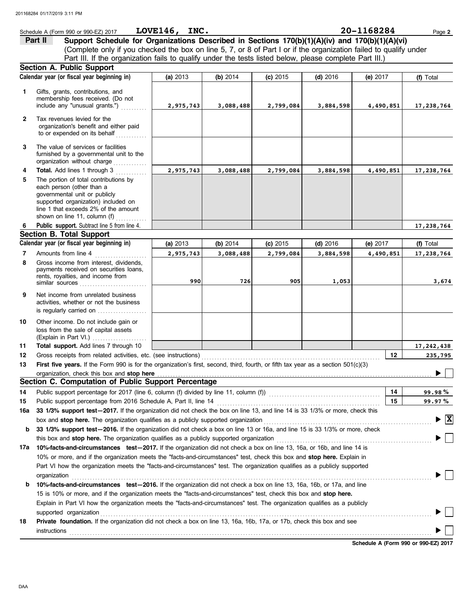|                | Schedule A (Form 990 or 990-EZ) 2017                                                                                                                                                                               | LOVE146, INC. |           |            |            | 20-1168284 | Page 2                                        |
|----------------|--------------------------------------------------------------------------------------------------------------------------------------------------------------------------------------------------------------------|---------------|-----------|------------|------------|------------|-----------------------------------------------|
|                | Support Schedule for Organizations Described in Sections 170(b)(1)(A)(iv) and 170(b)(1)(A)(vi)<br>Part II                                                                                                          |               |           |            |            |            |                                               |
|                | (Complete only if you checked the box on line 5, 7, or 8 of Part I or if the organization failed to qualify under                                                                                                  |               |           |            |            |            |                                               |
|                | Part III. If the organization fails to qualify under the tests listed below, please complete Part III.)                                                                                                            |               |           |            |            |            |                                               |
|                | Section A. Public Support                                                                                                                                                                                          |               |           |            |            |            |                                               |
|                | Calendar year (or fiscal year beginning in)                                                                                                                                                                        | (a) 2013      | (b) 2014  | $(c)$ 2015 | $(d)$ 2016 | (e) $2017$ | (f) Total                                     |
| 1              | Gifts, grants, contributions, and<br>membership fees received. (Do not<br>include any "unusual grants")                                                                                                            | 2,975,743     | 3,088,488 | 2,799,084  | 3,884,598  | 4,490,851  | 17,238,764                                    |
| $\mathbf{2}$   | Tax revenues levied for the<br>organization's benefit and either paid<br>to or expended on its behalf                                                                                                              |               |           |            |            |            |                                               |
| 3              | The value of services or facilities<br>furnished by a governmental unit to the<br>organization without charge                                                                                                      |               |           |            |            |            |                                               |
| 4              | Total. Add lines 1 through 3                                                                                                                                                                                       | 2,975,743     | 3,088,488 | 2,799,084  | 3,884,598  | 4,490,851  | 17,238,764                                    |
| 5              | The portion of total contributions by<br>each person (other than a<br>governmental unit or publicly<br>supported organization) included on<br>line 1 that exceeds 2% of the amount<br>shown on line 11, column (f) |               |           |            |            |            |                                               |
| 6              | Public support. Subtract line 5 from line 4.                                                                                                                                                                       |               |           |            |            |            | 17,238,764                                    |
|                | <b>Section B. Total Support</b>                                                                                                                                                                                    |               |           |            |            |            |                                               |
|                | Calendar year (or fiscal year beginning in)                                                                                                                                                                        | (a) 2013      | (b) 2014  | $(c)$ 2015 | $(d)$ 2016 | (e) 2017   | (f) Total                                     |
| $\overline{7}$ | Amounts from line 4                                                                                                                                                                                                | 2,975,743     | 3,088,488 | 2,799,084  | 3,884,598  | 4,490,851  | 17,238,764                                    |
| 8              | Gross income from interest, dividends,<br>payments received on securities loans,<br>rents, royalties, and income from<br>similar sources                                                                           | 990           | 726       | 905        | 1,053      |            | 3,674                                         |
| 9              | Net income from unrelated business<br>activities, whether or not the business<br>is regularly carried on                                                                                                           |               |           |            |            |            |                                               |
| 10             | Other income. Do not include gain or<br>loss from the sale of capital assets<br>(Explain in Part VI.)                                                                                                              |               |           |            |            |            |                                               |
| 11             | Total support. Add lines 7 through 10                                                                                                                                                                              |               |           |            |            |            | 17, 242, 438                                  |
| 12             |                                                                                                                                                                                                                    |               |           |            |            | 12         | 235,795                                       |
| 13             | First five years. If the Form 990 is for the organization's first, second, third, fourth, or fifth tax year as a section 501(c)(3)<br>organization, check this box and stop here                                   |               |           |            |            |            |                                               |
|                | Section C. Computation of Public Support Percentage                                                                                                                                                                |               |           |            |            |            |                                               |
| 14             |                                                                                                                                                                                                                    |               |           |            |            | 14         | 99.98%                                        |
| 15             | Public support percentage from 2016 Schedule A, Part II, line 14                                                                                                                                                   |               |           |            |            | 15         | 99.97%                                        |
| 16a            | 33 1/3% support test-2017. If the organization did not check the box on line 13, and line 14 is 33 1/3% or more, check this                                                                                        |               |           |            |            |            |                                               |
|                | box and stop here. The organization qualifies as a publicly supported organization                                                                                                                                 |               |           |            |            |            | $\blacktriangleright$ $\overline{\mathbf{X}}$ |
| b              | 33 1/3% support test-2016. If the organization did not check a box on line 13 or 16a, and line 15 is 33 1/3% or more, check                                                                                        |               |           |            |            |            |                                               |
|                | this box and stop here. The organization qualifies as a publicly supported organization                                                                                                                            |               |           |            |            |            |                                               |
| 17a            | 10%-facts-and-circumstances test-2017. If the organization did not check a box on line 13, 16a, or 16b, and line 14 is                                                                                             |               |           |            |            |            |                                               |
|                | 10% or more, and if the organization meets the "facts-and-circumstances" test, check this box and stop here. Explain in                                                                                            |               |           |            |            |            |                                               |
|                | Part VI how the organization meets the "facts-and-circumstances" test. The organization qualifies as a publicly supported                                                                                          |               |           |            |            |            |                                               |
|                | organization                                                                                                                                                                                                       |               |           |            |            |            |                                               |
| b              | 10%-facts-and-circumstances test-2016. If the organization did not check a box on line 13, 16a, 16b, or 17a, and line                                                                                              |               |           |            |            |            |                                               |
|                | 15 is 10% or more, and if the organization meets the "facts-and-circumstances" test, check this box and stop here.                                                                                                 |               |           |            |            |            |                                               |
|                | Explain in Part VI how the organization meets the "facts-and-circumstances" test. The organization qualifies as a publicly                                                                                         |               |           |            |            |            |                                               |
| 18             | supported organization<br><b>Private foundation.</b> If the organization did not check a box on line 13, 16a, 16b, 17a, or 17b, check this box and see                                                             |               |           |            |            |            |                                               |
|                | instructions                                                                                                                                                                                                       |               |           |            |            |            |                                               |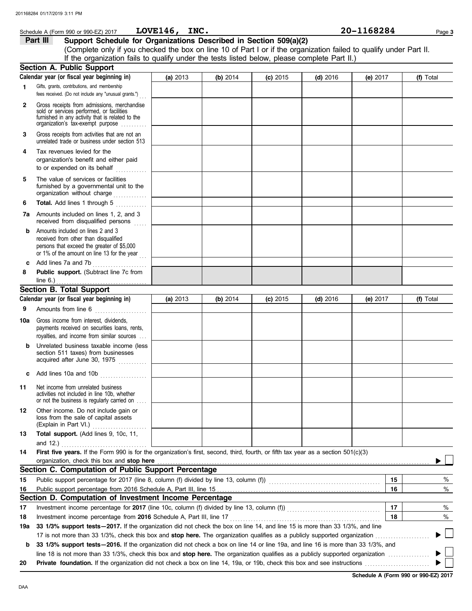|     | Schedule A (Form 990 or 990-EZ) 2017 LOVE146, INC.                                                                                                                                |          |          |            |            | 20-1168284 | Page 3    |
|-----|-----------------------------------------------------------------------------------------------------------------------------------------------------------------------------------|----------|----------|------------|------------|------------|-----------|
|     | Support Schedule for Organizations Described in Section 509(a)(2)<br>Part III                                                                                                     |          |          |            |            |            |           |
|     | (Complete only if you checked the box on line 10 of Part I or if the organization failed to qualify under Part II.                                                                |          |          |            |            |            |           |
|     | If the organization fails to qualify under the tests listed below, please complete Part II.)                                                                                      |          |          |            |            |            |           |
|     | <b>Section A. Public Support</b>                                                                                                                                                  |          |          |            |            |            |           |
|     | Calendar year (or fiscal year beginning in)                                                                                                                                       | (a) 2013 | (b) 2014 | $(c)$ 2015 | $(d)$ 2016 | (e) 2017   | (f) Total |
| 1.  | Gifts, grants, contributions, and membership<br>fees received. (Do not include any "unusual grants.")                                                                             |          |          |            |            |            |           |
| 2   | Gross receipts from admissions, merchandise<br>sold or services performed, or facilities<br>furnished in any activity that is related to the<br>organization's tax-exempt purpose |          |          |            |            |            |           |
| 3   | Gross receipts from activities that are not an<br>unrelated trade or business under section 513                                                                                   |          |          |            |            |            |           |
| 4   | Tax revenues levied for the<br>organization's benefit and either paid<br>to or expended on its behalf<br>in de la cala                                                            |          |          |            |            |            |           |
| 5   | The value of services or facilities<br>furnished by a governmental unit to the<br>organization without charge                                                                     |          |          |            |            |            |           |
| 6   | Total. Add lines 1 through 5                                                                                                                                                      |          |          |            |            |            |           |
|     | <b>7a</b> Amounts included on lines 1, 2, and 3<br>received from disqualified persons                                                                                             |          |          |            |            |            |           |
| b   | Amounts included on lines 2 and 3<br>received from other than disqualified<br>persons that exceed the greater of \$5,000<br>or 1% of the amount on line 13 for the year           |          |          |            |            |            |           |
| c   | Add lines 7a and 7b<br>.                                                                                                                                                          |          |          |            |            |            |           |
| 8   | Public support. (Subtract line 7c from<br>line $6.$ )                                                                                                                             |          |          |            |            |            |           |
|     | <b>Section B. Total Support</b>                                                                                                                                                   |          |          |            |            |            |           |
|     | Calendar year (or fiscal year beginning in)                                                                                                                                       | (a) 2013 | (b) 2014 | $(c)$ 2015 | $(d)$ 2016 | (e) 2017   | (f) Total |
| 9   | Amounts from line 6<br>.                                                                                                                                                          |          |          |            |            |            |           |
| 10a | Gross income from interest, dividends,<br>payments received on securities loans, rents,<br>royalties, and income from similar sources                                             |          |          |            |            |            |           |
|     | Unrelated business taxable income (less<br>section 511 taxes) from businesses<br>acquired after June 30, 1975<br>.                                                                |          |          |            |            |            |           |
| c   | Add lines 10a and 10b                                                                                                                                                             |          |          |            |            |            |           |
| 11  | Net income from unrelated business<br>activities not included in line 10b, whether<br>or not the business is regularly carried on                                                 |          |          |            |            |            |           |
| 12  | Other income. Do not include gain or<br>loss from the sale of capital assets<br>(Explain in Part VI.)                                                                             |          |          |            |            |            |           |
| 13  | Total support. (Add lines 9, 10c, 11,<br>and 12.)                                                                                                                                 |          |          |            |            |            |           |
| 14  | First five years. If the Form 990 is for the organization's first, second, third, fourth, or fifth tax year as a section 501(c)(3)<br>organization, check this box and stop here  |          |          |            |            |            |           |
|     | Section C. Computation of Public Support Percentage                                                                                                                               |          |          |            |            |            |           |
| 15  | Public support percentage for 2017 (line 8, column (f) divided by line 13, column (f)) [[[[[[[[[[[[[[[[[[[[[[                                                                     |          |          |            |            | 15         | %         |
| 16  |                                                                                                                                                                                   |          |          |            |            | 16         | %         |
|     | Section D. Computation of Investment Income Percentage                                                                                                                            |          |          |            |            |            |           |
| 17  |                                                                                                                                                                                   |          |          |            |            | 17         | %         |
| 18  |                                                                                                                                                                                   |          |          |            |            | 18         | %         |
| 19a | 33 1/3% support tests - 2017. If the organization did not check the box on line 14, and line 15 is more than 33 1/3%, and line                                                    |          |          |            |            |            |           |
|     |                                                                                                                                                                                   |          |          |            |            |            |           |
| b   | 33 1/3% support tests-2016. If the organization did not check a box on line 14 or line 19a, and line 16 is more than 33 1/3%, and                                                 |          |          |            |            |            |           |
| 20  |                                                                                                                                                                                   |          |          |            |            |            |           |
|     |                                                                                                                                                                                   |          |          |            |            |            |           |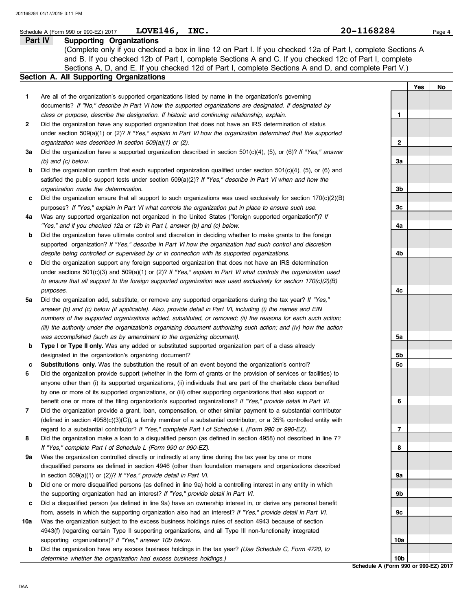|              | $LOVE146$ ,<br>INC.<br>Schedule A (Form 990 or 990-EZ) 2017                                                                                                                                                                             | 20-1168284                           | Page 4 |
|--------------|-----------------------------------------------------------------------------------------------------------------------------------------------------------------------------------------------------------------------------------------|--------------------------------------|--------|
|              | Part IV<br><b>Supporting Organizations</b>                                                                                                                                                                                              |                                      |        |
|              | (Complete only if you checked a box in line 12 on Part I. If you checked 12a of Part I, complete Sections A                                                                                                                             |                                      |        |
|              | and B. If you checked 12b of Part I, complete Sections A and C. If you checked 12c of Part I, complete                                                                                                                                  |                                      |        |
|              | Sections A, D, and E. If you checked 12d of Part I, complete Sections A and D, and complete Part V.)                                                                                                                                    |                                      |        |
|              | Section A. All Supporting Organizations                                                                                                                                                                                                 |                                      |        |
|              |                                                                                                                                                                                                                                         | Yes                                  | No     |
| 1            | Are all of the organization's supported organizations listed by name in the organization's governing                                                                                                                                    |                                      |        |
|              | documents? If "No," describe in Part VI how the supported organizations are designated. If designated by                                                                                                                                |                                      |        |
|              | class or purpose, describe the designation. If historic and continuing relationship, explain.                                                                                                                                           | 1                                    |        |
| $\mathbf{2}$ | Did the organization have any supported organization that does not have an IRS determination of status                                                                                                                                  |                                      |        |
|              | under section $509(a)(1)$ or (2)? If "Yes," explain in Part VI how the organization determined that the supported                                                                                                                       |                                      |        |
|              | organization was described in section 509(a)(1) or (2).                                                                                                                                                                                 | 2                                    |        |
| Зa           | Did the organization have a supported organization described in section $501(c)(4)$ , (5), or (6)? If "Yes," answer                                                                                                                     |                                      |        |
|              | $(b)$ and $(c)$ below.                                                                                                                                                                                                                  | За                                   |        |
| b            | Did the organization confirm that each supported organization qualified under section $501(c)(4)$ , $(5)$ , or $(6)$ and                                                                                                                |                                      |        |
|              | satisfied the public support tests under section 509(a)(2)? If "Yes," describe in Part VI when and how the                                                                                                                              |                                      |        |
|              | organization made the determination.                                                                                                                                                                                                    | 3b                                   |        |
| c            | Did the organization ensure that all support to such organizations was used exclusively for section $170(c)(2)(B)$                                                                                                                      |                                      |        |
|              | purposes? If "Yes," explain in Part VI what controls the organization put in place to ensure such use.                                                                                                                                  | 3c                                   |        |
| 4a           | Was any supported organization not organized in the United States ("foreign supported organization")? If                                                                                                                                |                                      |        |
|              | "Yes," and if you checked 12a or 12b in Part I, answer (b) and (c) below.                                                                                                                                                               | 4a                                   |        |
| b            | Did the organization have ultimate control and discretion in deciding whether to make grants to the foreign                                                                                                                             |                                      |        |
|              | supported organization? If "Yes," describe in Part VI how the organization had such control and discretion                                                                                                                              |                                      |        |
|              | despite being controlled or supervised by or in connection with its supported organizations.                                                                                                                                            | 4b                                   |        |
| с            | Did the organization support any foreign supported organization that does not have an IRS determination                                                                                                                                 |                                      |        |
|              | under sections $501(c)(3)$ and $509(a)(1)$ or (2)? If "Yes," explain in Part VI what controls the organization used                                                                                                                     |                                      |        |
|              | to ensure that all support to the foreign supported organization was used exclusively for section $170(c)(2)(B)$                                                                                                                        |                                      |        |
|              | purposes.                                                                                                                                                                                                                               | 4с                                   |        |
| 5a           | Did the organization add, substitute, or remove any supported organizations during the tax year? If "Yes,"                                                                                                                              |                                      |        |
|              | answer (b) and (c) below (if applicable). Also, provide detail in Part VI, including (i) the names and EIN                                                                                                                              |                                      |        |
|              | numbers of the supported organizations added, substituted, or removed; (ii) the reasons for each such action;                                                                                                                           |                                      |        |
|              | (iii) the authority under the organization's organizing document authorizing such action; and (iv) how the action                                                                                                                       |                                      |        |
|              | was accomplished (such as by amendment to the organizing document).                                                                                                                                                                     | 5а                                   |        |
| b            | Type I or Type II only. Was any added or substituted supported organization part of a class already                                                                                                                                     |                                      |        |
|              | designated in the organization's organizing document?                                                                                                                                                                                   | 5b                                   |        |
| c            | Substitutions only. Was the substitution the result of an event beyond the organization's control?                                                                                                                                      | <b>5c</b>                            |        |
| 6            | Did the organization provide support (whether in the form of grants or the provision of services or facilities) to                                                                                                                      |                                      |        |
|              | anyone other than (i) its supported organizations, (ii) individuals that are part of the charitable class benefited                                                                                                                     |                                      |        |
|              | by one or more of its supported organizations, or (iii) other supporting organizations that also support or                                                                                                                             |                                      |        |
|              | benefit one or more of the filing organization's supported organizations? If "Yes," provide detail in Part VI.                                                                                                                          | 6                                    |        |
| 7            | Did the organization provide a grant, loan, compensation, or other similar payment to a substantial contributor<br>(defined in section $4958(c)(3)(C)$ ), a family member of a substantial contributor, or a 35% controlled entity with |                                      |        |
|              |                                                                                                                                                                                                                                         |                                      |        |
| 8            | regard to a substantial contributor? If "Yes," complete Part I of Schedule L (Form 990 or 990-EZ).<br>Did the organization make a loan to a disqualified person (as defined in section 4958) not described in line 7?                   | 7                                    |        |
|              | If "Yes," complete Part I of Schedule L (Form 990 or 990-EZ).                                                                                                                                                                           | 8                                    |        |
| 9а           | Was the organization controlled directly or indirectly at any time during the tax year by one or more                                                                                                                                   |                                      |        |
|              | disqualified persons as defined in section 4946 (other than foundation managers and organizations described                                                                                                                             |                                      |        |
|              | in section 509(a)(1) or (2))? If "Yes," provide detail in Part VI.                                                                                                                                                                      | 9а                                   |        |
| b            | Did one or more disqualified persons (as defined in line 9a) hold a controlling interest in any entity in which                                                                                                                         |                                      |        |
|              | the supporting organization had an interest? If "Yes," provide detail in Part VI.                                                                                                                                                       | 9b                                   |        |
| c            | Did a disqualified person (as defined in line 9a) have an ownership interest in, or derive any personal benefit                                                                                                                         |                                      |        |
|              | from, assets in which the supporting organization also had an interest? If "Yes," provide detail in Part VI.                                                                                                                            | 9с                                   |        |
| 10a          | Was the organization subject to the excess business holdings rules of section 4943 because of section                                                                                                                                   |                                      |        |
|              | 4943(f) (regarding certain Type II supporting organizations, and all Type III non-functionally integrated                                                                                                                               |                                      |        |
|              | supporting organizations)? If "Yes," answer 10b below.                                                                                                                                                                                  | 10a                                  |        |
| b            | Did the organization have any excess business holdings in the tax year? (Use Schedule C, Form 4720, to                                                                                                                                  |                                      |        |
|              | determine whether the organization had excess business holdings.)                                                                                                                                                                       | 10 <sub>b</sub>                      |        |
|              |                                                                                                                                                                                                                                         | Schedule A (Form 990 or 990-EZ) 2017 |        |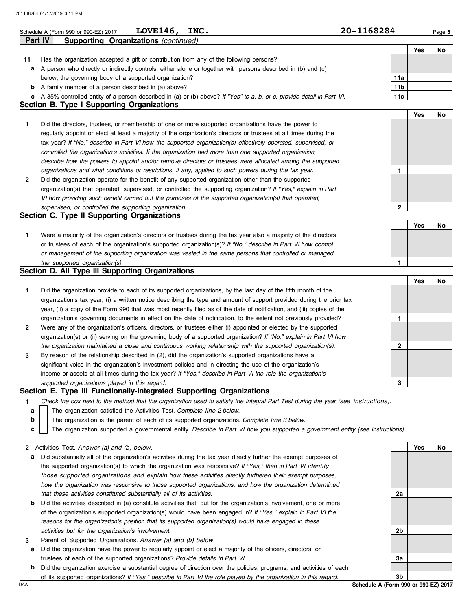|         | 01168284 01/17/2019 3:11 PM                                                                                                                                                                                            |              |     |        |
|---------|------------------------------------------------------------------------------------------------------------------------------------------------------------------------------------------------------------------------|--------------|-----|--------|
|         | <b>LOVE146,</b><br>INC.<br>Schedule A (Form 990 or 990-EZ) 2017                                                                                                                                                        | 20-1168284   |     | Page 5 |
| Part IV | Supporting Organizations (continued)                                                                                                                                                                                   |              |     |        |
|         | Has the organization accepted a gift or contribution from any of the following persons?                                                                                                                                |              | Yes | No     |
| 11<br>а | A person who directly or indirectly controls, either alone or together with persons described in (b) and (c)                                                                                                           |              |     |        |
|         | below, the governing body of a supported organization?                                                                                                                                                                 | 11a          |     |        |
| b       | A family member of a person described in (a) above?                                                                                                                                                                    | 11b          |     |        |
|         | c A 35% controlled entity of a person described in (a) or (b) above? If "Yes" to a, b, or c, provide detail in Part VI.                                                                                                | 11c          |     |        |
|         | <b>Section B. Type I Supporting Organizations</b>                                                                                                                                                                      |              |     |        |
|         |                                                                                                                                                                                                                        |              | Yes | No     |
| 1       | Did the directors, trustees, or membership of one or more supported organizations have the power to                                                                                                                    |              |     |        |
|         | regularly appoint or elect at least a majority of the organization's directors or trustees at all times during the                                                                                                     |              |     |        |
|         | tax year? If "No," describe in Part VI how the supported organization(s) effectively operated, supervised, or                                                                                                          |              |     |        |
|         | controlled the organization's activities. If the organization had more than one supported organization,                                                                                                                |              |     |        |
|         | describe how the powers to appoint and/or remove directors or trustees were allocated among the supported                                                                                                              |              |     |        |
|         | organizations and what conditions or restrictions, if any, applied to such powers during the tax year.                                                                                                                 | 1            |     |        |
| 2       | Did the organization operate for the benefit of any supported organization other than the supported                                                                                                                    |              |     |        |
|         | organization(s) that operated, supervised, or controlled the supporting organization? If "Yes," explain in Part                                                                                                        |              |     |        |
|         | VI how providing such benefit carried out the purposes of the supported organization(s) that operated,                                                                                                                 |              |     |        |
|         | supervised, or controlled the supporting organization.                                                                                                                                                                 | $\mathbf{2}$ |     |        |
|         | Section C. Type II Supporting Organizations                                                                                                                                                                            |              |     |        |
|         |                                                                                                                                                                                                                        |              | Yes | No     |
| 1       | Were a majority of the organization's directors or trustees during the tax year also a majority of the directors                                                                                                       |              |     |        |
|         | or trustees of each of the organization's supported organization(s)? If "No," describe in Part VI how control                                                                                                          |              |     |        |
|         | or management of the supporting organization was vested in the same persons that controlled or managed                                                                                                                 |              |     |        |
|         | the supported organization(s).<br>Section D. All Type III Supporting Organizations                                                                                                                                     | 1            |     |        |
|         |                                                                                                                                                                                                                        |              | Yes | No     |
| 1       | Did the organization provide to each of its supported organizations, by the last day of the fifth month of the                                                                                                         |              |     |        |
|         | organization's tax year, (i) a written notice describing the type and amount of support provided during the prior tax                                                                                                  |              |     |        |
|         | year, (ii) a copy of the Form 990 that was most recently filed as of the date of notification, and (iii) copies of the                                                                                                 |              |     |        |
|         | organization's governing documents in effect on the date of notification, to the extent not previously provided?                                                                                                       | 1            |     |        |
| 2       | Were any of the organization's officers, directors, or trustees either (i) appointed or elected by the supported                                                                                                       |              |     |        |
|         | organization(s) or (ii) serving on the governing body of a supported organization? If "No," explain in Part VI how                                                                                                     |              |     |        |
|         | the organization maintained a close and continuous working relationship with the supported organization(s).                                                                                                            | 2            |     |        |
|         | By reason of the relationship described in (2), did the organization's supported organizations have a                                                                                                                  |              |     |        |
|         | significant voice in the organization's investment policies and in directing the use of the organization's                                                                                                             |              |     |        |
|         | income or assets at all times during the tax year? If "Yes," describe in Part VI the role the organization's                                                                                                           |              |     |        |
|         | supported organizations played in this regard.                                                                                                                                                                         | 3            |     |        |
|         | Section E. Type III Functionally-Integrated Supporting Organizations                                                                                                                                                   |              |     |        |
| 1       | Check the box next to the method that the organization used to satisfy the Integral Part Test during the year (see instructions).                                                                                      |              |     |        |
| а       | The organization satisfied the Activities Test. Complete line 2 below.                                                                                                                                                 |              |     |        |
| b       | The organization is the parent of each of its supported organizations. Complete line 3 below.                                                                                                                          |              |     |        |
| c       | The organization supported a governmental entity. Describe in Part VI how you supported a government entity (see instructions).                                                                                        |              |     |        |
|         |                                                                                                                                                                                                                        |              |     |        |
| 2       | Activities Test. Answer (a) and (b) below.                                                                                                                                                                             |              | Yes | No     |
| а       | Did substantially all of the organization's activities during the tax year directly further the exempt purposes of                                                                                                     |              |     |        |
|         | the supported organization(s) to which the organization was responsive? If "Yes," then in Part VI identify<br>those supported organizations and explain how these activities directly furthered their exempt purposes, |              |     |        |
|         | how the organization was responsive to those supported organizations, and how the organization determined                                                                                                              |              |     |        |
|         | that these activities constituted substantially all of its activities.                                                                                                                                                 | 2a           |     |        |
| b       | Did the activities described in (a) constitute activities that, but for the organization's involvement, one or more                                                                                                    |              |     |        |
|         | of the organization's supported organization(s) would have been engaged in? If "Yes," explain in Part VI the                                                                                                           |              |     |        |
|         | reasons for the organization's position that its supported organization(s) would have engaged in these                                                                                                                 |              |     |        |
|         | activities but for the organization's involvement.                                                                                                                                                                     | 2b           |     |        |
| 3       | Parent of Supported Organizations. Answer (a) and (b) below.                                                                                                                                                           |              |     |        |
|         |                                                                                                                                                                                                                        |              |     |        |

- **a** Did the organization have the power to regularly appoint or elect a majority of the officers, directors, or trustees of each of the supported organizations? *Provide details in Part VI.*
- **b** Did the organization exercise a substantial degree of direction over the policies, programs, and activities of each of its supported organizations? *If "Yes," describe in Part VI the role played by the organization in this regard.*

DAA **Schedule A (Form 990 or 990-EZ) 2017 3b**

**3a**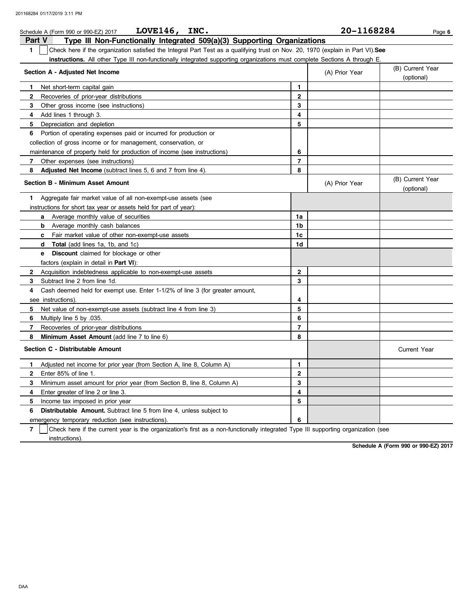|                | LOVE146,<br>INC.<br>Schedule A (Form 990 or 990-EZ) 2017                                                                         |                | 20-1168284     | Page 6                         |
|----------------|----------------------------------------------------------------------------------------------------------------------------------|----------------|----------------|--------------------------------|
| <b>Part V</b>  | Type III Non-Functionally Integrated 509(a)(3) Supporting Organizations                                                          |                |                |                                |
| 1.             | Check here if the organization satisfied the Integral Part Test as a qualifying trust on Nov. 20, 1970 (explain in Part VI). See |                |                |                                |
|                | <b>instructions.</b> All other Type III non-functionally integrated supporting organizations must complete Sections A through E. |                |                |                                |
|                | Section A - Adjusted Net Income                                                                                                  |                | (A) Prior Year | (B) Current Year<br>(optional) |
| 1              | Net short-term capital gain                                                                                                      | 1              |                |                                |
| $\mathbf{2}$   | Recoveries of prior-year distributions                                                                                           | $\mathbf{2}$   |                |                                |
| 3              | Other gross income (see instructions)                                                                                            | 3              |                |                                |
| 4              | Add lines 1 through 3.                                                                                                           | 4              |                |                                |
| 5              | Depreciation and depletion                                                                                                       | 5              |                |                                |
| 6              | Portion of operating expenses paid or incurred for production or                                                                 |                |                |                                |
|                | collection of gross income or for management, conservation, or                                                                   |                |                |                                |
|                | maintenance of property held for production of income (see instructions)                                                         | 6              |                |                                |
| 7              | Other expenses (see instructions)                                                                                                | $\overline{7}$ |                |                                |
| 8              | <b>Adjusted Net Income</b> (subtract lines 5, 6 and 7 from line 4).                                                              | 8              |                |                                |
|                | Section B - Minimum Asset Amount                                                                                                 |                | (A) Prior Year | (B) Current Year<br>(optional) |
| 1              | Aggregate fair market value of all non-exempt-use assets (see                                                                    |                |                |                                |
|                | instructions for short tax year or assets held for part of year):                                                                |                |                |                                |
|                | Average monthly value of securities<br>a                                                                                         | 1a             |                |                                |
|                | <b>b</b> Average monthly cash balances                                                                                           | 1b             |                |                                |
|                | c Fair market value of other non-exempt-use assets                                                                               | 1 <sub>c</sub> |                |                                |
|                | <b>d</b> Total (add lines 1a, 1b, and 1c)                                                                                        | 1d             |                |                                |
|                | <b>Discount</b> claimed for blockage or other<br>е                                                                               |                |                |                                |
|                | factors (explain in detail in Part VI):                                                                                          |                |                |                                |
| 2              | Acquisition indebtedness applicable to non-exempt-use assets                                                                     | $\mathbf{2}$   |                |                                |
| 3              | Subtract line 2 from line 1d.                                                                                                    | 3              |                |                                |
| 4              | Cash deemed held for exempt use. Enter 1-1/2% of line 3 (for greater amount,                                                     |                |                |                                |
|                | see instructions).                                                                                                               | 4              |                |                                |
| 5              | Net value of non-exempt-use assets (subtract line 4 from line 3)                                                                 | 5              |                |                                |
| 6              | Multiply line 5 by .035.                                                                                                         | 6              |                |                                |
| $\overline{7}$ | Recoveries of prior-year distributions                                                                                           | $\overline{7}$ |                |                                |
| 8              | Minimum Asset Amount (add line 7 to line 6)                                                                                      | 8              |                |                                |
|                | Section C - Distributable Amount                                                                                                 |                |                | <b>Current Year</b>            |
| 1              | Adjusted net income for prior year (from Section A, line 8, Column A)                                                            | $\mathbf{1}$   |                |                                |
| $\mathbf{2}$   | Enter 85% of line 1.                                                                                                             | $\mathbf{2}$   |                |                                |
| 3              | Minimum asset amount for prior year (from Section B, line 8, Column A)                                                           | 3              |                |                                |
| 4              | Enter greater of line 2 or line 3.                                                                                               | 4              |                |                                |
| 5              | Income tax imposed in prior year                                                                                                 | 5              |                |                                |
| 6              | <b>Distributable Amount.</b> Subtract line 5 from line 4, unless subject to                                                      |                |                |                                |

emergency temporary reduction (see instructions).

**7** instructions). Check here if the current year is the organization's first as a non-functionally integrated Type III supporting organization (see

**6**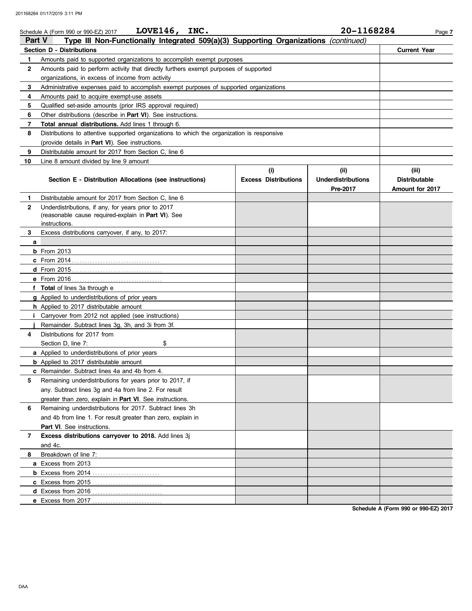| Part V       | LOVE146, INC.<br>Schedule A (Form 990 or 990-EZ) 2017<br>Type III Non-Functionally Integrated 509(a)(3) Supporting Organizations (continued) |                                    | 20-1168284                                    | Page 7                                           |
|--------------|----------------------------------------------------------------------------------------------------------------------------------------------|------------------------------------|-----------------------------------------------|--------------------------------------------------|
|              | Section D - Distributions                                                                                                                    |                                    |                                               | <b>Current Year</b>                              |
| 1            | Amounts paid to supported organizations to accomplish exempt purposes                                                                        |                                    |                                               |                                                  |
| $\mathbf{2}$ | Amounts paid to perform activity that directly furthers exempt purposes of supported                                                         |                                    |                                               |                                                  |
|              | organizations, in excess of income from activity                                                                                             |                                    |                                               |                                                  |
| 3            | Administrative expenses paid to accomplish exempt purposes of supported organizations                                                        |                                    |                                               |                                                  |
| 4            | Amounts paid to acquire exempt-use assets                                                                                                    |                                    |                                               |                                                  |
| 5            | Qualified set-aside amounts (prior IRS approval required)                                                                                    |                                    |                                               |                                                  |
| 6            | Other distributions (describe in Part VI). See instructions.                                                                                 |                                    |                                               |                                                  |
| 7            | <b>Total annual distributions.</b> Add lines 1 through 6.                                                                                    |                                    |                                               |                                                  |
| 8            | Distributions to attentive supported organizations to which the organization is responsive                                                   |                                    |                                               |                                                  |
|              | (provide details in <b>Part VI</b> ). See instructions.                                                                                      |                                    |                                               |                                                  |
| 9            | Distributable amount for 2017 from Section C, line 6                                                                                         |                                    |                                               |                                                  |
| 10           | Line 8 amount divided by line 9 amount                                                                                                       |                                    |                                               |                                                  |
|              | Section E - Distribution Allocations (see instructions)                                                                                      | (i)<br><b>Excess Distributions</b> | (ii)<br><b>Underdistributions</b><br>Pre-2017 | (iii)<br><b>Distributable</b><br>Amount for 2017 |
| 1            | Distributable amount for 2017 from Section C, line 6                                                                                         |                                    |                                               |                                                  |
| $\mathbf{2}$ | Underdistributions, if any, for years prior to 2017<br>(reasonable cause required-explain in Part VI). See<br>instructions.                  |                                    |                                               |                                                  |
| 3            | Excess distributions carryover, if any, to 2017:                                                                                             |                                    |                                               |                                                  |
| a            |                                                                                                                                              |                                    |                                               |                                                  |
|              | <b>b</b> From 2013                                                                                                                           |                                    |                                               |                                                  |
|              |                                                                                                                                              |                                    |                                               |                                                  |
|              |                                                                                                                                              |                                    |                                               |                                                  |
|              |                                                                                                                                              |                                    |                                               |                                                  |
|              | f Total of lines 3a through e                                                                                                                |                                    |                                               |                                                  |
|              | g Applied to underdistributions of prior years                                                                                               |                                    |                                               |                                                  |
|              | h Applied to 2017 distributable amount                                                                                                       |                                    |                                               |                                                  |
|              | <i>i</i> Carryover from 2012 not applied (see instructions)                                                                                  |                                    |                                               |                                                  |
|              | Remainder. Subtract lines 3g, 3h, and 3i from 3f.                                                                                            |                                    |                                               |                                                  |
| 4            | Distributions for 2017 from                                                                                                                  |                                    |                                               |                                                  |
|              | Section D, line 7:<br>\$                                                                                                                     |                                    |                                               |                                                  |
|              | a Applied to underdistributions of prior years                                                                                               |                                    |                                               |                                                  |
|              | <b>b</b> Applied to 2017 distributable amount                                                                                                |                                    |                                               |                                                  |
|              | c Remainder. Subtract lines 4a and 4b from 4.                                                                                                |                                    |                                               |                                                  |
| 5            | Remaining underdistributions for years prior to 2017, if                                                                                     |                                    |                                               |                                                  |
|              | any. Subtract lines 3g and 4a from line 2. For result                                                                                        |                                    |                                               |                                                  |
|              | greater than zero, explain in Part VI. See instructions.                                                                                     |                                    |                                               |                                                  |
| 6            | Remaining underdistributions for 2017. Subtract lines 3h                                                                                     |                                    |                                               |                                                  |
|              | and 4b from line 1. For result greater than zero, explain in                                                                                 |                                    |                                               |                                                  |
|              | Part VI. See instructions.                                                                                                                   |                                    |                                               |                                                  |
| 7            | Excess distributions carryover to 2018. Add lines 3j                                                                                         |                                    |                                               |                                                  |
|              | and 4c.                                                                                                                                      |                                    |                                               |                                                  |
| 8            | Breakdown of line 7:                                                                                                                         |                                    |                                               |                                                  |
|              | a Excess from 2013                                                                                                                           |                                    |                                               |                                                  |
|              |                                                                                                                                              |                                    |                                               |                                                  |
|              | c Excess from 2015                                                                                                                           |                                    |                                               |                                                  |
|              | d Excess from 2016                                                                                                                           |                                    |                                               |                                                  |
|              | e Excess from 2017                                                                                                                           |                                    |                                               |                                                  |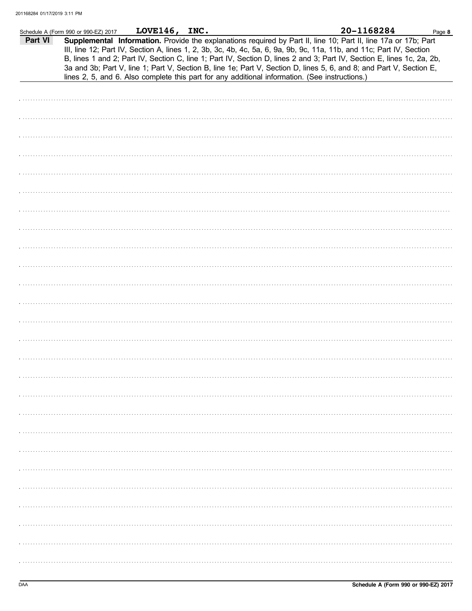|         | Schedule A (Form 990 or 990-EZ) 2017 | LOVE146, INC. |                                                                                                | 20-1168284                                                                                                                                                                                                                                                                                                                                                                                                                                                                               | Page 8 |
|---------|--------------------------------------|---------------|------------------------------------------------------------------------------------------------|------------------------------------------------------------------------------------------------------------------------------------------------------------------------------------------------------------------------------------------------------------------------------------------------------------------------------------------------------------------------------------------------------------------------------------------------------------------------------------------|--------|
| Part VI |                                      |               | lines 2, 5, and 6. Also complete this part for any additional information. (See instructions.) | Supplemental Information. Provide the explanations required by Part II, line 10; Part II, line 17a or 17b; Part<br>III, line 12; Part IV, Section A, lines 1, 2, 3b, 3c, 4b, 4c, 5a, 6, 9a, 9b, 9c, 11a, 11b, and 11c; Part IV, Section<br>B, lines 1 and 2; Part IV, Section C, line 1; Part IV, Section D, lines 2 and 3; Part IV, Section E, lines 1c, 2a, 2b,<br>3a and 3b; Part V, line 1; Part V, Section B, line 1e; Part V, Section D, lines 5, 6, and 8; and Part V, Section E, |        |
|         |                                      |               |                                                                                                |                                                                                                                                                                                                                                                                                                                                                                                                                                                                                          |        |
|         |                                      |               |                                                                                                |                                                                                                                                                                                                                                                                                                                                                                                                                                                                                          |        |
|         |                                      |               |                                                                                                |                                                                                                                                                                                                                                                                                                                                                                                                                                                                                          |        |
|         |                                      |               |                                                                                                |                                                                                                                                                                                                                                                                                                                                                                                                                                                                                          |        |
|         |                                      |               |                                                                                                |                                                                                                                                                                                                                                                                                                                                                                                                                                                                                          |        |
|         |                                      |               |                                                                                                |                                                                                                                                                                                                                                                                                                                                                                                                                                                                                          |        |
|         |                                      |               |                                                                                                |                                                                                                                                                                                                                                                                                                                                                                                                                                                                                          |        |
|         |                                      |               |                                                                                                |                                                                                                                                                                                                                                                                                                                                                                                                                                                                                          |        |
|         |                                      |               |                                                                                                |                                                                                                                                                                                                                                                                                                                                                                                                                                                                                          |        |
|         |                                      |               |                                                                                                |                                                                                                                                                                                                                                                                                                                                                                                                                                                                                          |        |
|         |                                      |               |                                                                                                |                                                                                                                                                                                                                                                                                                                                                                                                                                                                                          |        |
|         |                                      |               |                                                                                                |                                                                                                                                                                                                                                                                                                                                                                                                                                                                                          |        |
|         |                                      |               |                                                                                                |                                                                                                                                                                                                                                                                                                                                                                                                                                                                                          |        |
|         |                                      |               |                                                                                                |                                                                                                                                                                                                                                                                                                                                                                                                                                                                                          |        |
|         |                                      |               |                                                                                                |                                                                                                                                                                                                                                                                                                                                                                                                                                                                                          |        |
|         |                                      |               |                                                                                                |                                                                                                                                                                                                                                                                                                                                                                                                                                                                                          |        |
|         |                                      |               |                                                                                                |                                                                                                                                                                                                                                                                                                                                                                                                                                                                                          |        |
|         |                                      |               |                                                                                                |                                                                                                                                                                                                                                                                                                                                                                                                                                                                                          |        |
|         |                                      |               |                                                                                                |                                                                                                                                                                                                                                                                                                                                                                                                                                                                                          |        |
|         |                                      |               |                                                                                                |                                                                                                                                                                                                                                                                                                                                                                                                                                                                                          |        |
|         |                                      |               |                                                                                                |                                                                                                                                                                                                                                                                                                                                                                                                                                                                                          |        |
|         |                                      |               |                                                                                                |                                                                                                                                                                                                                                                                                                                                                                                                                                                                                          |        |
|         |                                      |               |                                                                                                |                                                                                                                                                                                                                                                                                                                                                                                                                                                                                          |        |
|         |                                      |               |                                                                                                |                                                                                                                                                                                                                                                                                                                                                                                                                                                                                          |        |
|         |                                      |               |                                                                                                |                                                                                                                                                                                                                                                                                                                                                                                                                                                                                          |        |
|         |                                      |               |                                                                                                |                                                                                                                                                                                                                                                                                                                                                                                                                                                                                          |        |
|         |                                      |               |                                                                                                |                                                                                                                                                                                                                                                                                                                                                                                                                                                                                          |        |
|         |                                      |               |                                                                                                |                                                                                                                                                                                                                                                                                                                                                                                                                                                                                          |        |
|         |                                      |               |                                                                                                |                                                                                                                                                                                                                                                                                                                                                                                                                                                                                          |        |
|         |                                      |               |                                                                                                |                                                                                                                                                                                                                                                                                                                                                                                                                                                                                          |        |
|         |                                      |               |                                                                                                |                                                                                                                                                                                                                                                                                                                                                                                                                                                                                          |        |
|         |                                      |               |                                                                                                |                                                                                                                                                                                                                                                                                                                                                                                                                                                                                          |        |
|         |                                      |               |                                                                                                |                                                                                                                                                                                                                                                                                                                                                                                                                                                                                          |        |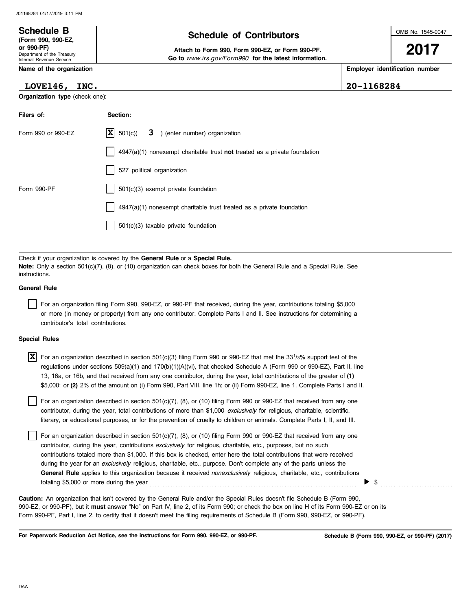#### OMB No. 1545-0047 Department of the Treasury Internal Revenue Service **Name of the organization 2017 Schedule of Contributors Schedule B (Form 990, 990-EZ, or 990-PF) Attach to Form 990, Form 990-EZ, or Form 990-PF. Employer identification number Go to** *www.irs.gov/Form990* **for the latest information.**

### **LOVE146, INC. 20-1168284**

**Organization type** (check one):

| Filers of:         | Section:                                                                    |
|--------------------|-----------------------------------------------------------------------------|
| Form 990 or 990-EZ | $ \mathbf{X} $ 501(c)(<br>$3$ ) (enter number) organization                 |
|                    | $4947(a)(1)$ nonexempt charitable trust not treated as a private foundation |
|                    | 527 political organization                                                  |
| Form 990-PF        | 501(c)(3) exempt private foundation                                         |
|                    | $4947(a)(1)$ nonexempt charitable trust treated as a private foundation     |
|                    | 501(c)(3) taxable private foundation                                        |
|                    |                                                                             |

Check if your organization is covered by the **General Rule** or a **Special Rule. Note:** Only a section 501(c)(7), (8), or (10) organization can check boxes for both the General Rule and a Special Rule. See **instructions** 

#### **General Rule**

For an organization filing Form 990, 990-EZ, or 990-PF that received, during the year, contributions totaling \$5,000 or more (in money or property) from any one contributor. Complete Parts I and II. See instructions for determining a contributor's total contributions.

#### **Special Rules**

| $\overline{X}$ For an organization described in section 501(c)(3) filing Form 990 or 990-EZ that met the 331/3% support test of the |
|-------------------------------------------------------------------------------------------------------------------------------------|
| regulations under sections 509(a)(1) and 170(b)(1)(A)(vi), that checked Schedule A (Form 990 or 990-EZ), Part II, line              |
| 13, 16a, or 16b, and that received from any one contributor, during the year, total contributions of the greater of (1)             |
| \$5,000; or (2) 2% of the amount on (i) Form 990, Part VIII, line 1h; or (ii) Form 990-EZ, line 1. Complete Parts I and II.         |

literary, or educational purposes, or for the prevention of cruelty to children or animals. Complete Parts I, II, and III. For an organization described in section 501(c)(7), (8), or (10) filing Form 990 or 990-EZ that received from any one contributor, during the year, total contributions of more than \$1,000 *exclusively* for religious, charitable, scientific,

For an organization described in section 501(c)(7), (8), or (10) filing Form 990 or 990-EZ that received from any one contributor, during the year, contributions *exclusively* for religious, charitable, etc., purposes, but no such contributions totaled more than \$1,000. If this box is checked, enter here the total contributions that were received during the year for an *exclusively* religious, charitable, etc., purpose. Don't complete any of the parts unless the **General Rule** applies to this organization because it received *nonexclusively* religious, charitable, etc., contributions totaling \$5,000 or more during the year  $\ldots$   $\ldots$   $\ldots$   $\ldots$   $\ldots$   $\ldots$   $\ldots$   $\ldots$   $\ldots$   $\ldots$ 

990-EZ, or 990-PF), but it **must** answer "No" on Part IV, line 2, of its Form 990; or check the box on line H of its Form 990-EZ or on its Form 990-PF, Part I, line 2, to certify that it doesn't meet the filing requirements of Schedule B (Form 990, 990-EZ, or 990-PF). **Caution:** An organization that isn't covered by the General Rule and/or the Special Rules doesn't file Schedule B (Form 990,

**For Paperwork Reduction Act Notice, see the instructions for Form 990, 990-EZ, or 990-PF.**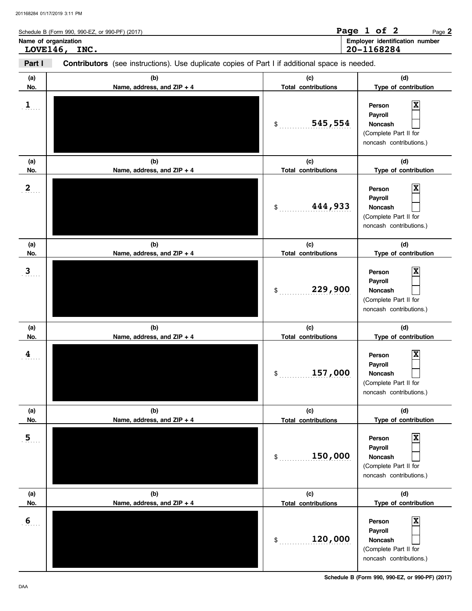| Schedule B (Form 990, 990-EZ, or 990-PF) (2017) | Page 1 of '<br>Page 2          |
|-------------------------------------------------|--------------------------------|
| Name of organization                            | Employer identification number |
| <b>LOVE146,</b><br>INC.                         | 20-1168284                     |
|                                                 |                                |

| Part I         | Contributors (see instructions). Use duplicate copies of Part I if additional space is needed. |                                   |                                                                                                               |  |  |  |  |  |
|----------------|------------------------------------------------------------------------------------------------|-----------------------------------|---------------------------------------------------------------------------------------------------------------|--|--|--|--|--|
| (a)<br>No.     | (b)<br>Name, address, and ZIP + 4                                                              | (c)<br><b>Total contributions</b> | (d)<br>Type of contribution                                                                                   |  |  |  |  |  |
| 1              |                                                                                                | 545,554<br>$\frac{1}{2}$          | $\overline{\mathbf{x}}$<br>Person<br>Payroll<br>Noncash<br>(Complete Part II for<br>noncash contributions.)   |  |  |  |  |  |
| (a)<br>No.     | (b)<br>Name, address, and ZIP + 4                                                              | (c)<br><b>Total contributions</b> | (d)<br>Type of contribution                                                                                   |  |  |  |  |  |
| $2_{\ldots}$   |                                                                                                | 444,933<br>$\mathsf{\$}$          | X<br>Person<br>Payroll<br>Noncash<br>(Complete Part II for<br>noncash contributions.)                         |  |  |  |  |  |
| (a)<br>No.     | (b)<br>Name, address, and ZIP + 4                                                              | (c)<br><b>Total contributions</b> | (d)                                                                                                           |  |  |  |  |  |
| $\overline{3}$ |                                                                                                | 229,900<br>\$                     | Type of contribution<br>X<br>Person<br>Payroll<br>Noncash<br>(Complete Part II for<br>noncash contributions.) |  |  |  |  |  |
| (a)<br>No.     | (b)<br>Name, address, and ZIP + 4                                                              | (c)<br><b>Total contributions</b> | (d)<br>Type of contribution                                                                                   |  |  |  |  |  |
| $\frac{4}{1}$  |                                                                                                | 157,000<br>\$                     | X<br>Person<br>Payroll<br>Noncash<br>(Complete Part II for<br>noncash contributions.)                         |  |  |  |  |  |
| (a)<br>No.     | (b)<br>Name, address, and ZIP + 4                                                              | (c)<br><b>Total contributions</b> | (d)<br>Type of contribution                                                                                   |  |  |  |  |  |
| 5 <sub>1</sub> |                                                                                                | 150,000<br>\$                     | X<br>Person<br>Payroll<br>Noncash<br>(Complete Part II for<br>noncash contributions.)                         |  |  |  |  |  |
| (a)<br>No.     | (b)<br>Name, address, and ZIP + 4                                                              | (c)<br><b>Total contributions</b> | (d)<br>Type of contribution                                                                                   |  |  |  |  |  |
| 6 <sub>1</sub> |                                                                                                | 120,000<br>\$                     | X<br>Person<br>Payroll<br>Noncash<br>(Complete Part II for<br>noncash contributions.)                         |  |  |  |  |  |

**Schedule B (Form 990, 990-EZ, or 990-PF) (2017)**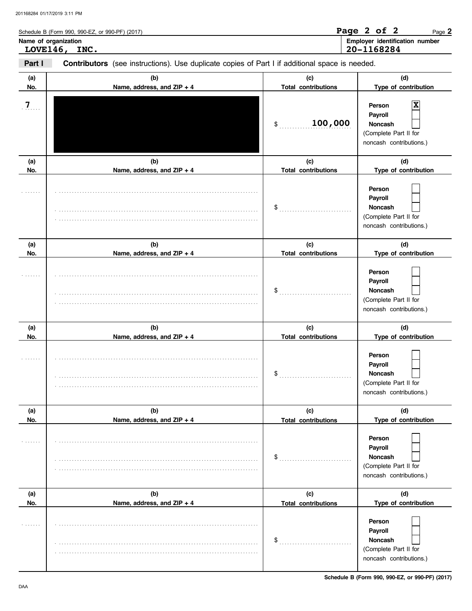|                 | 201168284 01/17/2019 3:11 PM                                                                          |                                   |                                                                                                     |  |
|-----------------|-------------------------------------------------------------------------------------------------------|-----------------------------------|-----------------------------------------------------------------------------------------------------|--|
| <b>LOVE146,</b> | Schedule B (Form 990, 990-EZ, or 990-PF) (2017)<br>Name of organization<br>INC.                       |                                   | Page 2 of 2<br>Page 2<br>Employer identification number<br>20-1168284                               |  |
| Part I          | <b>Contributors</b> (see instructions). Use duplicate copies of Part I if additional space is needed. |                                   |                                                                                                     |  |
| (a)<br>No.      | (b)<br>Name, address, and ZIP + 4                                                                     | (c)<br><b>Total contributions</b> | (d)<br>Type of contribution                                                                         |  |
| 7               |                                                                                                       | 100,000<br>\$                     | X<br>Person<br><b>Payroll</b><br><b>Noncash</b><br>(Complete Part II for<br>noncash contributions.) |  |
| (a)             | (b)                                                                                                   | (c)                               | (d)                                                                                                 |  |
| No.             | Name, address, and ZIP + 4                                                                            | <b>Total contributions</b>        | Type of contribution                                                                                |  |
|                 |                                                                                                       | \$                                | Person<br>Payroll<br><b>Noncash</b><br>(Complete Part II for<br>noncash contributions.)             |  |
| (a)             | (b)                                                                                                   | (c)                               | (d)                                                                                                 |  |
| No.             | Name, address, and ZIP + 4                                                                            | <b>Total contributions</b>        | Type of contribution                                                                                |  |

**(a) (b) (c) (d) No. Name, address, and ZIP + 4 Type of contribution**

**(a) (b) (c) (d)** No. No. Name, address, and ZIP + 4 **Total contributions** Type of contribution

**(a) (b) (c) (d)** No. Name, address, and ZIP + 4 **Total contributions** Type of contribution

. . . . . . . . . . . . . . . . . . . . . . . . . . . . . . . . . . . . . . . . . . . . . . . . . . . . . . . . . . . . . . . . . . . . . . . . . . . . . . . . . . . . . . . . . . . . . . . . . . . . . . . . . . . . . . . . . . . . . . . . . . . . . . . . . . . . . . . . . . . . . . . . . . . . . . . . . . . .

. . . . . . . . . . . . . . . . . . . . . . . . . . . . . . . . . . . . . . . . . . . . . . . . . . . . . . . . . . . . . . . . . . . . . . . . . . . . . .

. . . . . . . . . . . . . . . . . . . . . . . . . . . . . . . . . . . . . . . . . . . . . . . . . . . . . . . . . . . . . . . . . . . . . . . . . . . . . .

. . . . . . . . . . . . . . . . . . . . . . . . . . . . . . . . . . . . . . . . . . . . . . . . . . . . . . . . . . . . . . . . . . . . . . . . . . . . . . . . . . . . . . . . . . . . . . . . . . . . . . . . . . . . . . . . . . . . . . . . . . . . . . . . . . . . . . . . . . . . . . . . . . . . . . . . . . . .

. . . . . . . . . . . . . . . . . . . . . . . . . . . . . . . . . . . . . . . . . . . . . . . . . . . . . . . . . . . . . . . . . . . . . . . . . . . . . .

. . . . . . . . . . . . . . . . . . . . . . . . . . . . . . . . . . . . . . . . . . . . . . . . . . . . . . . . . . . . . . . . . . . . . . . . . . . . . .

. . . . . . . . . . . . . . . . . . . . . . . . . . . . . . . . . . . . . . . . . . . . . . . . . . . . . . . . . . . . . . . . . . . . . . . . . . . . . . . . . . . . . . . . . . . . . . . . . . . . . . . . . . . . . . . . . . . . . . . . . . . . . . . . . . . . . . . . . . . . . . . . . . . . . . . . . . . .

. . . . . . . . . . . . . . . . . . . . . . . . . . . . . . . . . . . . . . . . . . . . . . . . . . . . . . . . . . . . . . . . . . . . . . . . . . . . . . . . . . . . . . . . . . . . . . . . . . . . . . . . . . . . . . . . . . . . . . . . . . . . . . . . . . . . . . . . . . . . . . . . . . . . . . . . . . . .

| Schedule B (Form 990, 990-EZ, or 990-PF) (2017) |  |  |  |  |
|-------------------------------------------------|--|--|--|--|

(Complete Part II for noncash contributions.)

**Person Payroll Noncash**

(Complete Part II for noncash contributions.)

(Complete Part II for noncash contributions.)

(Complete Part II for noncash contributions.)

\$ . . . . . . . . . . . . . . . . . . . . . . . . . . . .

\$ . . . . . . . . . . . . . . . . . . . . . . . . . . . .

**Total contributions**

**Total contributions**

**Total contributions**

 $\frac{1}{2}$ 

 $\mathfrak s$ 

**Person Payroll Noncash**

**Person Payroll Noncash**

**Person Payroll Noncash**

. . . . . . .

. . . . . . .

. . . . . . .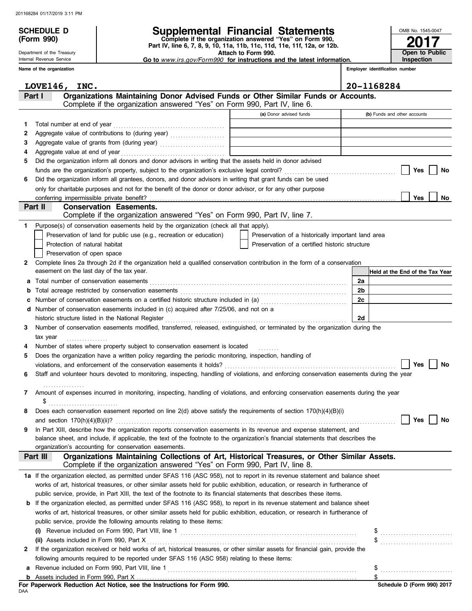**(Form 990)**

Department of the Treasury Internal Revenue Service

# **SCHEDULE D Supplemental Financial Statements**

**Part IV, line 6, 7, 8, 9, 10, 11a, 11b, 11c, 11d, 11e, 11f, 12a, or 12b. Complete if the organization answered "Yes" on Form 990,**

 **Attach to Form 990.** 

 **Go to** *www.irs.gov/Form990* **for instructions and the latest information.**

**Employer identification number**

**2017**

**Open to Public Inspection**

OMB No. 1545-0047

|    | Name of the organization                                                                                                                                                                                                                                            |                                                    | Employer identification number  |
|----|---------------------------------------------------------------------------------------------------------------------------------------------------------------------------------------------------------------------------------------------------------------------|----------------------------------------------------|---------------------------------|
|    | LOVE146, INC.                                                                                                                                                                                                                                                       |                                                    | 20-1168284                      |
|    | Organizations Maintaining Donor Advised Funds or Other Similar Funds or Accounts.<br>Part I                                                                                                                                                                         |                                                    |                                 |
|    | Complete if the organization answered "Yes" on Form 990, Part IV, line 6.                                                                                                                                                                                           |                                                    |                                 |
|    |                                                                                                                                                                                                                                                                     | (a) Donor advised funds                            | (b) Funds and other accounts    |
| 1. | Total number at end of year                                                                                                                                                                                                                                         |                                                    |                                 |
| 2  |                                                                                                                                                                                                                                                                     |                                                    |                                 |
| 3  | Aggregate value of grants from (during year) Mathematics and the mathematics of the Maggregate value of grants from (during year)                                                                                                                                   |                                                    |                                 |
| 4  |                                                                                                                                                                                                                                                                     |                                                    |                                 |
| 5. | Did the organization inform all donors and donor advisors in writing that the assets held in donor advised                                                                                                                                                          |                                                    |                                 |
|    |                                                                                                                                                                                                                                                                     |                                                    | Yes<br>No                       |
| 6  | Did the organization inform all grantees, donors, and donor advisors in writing that grant funds can be used                                                                                                                                                        |                                                    |                                 |
|    | only for charitable purposes and not for the benefit of the donor or donor advisor, or for any other purpose                                                                                                                                                        |                                                    |                                 |
|    |                                                                                                                                                                                                                                                                     |                                                    | <b>Yes</b><br>No                |
|    | <b>Conservation Easements.</b><br>Part II                                                                                                                                                                                                                           |                                                    |                                 |
|    | Complete if the organization answered "Yes" on Form 990, Part IV, line 7.                                                                                                                                                                                           |                                                    |                                 |
| 1. | Purpose(s) of conservation easements held by the organization (check all that apply).                                                                                                                                                                               |                                                    |                                 |
|    | Preservation of land for public use (e.g., recreation or education)                                                                                                                                                                                                 | Preservation of a historically important land area |                                 |
|    | Protection of natural habitat                                                                                                                                                                                                                                       | Preservation of a certified historic structure     |                                 |
|    | Preservation of open space                                                                                                                                                                                                                                          |                                                    |                                 |
| 2  | Complete lines 2a through 2d if the organization held a qualified conservation contribution in the form of a conservation<br>easement on the last day of the tax year.                                                                                              |                                                    |                                 |
|    |                                                                                                                                                                                                                                                                     |                                                    | Held at the End of the Tax Year |
| а  |                                                                                                                                                                                                                                                                     |                                                    | 2a                              |
| b  |                                                                                                                                                                                                                                                                     |                                                    | 2b                              |
| c  | Number of conservation easements on a certified historic structure included in (a) [[[[[[[[[[[[[[[[[[[[[[[[[]]]]]]]                                                                                                                                                 |                                                    | 2c                              |
| d  | Number of conservation easements included in (c) acquired after 7/25/06, and not on a<br>historic structure listed in the National Register                                                                                                                         |                                                    | 2d                              |
| 3  | Number of conservation easements modified, transferred, released, extinguished, or terminated by the organization during the                                                                                                                                        |                                                    |                                 |
|    | tax year                                                                                                                                                                                                                                                            |                                                    |                                 |
|    | Number of states where property subject to conservation easement is located                                                                                                                                                                                         |                                                    |                                 |
| 5  | Does the organization have a written policy regarding the periodic monitoring, inspection, handling of                                                                                                                                                              |                                                    |                                 |
|    |                                                                                                                                                                                                                                                                     |                                                    | Yes<br>No                       |
| 6  | Staff and volunteer hours devoted to monitoring, inspecting, handling of violations, and enforcing conservation easements during the year                                                                                                                           |                                                    |                                 |
|    |                                                                                                                                                                                                                                                                     |                                                    |                                 |
| 7  | Amount of expenses incurred in monitoring, inspecting, handling of violations, and enforcing conservation easements during the year                                                                                                                                 |                                                    |                                 |
|    | \$                                                                                                                                                                                                                                                                  |                                                    |                                 |
|    | Does each conservation easement reported on line 2(d) above satisfy the requirements of section 170(h)(4)(B)(i)                                                                                                                                                     |                                                    |                                 |
|    |                                                                                                                                                                                                                                                                     |                                                    | Yes<br>No                       |
| 9  | In Part XIII, describe how the organization reports conservation easements in its revenue and expense statement, and                                                                                                                                                |                                                    |                                 |
|    | balance sheet, and include, if applicable, the text of the footnote to the organization's financial statements that describes the                                                                                                                                   |                                                    |                                 |
|    | organization's accounting for conservation easements.                                                                                                                                                                                                               |                                                    |                                 |
|    | Organizations Maintaining Collections of Art, Historical Treasures, or Other Similar Assets.<br>Part III<br>Complete if the organization answered "Yes" on Form 990, Part IV, line 8.                                                                               |                                                    |                                 |
|    |                                                                                                                                                                                                                                                                     |                                                    |                                 |
|    | 1a If the organization elected, as permitted under SFAS 116 (ASC 958), not to report in its revenue statement and balance sheet<br>works of art, historical treasures, or other similar assets held for public exhibition, education, or research in furtherance of |                                                    |                                 |
|    | public service, provide, in Part XIII, the text of the footnote to its financial statements that describes these items.                                                                                                                                             |                                                    |                                 |
|    | <b>b</b> If the organization elected, as permitted under SFAS 116 (ASC 958), to report in its revenue statement and balance sheet                                                                                                                                   |                                                    |                                 |
|    | works of art, historical treasures, or other similar assets held for public exhibition, education, or research in furtherance of                                                                                                                                    |                                                    |                                 |
|    | public service, provide the following amounts relating to these items:                                                                                                                                                                                              |                                                    |                                 |
|    |                                                                                                                                                                                                                                                                     |                                                    | \$                              |
|    | (ii) Assets included in Form 990, Part X                                                                                                                                                                                                                            |                                                    |                                 |
| 2  | If the organization received or held works of art, historical treasures, or other similar assets for financial gain, provide the                                                                                                                                    |                                                    |                                 |
|    | following amounts required to be reported under SFAS 116 (ASC 958) relating to these items:                                                                                                                                                                         |                                                    |                                 |
| а  |                                                                                                                                                                                                                                                                     |                                                    | \$                              |
|    |                                                                                                                                                                                                                                                                     |                                                    | S                               |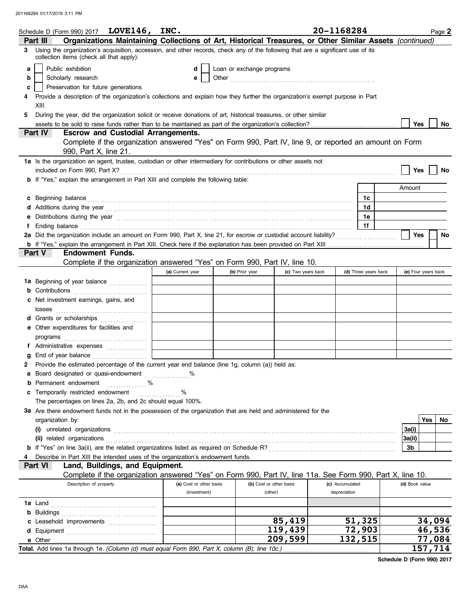|   | Schedule D (Form 990) 2017 $LOVE146$ ,                                                                                                                                                                                               | INC.                    |                           |                        | 20-1168284           | Page 2              |
|---|--------------------------------------------------------------------------------------------------------------------------------------------------------------------------------------------------------------------------------------|-------------------------|---------------------------|------------------------|----------------------|---------------------|
|   | Organizations Maintaining Collections of Art, Historical Treasures, or Other Similar Assets (continued)<br>Part III                                                                                                                  |                         |                           |                        |                      |                     |
| 3 | Using the organization's acquisition, accession, and other records, check any of the following that are a significant use of its<br>collection items (check all that apply):                                                         |                         |                           |                        |                      |                     |
| a | Public exhibition                                                                                                                                                                                                                    | d                       | Loan or exchange programs |                        |                      |                     |
| b | Scholarly research                                                                                                                                                                                                                   | е                       |                           |                        |                      |                     |
|   | Preservation for future generations                                                                                                                                                                                                  |                         |                           |                        |                      |                     |
| c |                                                                                                                                                                                                                                      |                         |                           |                        |                      |                     |
|   | Provide a description of the organization's collections and explain how they further the organization's exempt purpose in Part<br>XIII.                                                                                              |                         |                           |                        |                      |                     |
| 5 | During the year, did the organization solicit or receive donations of art, historical treasures, or other similar                                                                                                                    |                         |                           |                        |                      |                     |
|   |                                                                                                                                                                                                                                      |                         |                           |                        |                      | Yes<br>No           |
|   | <b>Escrow and Custodial Arrangements.</b><br><b>Part IV</b>                                                                                                                                                                          |                         |                           |                        |                      |                     |
|   | Complete if the organization answered "Yes" on Form 990, Part IV, line 9, or reported an amount on Form<br>990, Part X, line 21.                                                                                                     |                         |                           |                        |                      |                     |
|   | 1a Is the organization an agent, trustee, custodian or other intermediary for contributions or other assets not                                                                                                                      |                         |                           |                        |                      |                     |
|   |                                                                                                                                                                                                                                      |                         |                           |                        |                      | Yes<br>No           |
|   | <b>b</b> If "Yes," explain the arrangement in Part XIII and complete the following table:                                                                                                                                            |                         |                           |                        |                      |                     |
|   |                                                                                                                                                                                                                                      |                         |                           |                        |                      | Amount              |
|   | c Beginning balance <b>contract the contract of the contract of the contract of the contract of the contract of the contract of the contract of the contract of the contract of the contract of the contract of the contract of </b> |                         |                           |                        | 1c                   |                     |
|   |                                                                                                                                                                                                                                      |                         |                           |                        | 1d                   |                     |
|   | e Distributions during the year manufactured contains and the year manufactured with the vector of the vector of the vector of the vector of the vector of the vector of the vector of the vector of the vector of the vector        |                         |                           |                        | 1e                   |                     |
|   | f Ending balance $\ldots$ and $\ldots$ are all the contract of the contract of the contract of the contract of the contract of the contract of the contract of the contract of the contract of the contract of the contract of the   |                         |                           |                        | 1f                   |                     |
|   |                                                                                                                                                                                                                                      |                         |                           |                        |                      | Yes<br>No           |
|   |                                                                                                                                                                                                                                      |                         |                           |                        |                      |                     |
|   | Part V<br><b>Endowment Funds.</b>                                                                                                                                                                                                    |                         |                           |                        |                      |                     |
|   | Complete if the organization answered "Yes" on Form 990, Part IV, line 10.                                                                                                                                                           |                         |                           |                        |                      |                     |
|   |                                                                                                                                                                                                                                      | (a) Current year        | (b) Prior year            | (c) Two years back     | (d) Three years back | (e) Four years back |
|   |                                                                                                                                                                                                                                      |                         |                           |                        |                      |                     |
|   | 1a Beginning of year balance                                                                                                                                                                                                         |                         |                           |                        |                      |                     |
|   | <b>b</b> Contributions <b>contributions</b>                                                                                                                                                                                          |                         |                           |                        |                      |                     |
|   | c Net investment earnings, gains, and                                                                                                                                                                                                |                         |                           |                        |                      |                     |
|   | losses                                                                                                                                                                                                                               |                         |                           |                        |                      |                     |
|   | d Grants or scholarships                                                                                                                                                                                                             |                         |                           |                        |                      |                     |
|   | e Other expenditures for facilities and                                                                                                                                                                                              |                         |                           |                        |                      |                     |
|   |                                                                                                                                                                                                                                      |                         |                           |                        |                      |                     |
|   | f Administrative expenses                                                                                                                                                                                                            |                         |                           |                        |                      |                     |
|   |                                                                                                                                                                                                                                      |                         |                           |                        |                      |                     |
|   | 2 Provide the estimated percentage of the current year end balance (line 1g, column (a)) held as:                                                                                                                                    |                         |                           |                        |                      |                     |
|   | <b>a</b> Board designated or quasi-endowment                                                                                                                                                                                         |                         |                           |                        |                      |                     |
|   | <b>b</b> Permanent endowment<br>℅                                                                                                                                                                                                    |                         |                           |                        |                      |                     |
|   | c Temporarily restricted endowment                                                                                                                                                                                                   | %<br>.                  |                           |                        |                      |                     |
|   | The percentages on lines 2a, 2b, and 2c should equal 100%.                                                                                                                                                                           |                         |                           |                        |                      |                     |
|   | 3a Are there endowment funds not in the possession of the organization that are held and administered for the                                                                                                                        |                         |                           |                        |                      |                     |
|   | organization by:                                                                                                                                                                                                                     |                         |                           |                        |                      | Yes<br>No           |
|   |                                                                                                                                                                                                                                      |                         |                           |                        |                      | 3a(i)               |
|   | (ii) related organizations entertainment and all the contract of the contract of the contract or contract or contract or contract or contract or contract or contract or contract or contract or contract or contract or contr       |                         |                           |                        |                      | 3a(ii)              |
|   |                                                                                                                                                                                                                                      |                         |                           |                        |                      | 3b                  |
|   | Describe in Part XIII the intended uses of the organization's endowment funds.                                                                                                                                                       |                         |                           |                        |                      |                     |
|   | Part VI<br>Land, Buildings, and Equipment.                                                                                                                                                                                           |                         |                           |                        |                      |                     |
|   | Complete if the organization answered "Yes" on Form 990, Part IV, line 11a. See Form 990, Part X, line 10.                                                                                                                           |                         |                           |                        |                      |                     |
|   | Description of property                                                                                                                                                                                                              | (a) Cost or other basis | (b) Cost or other basis   |                        | (c) Accumulated      | (d) Book value      |
|   |                                                                                                                                                                                                                                      | (investment)            | (other)                   |                        | depreciation         |                     |
|   |                                                                                                                                                                                                                                      |                         |                           |                        |                      |                     |
|   |                                                                                                                                                                                                                                      |                         |                           |                        |                      |                     |
|   | c Leasehold improvements                                                                                                                                                                                                             |                         |                           | 85,419                 | 51,325               | 34,094              |
|   |                                                                                                                                                                                                                                      |                         |                           | 119,439                | 72,903               | 46,536              |
|   | e Other                                                                                                                                                                                                                              |                         |                           | $\overline{209}$ , 599 | 132,515              | 77,084              |
|   | Total. Add lines 1a through 1e. (Column (d) must equal Form 990, Part X, column (B), line 10c.)                                                                                                                                      |                         |                           |                        |                      | 157,714             |
|   |                                                                                                                                                                                                                                      |                         |                           |                        |                      |                     |

**Schedule D (Form 990) 2017**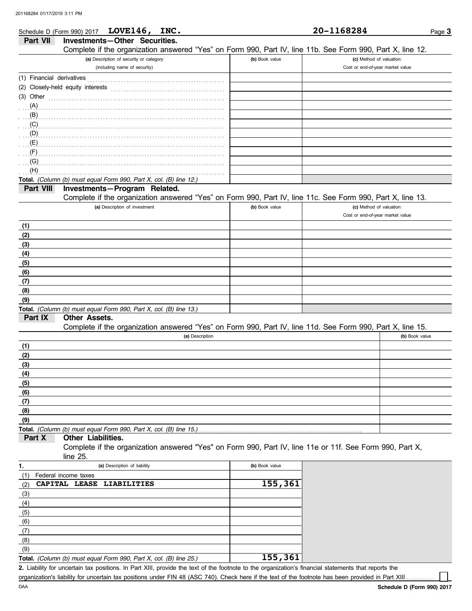|                           | Schedule D (Form 990) 2017 $LOVE146$ ,<br>INC.                                                                                              |                | 20-1168284                                                   | Page 3         |
|---------------------------|---------------------------------------------------------------------------------------------------------------------------------------------|----------------|--------------------------------------------------------------|----------------|
| <b>Part VII</b>           | Investments-Other Securities.                                                                                                               |                |                                                              |                |
|                           | Complete if the organization answered "Yes" on Form 990, Part IV, line 11b. See Form 990, Part X, line 12.                                  |                |                                                              |                |
|                           | (a) Description of security or category<br>(including name of security)                                                                     | (b) Book value | (c) Method of valuation:<br>Cost or end-of-year market value |                |
| (1) Financial derivatives |                                                                                                                                             |                |                                                              |                |
|                           |                                                                                                                                             |                |                                                              |                |
|                           | (3) Other $\ldots$ and $\ldots$ and $\ldots$ and $\ldots$                                                                                   |                |                                                              |                |
|                           |                                                                                                                                             |                |                                                              |                |
|                           |                                                                                                                                             |                |                                                              |                |
|                           |                                                                                                                                             |                |                                                              |                |
|                           |                                                                                                                                             |                |                                                              |                |
|                           |                                                                                                                                             |                |                                                              |                |
| (G)                       |                                                                                                                                             |                |                                                              |                |
| (H)                       |                                                                                                                                             |                |                                                              |                |
|                           | Total. (Column (b) must equal Form 990, Part X, col. (B) line 12.)                                                                          |                |                                                              |                |
| Part VIII                 | Investments-Program Related.                                                                                                                |                |                                                              |                |
|                           | Complete if the organization answered "Yes" on Form 990, Part IV, line 11c. See Form 990, Part X, line 13.<br>(a) Description of investment | (b) Book value | (c) Method of valuation:                                     |                |
|                           |                                                                                                                                             |                | Cost or end-of-year market value                             |                |
| (1)                       |                                                                                                                                             |                |                                                              |                |
| (2)                       |                                                                                                                                             |                |                                                              |                |
| (3)                       |                                                                                                                                             |                |                                                              |                |
| (4)                       |                                                                                                                                             |                |                                                              |                |
| (5)                       |                                                                                                                                             |                |                                                              |                |
| (6)                       |                                                                                                                                             |                |                                                              |                |
| (7)<br>(8)                |                                                                                                                                             |                |                                                              |                |
| (9)                       |                                                                                                                                             |                |                                                              |                |
|                           | Total. (Column (b) must equal Form 990, Part X, col. (B) line 13.)                                                                          |                |                                                              |                |
| Part IX                   | <b>Other Assets.</b>                                                                                                                        |                |                                                              |                |
|                           | Complete if the organization answered "Yes" on Form 990, Part IV, line 11d. See Form 990, Part X, line 15.                                  |                |                                                              |                |
|                           | (a) Description                                                                                                                             |                |                                                              | (b) Book value |
| (1)                       |                                                                                                                                             |                |                                                              |                |
| (2)<br>(3)                |                                                                                                                                             |                |                                                              |                |
| (4)                       |                                                                                                                                             |                |                                                              |                |
| (5)                       |                                                                                                                                             |                |                                                              |                |
| (6)                       |                                                                                                                                             |                |                                                              |                |
| (7)                       |                                                                                                                                             |                |                                                              |                |
| (8)                       |                                                                                                                                             |                |                                                              |                |
| (9)                       |                                                                                                                                             |                |                                                              |                |
| Part X                    | Total. (Column (b) must equal Form 990, Part X, col. (B) line 15.)<br>Other Liabilities.                                                    |                |                                                              |                |
|                           | Complete if the organization answered "Yes" on Form 990, Part IV, line 11e or 11f. See Form 990, Part X,                                    |                |                                                              |                |
|                           | line $25$ .                                                                                                                                 |                |                                                              |                |
| 1.                        | (a) Description of liability                                                                                                                | (b) Book value |                                                              |                |
| (1)                       | Federal income taxes                                                                                                                        |                |                                                              |                |
| (2)                       | CAPITAL LEASE LIABILITIES                                                                                                                   | 155,361        |                                                              |                |
| (3)                       |                                                                                                                                             |                |                                                              |                |
| (4)                       |                                                                                                                                             |                |                                                              |                |
| (5)                       |                                                                                                                                             |                |                                                              |                |
| (6)<br>(7)                |                                                                                                                                             |                |                                                              |                |
| (8)                       |                                                                                                                                             |                |                                                              |                |
| (9)                       |                                                                                                                                             |                |                                                              |                |
|                           | Total. (Column (b) must equal Form 990, Part X, col. (B) line 25.)                                                                          | 155,361        |                                                              |                |

| 2. Liability for uncertain tax positions. In Part XIII, provide the text of the footnote to the organization's financial statements that reports the |  |
|------------------------------------------------------------------------------------------------------------------------------------------------------|--|
| organization's liability for uncertain tax positions under FIN 48 (ASC 740). Check here if the text of the footnote has been provided in Part XIII   |  |

| $E146$ , INC. | 20-1168284 |
|---------------|------------|
|               |            |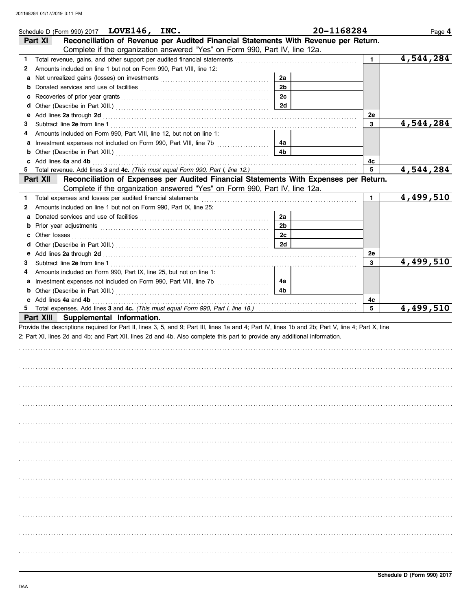|              | Schedule D (Form 990) 2017 LOVE146, INC.                                                                                                                                                                                      |                                                                                                                | 20-1168284   | Page 4    |
|--------------|-------------------------------------------------------------------------------------------------------------------------------------------------------------------------------------------------------------------------------|----------------------------------------------------------------------------------------------------------------|--------------|-----------|
|              | Reconciliation of Revenue per Audited Financial Statements With Revenue per Return.<br>Part XI                                                                                                                                |                                                                                                                |              |           |
|              | Complete if the organization answered "Yes" on Form 990, Part IV, line 12a.                                                                                                                                                   |                                                                                                                |              |           |
| 1            | Total revenue, gains, and other support per audited financial statements                                                                                                                                                      | and a complete the contract of the complete the complete the complete the complete the complete the complete t | $\mathbf{1}$ | 4,544,284 |
| 2            | Amounts included on line 1 but not on Form 990, Part VIII, line 12:                                                                                                                                                           |                                                                                                                |              |           |
|              | a Net unrealized gains (losses) on investments [11] [11] Net uncontained a Net unrealized gains (losses) on investments [11] [12] $\cdot$                                                                                     | 2a                                                                                                             |              |           |
|              |                                                                                                                                                                                                                               | 2 <sub>b</sub>                                                                                                 |              |           |
|              |                                                                                                                                                                                                                               | 2c                                                                                                             |              |           |
| d            |                                                                                                                                                                                                                               | 2d                                                                                                             |              |           |
|              |                                                                                                                                                                                                                               |                                                                                                                | 2e           |           |
| 3            |                                                                                                                                                                                                                               |                                                                                                                | 3            | 4,544,284 |
| 4            | Amounts included on Form 990, Part VIII, line 12, but not on line 1:                                                                                                                                                          |                                                                                                                |              |           |
|              | a Investment expenses not included on Form 990, Part VIII, line 7b                                                                                                                                                            | 4a                                                                                                             |              |           |
|              |                                                                                                                                                                                                                               | 4b                                                                                                             |              |           |
|              | c Add lines 4a and 4b                                                                                                                                                                                                         |                                                                                                                | 4c           |           |
|              |                                                                                                                                                                                                                               |                                                                                                                | 5            | 4,544,284 |
|              | Reconciliation of Expenses per Audited Financial Statements With Expenses per Return.<br>Part XII                                                                                                                             |                                                                                                                |              |           |
|              | Complete if the organization answered "Yes" on Form 990, Part IV, line 12a.                                                                                                                                                   |                                                                                                                |              |           |
| 1.           |                                                                                                                                                                                                                               |                                                                                                                | $\mathbf{1}$ | 4,499,510 |
| $\mathbf{2}$ | Amounts included on line 1 but not on Form 990, Part IX, line 25:                                                                                                                                                             |                                                                                                                |              |           |
|              | a Donated services and use of facilities [[11][11] contracts: [11] contracts: [11] contracts: [11] contracts: [11] contracts: [11] contracts: [11] contracts: [11] contracts: [11] contracts: [11] contracts: [11] contracts: | 2a                                                                                                             |              |           |
|              |                                                                                                                                                                                                                               | <b>2b</b>                                                                                                      |              |           |
|              | <b>c</b> Other losses                                                                                                                                                                                                         | 2c                                                                                                             |              |           |
|              |                                                                                                                                                                                                                               | 2d                                                                                                             |              |           |
|              |                                                                                                                                                                                                                               |                                                                                                                | 2e           |           |
| 3            |                                                                                                                                                                                                                               |                                                                                                                | 3            | 4,499,510 |
| 4            | Amounts included on Form 990, Part IX, line 25, but not on line 1:                                                                                                                                                            |                                                                                                                |              |           |
|              | a Investment expenses not included on Form 990, Part VIII, line 7b                                                                                                                                                            | 4a                                                                                                             |              |           |
|              |                                                                                                                                                                                                                               | 4 <sub>b</sub>                                                                                                 |              |           |
|              | c Add lines 4a and 4b                                                                                                                                                                                                         |                                                                                                                | 4c           |           |
|              | Part XIII Supplemental Information.                                                                                                                                                                                           |                                                                                                                | 5            | 4,499,510 |
|              | Provide the descriptions required for Part II, lines 3, 5, and 9; Part III, lines 1a and 4; Part IV, lines 1b and 2b; Part V, line 4; Part X, line                                                                            |                                                                                                                |              |           |
|              | 2; Part XI, lines 2d and 4b; and Part XII, lines 2d and 4b. Also complete this part to provide any additional information.                                                                                                    |                                                                                                                |              |           |
|              |                                                                                                                                                                                                                               |                                                                                                                |              |           |
|              |                                                                                                                                                                                                                               |                                                                                                                |              |           |
|              |                                                                                                                                                                                                                               |                                                                                                                |              |           |
|              |                                                                                                                                                                                                                               |                                                                                                                |              |           |
|              |                                                                                                                                                                                                                               |                                                                                                                |              |           |
|              |                                                                                                                                                                                                                               |                                                                                                                |              |           |
|              |                                                                                                                                                                                                                               |                                                                                                                |              |           |
|              |                                                                                                                                                                                                                               |                                                                                                                |              |           |
|              |                                                                                                                                                                                                                               |                                                                                                                |              |           |
|              |                                                                                                                                                                                                                               |                                                                                                                |              |           |
|              |                                                                                                                                                                                                                               |                                                                                                                |              |           |
|              |                                                                                                                                                                                                                               |                                                                                                                |              |           |
|              |                                                                                                                                                                                                                               |                                                                                                                |              |           |
|              |                                                                                                                                                                                                                               |                                                                                                                |              |           |
|              |                                                                                                                                                                                                                               |                                                                                                                |              |           |
|              |                                                                                                                                                                                                                               |                                                                                                                |              |           |
|              |                                                                                                                                                                                                                               |                                                                                                                |              |           |
|              |                                                                                                                                                                                                                               |                                                                                                                |              |           |
|              |                                                                                                                                                                                                                               |                                                                                                                |              |           |
|              |                                                                                                                                                                                                                               |                                                                                                                |              |           |
|              |                                                                                                                                                                                                                               |                                                                                                                |              |           |
|              |                                                                                                                                                                                                                               |                                                                                                                |              |           |
|              |                                                                                                                                                                                                                               |                                                                                                                |              |           |
|              |                                                                                                                                                                                                                               |                                                                                                                |              |           |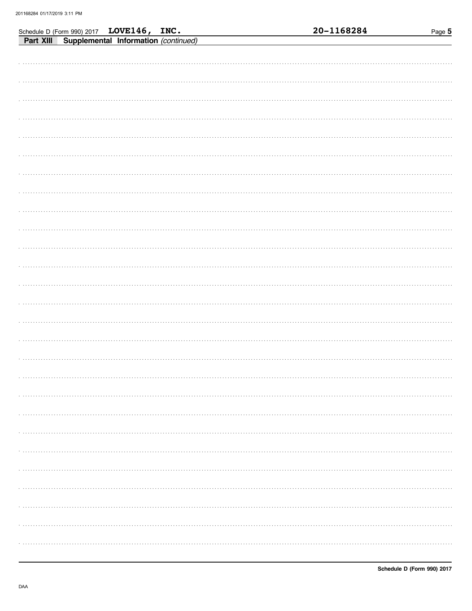|                             | Schedule D (Form 990) 2017 LOVE146, INC.<br>Part XIII Supplemental Information (continued) |  |  | 20-1168284 | Page 5 |
|-----------------------------|--------------------------------------------------------------------------------------------|--|--|------------|--------|
|                             |                                                                                            |  |  |            |        |
|                             |                                                                                            |  |  |            |        |
|                             |                                                                                            |  |  |            |        |
|                             |                                                                                            |  |  |            |        |
|                             |                                                                                            |  |  |            |        |
|                             |                                                                                            |  |  |            |        |
|                             |                                                                                            |  |  |            |        |
|                             |                                                                                            |  |  |            |        |
|                             |                                                                                            |  |  |            |        |
|                             |                                                                                            |  |  |            |        |
|                             |                                                                                            |  |  |            |        |
|                             |                                                                                            |  |  |            |        |
|                             |                                                                                            |  |  |            |        |
|                             |                                                                                            |  |  |            |        |
|                             |                                                                                            |  |  |            |        |
|                             |                                                                                            |  |  |            |        |
|                             |                                                                                            |  |  |            |        |
|                             |                                                                                            |  |  |            |        |
|                             |                                                                                            |  |  |            |        |
|                             |                                                                                            |  |  |            |        |
|                             |                                                                                            |  |  |            |        |
|                             |                                                                                            |  |  |            |        |
|                             |                                                                                            |  |  |            |        |
|                             |                                                                                            |  |  |            |        |
|                             |                                                                                            |  |  |            |        |
|                             |                                                                                            |  |  |            |        |
|                             |                                                                                            |  |  |            |        |
|                             |                                                                                            |  |  |            |        |
|                             |                                                                                            |  |  |            |        |
|                             |                                                                                            |  |  |            |        |
|                             |                                                                                            |  |  |            |        |
|                             |                                                                                            |  |  |            |        |
|                             |                                                                                            |  |  |            |        |
|                             |                                                                                            |  |  |            |        |
|                             |                                                                                            |  |  |            |        |
|                             |                                                                                            |  |  |            |        |
| <b>TIME</b>                 |                                                                                            |  |  |            | .      |
|                             |                                                                                            |  |  |            |        |
| .                           |                                                                                            |  |  |            |        |
|                             |                                                                                            |  |  |            |        |
|                             |                                                                                            |  |  |            |        |
| $\sim$ $\sim$ $\sim$ $\sim$ |                                                                                            |  |  |            |        |
|                             |                                                                                            |  |  |            |        |
|                             |                                                                                            |  |  |            |        |
|                             |                                                                                            |  |  |            |        |
|                             |                                                                                            |  |  |            |        |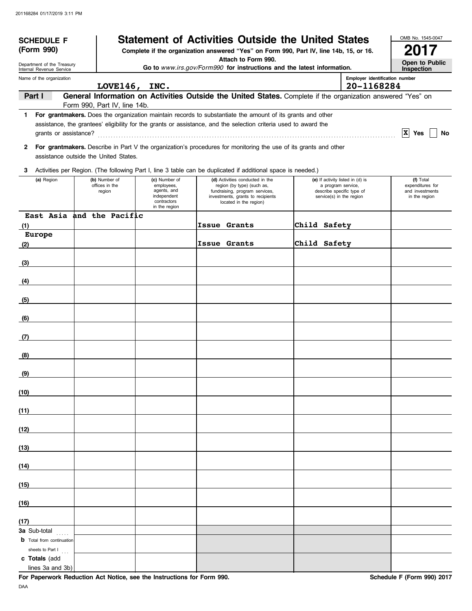| <b>SCHEDULE F</b>                                       |                                           |                                                                                           | <b>Statement of Activities Outside the United States</b>                                                                                                                                                                       |                                              |                                                                                                                 | OMB No. 1545-0047                                                 |
|---------------------------------------------------------|-------------------------------------------|-------------------------------------------------------------------------------------------|--------------------------------------------------------------------------------------------------------------------------------------------------------------------------------------------------------------------------------|----------------------------------------------|-----------------------------------------------------------------------------------------------------------------|-------------------------------------------------------------------|
| (Form 990)                                              |                                           |                                                                                           | Complete if the organization answered "Yes" on Form 990, Part IV, line 14b, 15, or 16.                                                                                                                                         |                                              |                                                                                                                 |                                                                   |
| Department of the Treasury                              |                                           |                                                                                           | Attach to Form 990.<br>Go to www.irs.gov/Form990 for instructions and the latest information.                                                                                                                                  |                                              |                                                                                                                 | Open to Public<br>Inspection                                      |
| Internal Revenue Service<br>Name of the organization    | LOVE146, INC.                             |                                                                                           |                                                                                                                                                                                                                                | Employer identification number<br>20-1168284 |                                                                                                                 |                                                                   |
| Part I                                                  |                                           |                                                                                           | General Information on Activities Outside the United States. Complete if the organization answered "Yes" on                                                                                                                    |                                              |                                                                                                                 |                                                                   |
|                                                         | Form 990, Part IV, line 14b.              |                                                                                           |                                                                                                                                                                                                                                |                                              |                                                                                                                 |                                                                   |
| $1 -$                                                   |                                           |                                                                                           | For grantmakers. Does the organization maintain records to substantiate the amount of its grants and other<br>assistance, the grantees' eligibility for the grants or assistance, and the selection criteria used to award the |                                              |                                                                                                                 | $ X $ Yes<br>No                                                   |
| 2                                                       | assistance outside the United States.     |                                                                                           | For grantmakers. Describe in Part V the organization's procedures for monitoring the use of its grants and other                                                                                                               |                                              |                                                                                                                 |                                                                   |
| 3                                                       |                                           |                                                                                           | Activities per Region. (The following Part I, line 3 table can be duplicated if additional space is needed.)                                                                                                                   |                                              |                                                                                                                 |                                                                   |
| (a) Region                                              | (b) Number of<br>offices in the<br>region | (c) Number of<br>employees,<br>agents, and<br>independent<br>contractors<br>in the region | (d) Activities conducted in the<br>region (by type) (such as,<br>fundraising, program services,<br>investments, grants to recipients<br>located in the region)                                                                 |                                              | (e) If activity listed in (d) is<br>a program service,<br>describe specific type of<br>service(s) in the region | (f) Total<br>expenditures for<br>and investments<br>in the region |
| East Asia and the Pacific<br>(1)                        |                                           |                                                                                           | Issue Grants                                                                                                                                                                                                                   | Child Safety                                 |                                                                                                                 |                                                                   |
| Europe                                                  |                                           |                                                                                           |                                                                                                                                                                                                                                |                                              |                                                                                                                 |                                                                   |
| (2)                                                     |                                           |                                                                                           | Issue Grants                                                                                                                                                                                                                   | Child Safety                                 |                                                                                                                 |                                                                   |
| (3)                                                     |                                           |                                                                                           |                                                                                                                                                                                                                                |                                              |                                                                                                                 |                                                                   |
| (4)                                                     |                                           |                                                                                           |                                                                                                                                                                                                                                |                                              |                                                                                                                 |                                                                   |
| (5)                                                     |                                           |                                                                                           |                                                                                                                                                                                                                                |                                              |                                                                                                                 |                                                                   |
| (6)                                                     |                                           |                                                                                           |                                                                                                                                                                                                                                |                                              |                                                                                                                 |                                                                   |
| (7)                                                     |                                           |                                                                                           |                                                                                                                                                                                                                                |                                              |                                                                                                                 |                                                                   |
| (8)                                                     |                                           |                                                                                           |                                                                                                                                                                                                                                |                                              |                                                                                                                 |                                                                   |
| (9)                                                     |                                           |                                                                                           |                                                                                                                                                                                                                                |                                              |                                                                                                                 |                                                                   |
| (10)                                                    |                                           |                                                                                           |                                                                                                                                                                                                                                |                                              |                                                                                                                 |                                                                   |
|                                                         |                                           |                                                                                           |                                                                                                                                                                                                                                |                                              |                                                                                                                 |                                                                   |
| (11)                                                    |                                           |                                                                                           |                                                                                                                                                                                                                                |                                              |                                                                                                                 |                                                                   |
| (12)                                                    |                                           |                                                                                           |                                                                                                                                                                                                                                |                                              |                                                                                                                 |                                                                   |
| (13)                                                    |                                           |                                                                                           |                                                                                                                                                                                                                                |                                              |                                                                                                                 |                                                                   |
| (14)                                                    |                                           |                                                                                           |                                                                                                                                                                                                                                |                                              |                                                                                                                 |                                                                   |
| (15)                                                    |                                           |                                                                                           |                                                                                                                                                                                                                                |                                              |                                                                                                                 |                                                                   |
| (16)                                                    |                                           |                                                                                           |                                                                                                                                                                                                                                |                                              |                                                                                                                 |                                                                   |
| (17)                                                    |                                           |                                                                                           |                                                                                                                                                                                                                                |                                              |                                                                                                                 |                                                                   |
| <b>3a</b> Sub-total<br><b>b</b> Total from continuation |                                           |                                                                                           |                                                                                                                                                                                                                                |                                              |                                                                                                                 |                                                                   |
| sheets to Part I<br>c Totals (add                       |                                           |                                                                                           |                                                                                                                                                                                                                                |                                              |                                                                                                                 |                                                                   |
| lines 3a and 3b)                                        |                                           |                                                                                           |                                                                                                                                                                                                                                |                                              |                                                                                                                 |                                                                   |

**For Paperwork Reduction Act Notice, see the Instructions for Form 990.** Schedule F (Form 990) 2017 DAA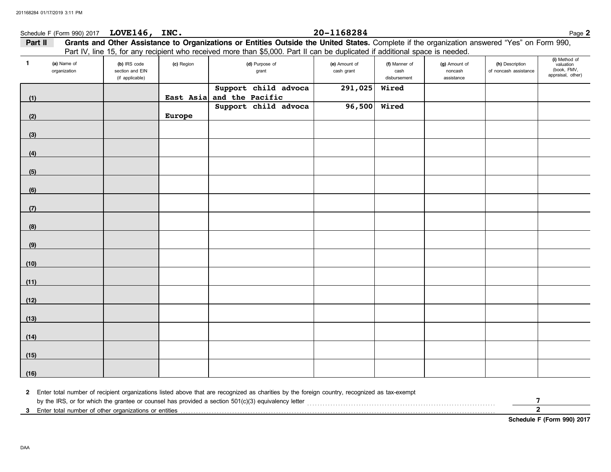|              | Schedule F (Form 990) 2017 LOVE146, INC. |                                                    |            |                                         |                         | 20-1168284                                                                                                                                   |                                       |                                        |                                          | Page 2                                                         |
|--------------|------------------------------------------|----------------------------------------------------|------------|-----------------------------------------|-------------------------|----------------------------------------------------------------------------------------------------------------------------------------------|---------------------------------------|----------------------------------------|------------------------------------------|----------------------------------------------------------------|
| Part II      |                                          |                                                    |            |                                         |                         | Grants and Other Assistance to Organizations or Entities Outside the United States. Complete if the organization answered "Yes" on Form 990, |                                       |                                        |                                          |                                                                |
|              |                                          |                                                    |            |                                         |                         | Part IV, line 15, for any recipient who received more than \$5,000. Part II can be duplicated if additional space is needed.                 |                                       |                                        |                                          |                                                                |
| $\mathbf{1}$ | (a) Name of<br>organization              | (b) IRS code<br>section and EIN<br>(if applicable) | (c) Region |                                         | (d) Purpose of<br>grant | (e) Amount of<br>cash grant                                                                                                                  | (f) Manner of<br>cash<br>disbursement | (g) Amount of<br>noncash<br>assistance | (h) Description<br>of noncash assistance | (i) Method of<br>valuation<br>(book, FMV,<br>appraisal, other) |
|              |                                          |                                                    |            | Support child advoca                    |                         | 291,025                                                                                                                                      | Wired                                 |                                        |                                          |                                                                |
| (1)          |                                          |                                                    | East Asia  | and the Pacific<br>Support child advoca |                         | 96,500                                                                                                                                       | Wired                                 |                                        |                                          |                                                                |
| (2)          |                                          |                                                    | Europe     |                                         |                         |                                                                                                                                              |                                       |                                        |                                          |                                                                |
| (3)          |                                          |                                                    |            |                                         |                         |                                                                                                                                              |                                       |                                        |                                          |                                                                |
|              |                                          |                                                    |            |                                         |                         |                                                                                                                                              |                                       |                                        |                                          |                                                                |
| (4)          |                                          |                                                    |            |                                         |                         |                                                                                                                                              |                                       |                                        |                                          |                                                                |
| (5)          |                                          |                                                    |            |                                         |                         |                                                                                                                                              |                                       |                                        |                                          |                                                                |
| (6)          |                                          |                                                    |            |                                         |                         |                                                                                                                                              |                                       |                                        |                                          |                                                                |
|              |                                          |                                                    |            |                                         |                         |                                                                                                                                              |                                       |                                        |                                          |                                                                |
| (7)          |                                          |                                                    |            |                                         |                         |                                                                                                                                              |                                       |                                        |                                          |                                                                |
| (8)          |                                          |                                                    |            |                                         |                         |                                                                                                                                              |                                       |                                        |                                          |                                                                |
| (9)          |                                          |                                                    |            |                                         |                         |                                                                                                                                              |                                       |                                        |                                          |                                                                |
| (10)         |                                          |                                                    |            |                                         |                         |                                                                                                                                              |                                       |                                        |                                          |                                                                |
| (11)         |                                          |                                                    |            |                                         |                         |                                                                                                                                              |                                       |                                        |                                          |                                                                |
|              |                                          |                                                    |            |                                         |                         |                                                                                                                                              |                                       |                                        |                                          |                                                                |
| (12)         |                                          |                                                    |            |                                         |                         |                                                                                                                                              |                                       |                                        |                                          |                                                                |
| (13)         |                                          |                                                    |            |                                         |                         |                                                                                                                                              |                                       |                                        |                                          |                                                                |
| (14)         |                                          |                                                    |            |                                         |                         |                                                                                                                                              |                                       |                                        |                                          |                                                                |
| (15)         |                                          |                                                    |            |                                         |                         |                                                                                                                                              |                                       |                                        |                                          |                                                                |
| (16)         |                                          |                                                    |            |                                         |                         |                                                                                                                                              |                                       |                                        |                                          |                                                                |

**2** Enter total number of recipient organizations listed above that are recognized as charities by the foreign country, recognized as tax-exempt

**3** Enter total number of other organizations or entities . . . . . . . . . . . . . . . . . . . . . . . . . . . . . . . . . . . . . . . . . . . . . . . . . . . . . . . . . . . . . . . . . . . . . . . . . . . . . . . . . . . . . . . . . . . . . . . . . . . . . . . . . . . . . . . . . . . . . . . . . . by the IRS, or for which the grantee or counsel has provided a section 501(c)(3) equivalency letter . . . . . . . . . . . . . . . . . . . . . . . . . . . . . . . . . . . . . . . . . . . . . . . . . . . . . . . . . . . . . . . . . . . . . . . . . **7 2**

**Schedule F (Form 990) 2017**

DAA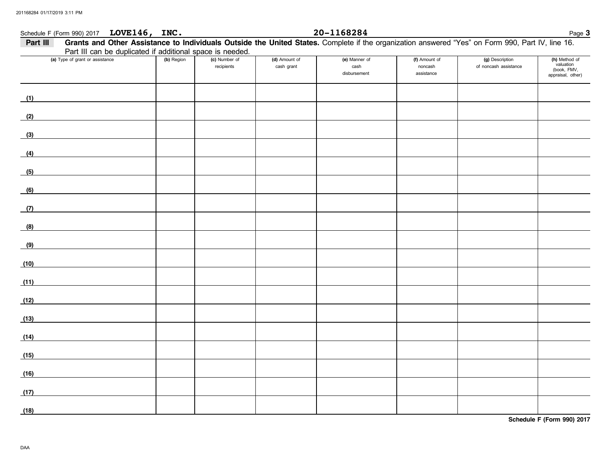#### Schedule F (Form 990) 2017 **LOVE146, INC.** 20-1168284 Page 3 **LOVE146, INC. 20-1168284**

| Part III | Grants and Other Assistance to Individuals Outside the United States. Complete if the organization answered "Yes" on Form 990, Part IV, line 16. |            |                             |                             |                                       |                                        |                                          |                                                                |
|----------|--------------------------------------------------------------------------------------------------------------------------------------------------|------------|-----------------------------|-----------------------------|---------------------------------------|----------------------------------------|------------------------------------------|----------------------------------------------------------------|
|          | Part III can be duplicated if additional space is needed.                                                                                        |            |                             |                             |                                       |                                        |                                          |                                                                |
|          | (a) Type of grant or assistance                                                                                                                  | (b) Region | (c) Number of<br>recipients | (d) Amount of<br>cash grant | (e) Manner of<br>cash<br>disbursement | (f) Amount of<br>noncash<br>assistance | (g) Description<br>of noncash assistance | (h) Method of<br>valuation<br>(book, FMV,<br>appraisal, other) |
| (1)      |                                                                                                                                                  |            |                             |                             |                                       |                                        |                                          |                                                                |
| (2)      |                                                                                                                                                  |            |                             |                             |                                       |                                        |                                          |                                                                |
| (3)      |                                                                                                                                                  |            |                             |                             |                                       |                                        |                                          |                                                                |
| (4)      |                                                                                                                                                  |            |                             |                             |                                       |                                        |                                          |                                                                |
| (5)      |                                                                                                                                                  |            |                             |                             |                                       |                                        |                                          |                                                                |
| (6)      |                                                                                                                                                  |            |                             |                             |                                       |                                        |                                          |                                                                |
| (7)      |                                                                                                                                                  |            |                             |                             |                                       |                                        |                                          |                                                                |
| (8)      |                                                                                                                                                  |            |                             |                             |                                       |                                        |                                          |                                                                |
| (9)      |                                                                                                                                                  |            |                             |                             |                                       |                                        |                                          |                                                                |
| (10)     |                                                                                                                                                  |            |                             |                             |                                       |                                        |                                          |                                                                |
| (11)     |                                                                                                                                                  |            |                             |                             |                                       |                                        |                                          |                                                                |
| (12)     |                                                                                                                                                  |            |                             |                             |                                       |                                        |                                          |                                                                |
| (13)     |                                                                                                                                                  |            |                             |                             |                                       |                                        |                                          |                                                                |
| (14)     |                                                                                                                                                  |            |                             |                             |                                       |                                        |                                          |                                                                |
| (15)     |                                                                                                                                                  |            |                             |                             |                                       |                                        |                                          |                                                                |
| (16)     |                                                                                                                                                  |            |                             |                             |                                       |                                        |                                          |                                                                |
| (17)     |                                                                                                                                                  |            |                             |                             |                                       |                                        |                                          |                                                                |
| (18)     |                                                                                                                                                  |            |                             |                             |                                       |                                        |                                          |                                                                |

**Schedule F (Form 990) 2017**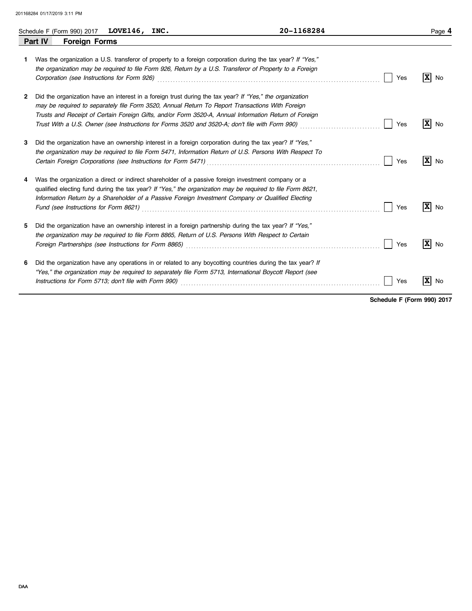|    | Schedule F (Form 990) 2017 $LOWE146$ , INC. | 20-1168284                                                                                                                                                                                                                                                                                                                                                                                                             |     | Page 4                     |
|----|---------------------------------------------|------------------------------------------------------------------------------------------------------------------------------------------------------------------------------------------------------------------------------------------------------------------------------------------------------------------------------------------------------------------------------------------------------------------------|-----|----------------------------|
|    | Part IV<br><b>Foreign Forms</b>             |                                                                                                                                                                                                                                                                                                                                                                                                                        |     |                            |
| 1. |                                             | Was the organization a U.S. transferor of property to a foreign corporation during the tax year? If "Yes,"<br>the organization may be required to file Form 926, Return by a U.S. Transferor of Property to a Foreign<br>Corporation (see Instructions for Form 926) Material Corporation (See Institution of School School and School                                                                                 | Yes | X <br>No                   |
| 2  |                                             | Did the organization have an interest in a foreign trust during the tax year? If "Yes," the organization<br>may be required to separately file Form 3520, Annual Return To Report Transactions With Foreign<br>Trusts and Receipt of Certain Foreign Gifts, and/or Form 3520-A, Annual Information Return of Foreign<br>Trust With a U.S. Owner (see Instructions for Forms 3520 and 3520-A; don't file with Form 990) | Yes | X <br>No                   |
| 3  |                                             | Did the organization have an ownership interest in a foreign corporation during the tax year? If "Yes,"<br>the organization may be required to file Form 5471, Information Return of U.S. Persons With Respect To<br>Certain Foreign Corporations (see Instructions for Form 5471) [11] Contained Contained Corporations (see Instructions of Form 5471)                                                               | Yes | $ X $ No                   |
|    |                                             | Was the organization a direct or indirect shareholder of a passive foreign investment company or a<br>qualified electing fund during the tax year? If "Yes," the organization may be required to file Form 8621,<br>Information Return by a Shareholder of a Passive Foreign Investment Company or Qualified Electing                                                                                                  | Yes | $ \mathbf{X} $<br>No       |
| 5  |                                             | Did the organization have an ownership interest in a foreign partnership during the tax year? If "Yes,"<br>the organization may be required to file Form 8865, Return of U.S. Persons With Respect to Certain<br>Foreign Partnerships (see Instructions for Form 8865) [11] Conserved Conserved Conserved Conserved Conserved Co                                                                                       | Yes | $\overline{\mathbf{X}}$ No |
| 6  |                                             | Did the organization have any operations in or related to any boycotting countries during the tax year? If<br>"Yes," the organization may be required to separately file Form 5713, International Boycott Report (see<br>Instructions for Form 5713; don't file with Form 990) <i>[[[[[[[[[[[[[[[[[[[[[[[[[[[[]]]]]]</i> ]]]                                                                                           | Yes | X<br>No                    |

**Schedule F (Form 990) 2017**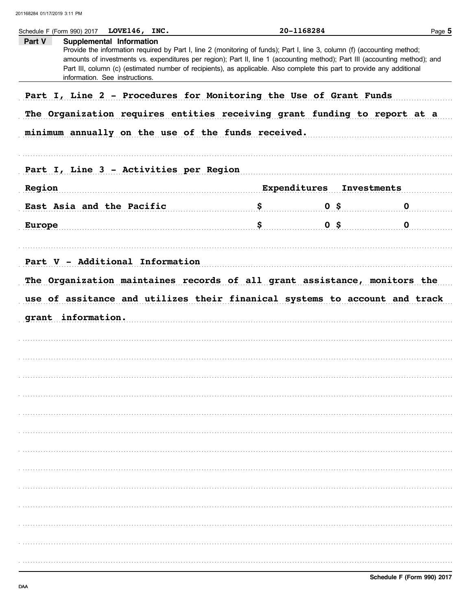| Part V        | Supplemental Information                           |                                                                                                                                                                                                                                                                                                                                                                                    |                               |
|---------------|----------------------------------------------------|------------------------------------------------------------------------------------------------------------------------------------------------------------------------------------------------------------------------------------------------------------------------------------------------------------------------------------------------------------------------------------|-------------------------------|
|               | information. See instructions.                     | Provide the information required by Part I, line 2 (monitoring of funds); Part I, line 3, column (f) (accounting method;<br>amounts of investments vs. expenditures per region); Part II, line 1 (accounting method); Part III (accounting method); and<br>Part III, column (c) (estimated number of recipients), as applicable. Also complete this part to provide any additional |                               |
|               |                                                    | Part I, Line 2 - Procedures for Monitoring the Use of Grant Funds                                                                                                                                                                                                                                                                                                                  |                               |
|               |                                                    | The Organization requires entities receiving grant funding to report at a                                                                                                                                                                                                                                                                                                          |                               |
|               | minimum annually on the use of the funds received. |                                                                                                                                                                                                                                                                                                                                                                                    |                               |
|               | Part I, Line 3 - Activities per Region             |                                                                                                                                                                                                                                                                                                                                                                                    |                               |
| Region        |                                                    | Expenditures Investments                                                                                                                                                                                                                                                                                                                                                           |                               |
|               | East Asia and the Pacific                          | <u>s and the set of the set of the set of the set of the set of the set of the set of the set of the set of the s</u>                                                                                                                                                                                                                                                              | 0 <sup>5</sup><br>$\mathbf 0$ |
| <b>Europe</b> |                                                    | . \$<br>0 \$                                                                                                                                                                                                                                                                                                                                                                       | $\sim$ 0                      |
|               | Part V - Additional Information                    |                                                                                                                                                                                                                                                                                                                                                                                    |                               |
|               |                                                    |                                                                                                                                                                                                                                                                                                                                                                                    |                               |
|               |                                                    | The Organization maintaines records of all grant assistance, monitors the                                                                                                                                                                                                                                                                                                          |                               |
|               |                                                    |                                                                                                                                                                                                                                                                                                                                                                                    |                               |
|               |                                                    | use of assitance and utilizes their finanical systems to account and track                                                                                                                                                                                                                                                                                                         |                               |
|               |                                                    |                                                                                                                                                                                                                                                                                                                                                                                    |                               |
|               | grant information.                                 |                                                                                                                                                                                                                                                                                                                                                                                    |                               |
|               |                                                    |                                                                                                                                                                                                                                                                                                                                                                                    |                               |
|               |                                                    |                                                                                                                                                                                                                                                                                                                                                                                    |                               |
|               |                                                    |                                                                                                                                                                                                                                                                                                                                                                                    |                               |
|               |                                                    |                                                                                                                                                                                                                                                                                                                                                                                    |                               |
|               |                                                    |                                                                                                                                                                                                                                                                                                                                                                                    |                               |
|               |                                                    |                                                                                                                                                                                                                                                                                                                                                                                    |                               |
|               |                                                    |                                                                                                                                                                                                                                                                                                                                                                                    |                               |
|               |                                                    |                                                                                                                                                                                                                                                                                                                                                                                    |                               |
|               |                                                    |                                                                                                                                                                                                                                                                                                                                                                                    |                               |
|               |                                                    |                                                                                                                                                                                                                                                                                                                                                                                    |                               |
|               |                                                    |                                                                                                                                                                                                                                                                                                                                                                                    |                               |
|               |                                                    |                                                                                                                                                                                                                                                                                                                                                                                    |                               |
|               |                                                    |                                                                                                                                                                                                                                                                                                                                                                                    |                               |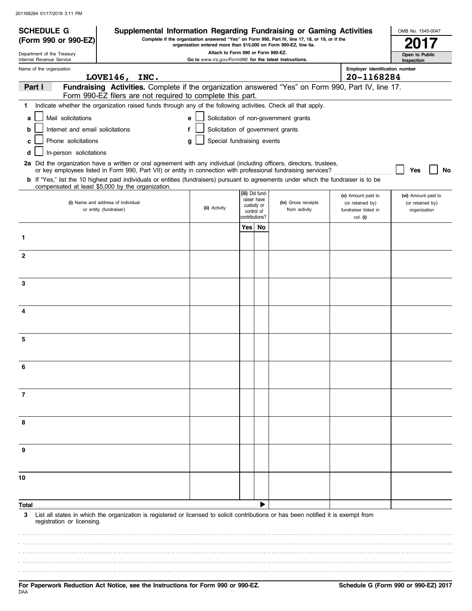| <b>SCHEDULE G</b>                                      | Supplemental Information Regarding Fundraising or Gaming Activities                                                                                                                                                                      |                                                                                              |                |                                |                                                                                                 |                                              | OMB No. 1545-0047                       |
|--------------------------------------------------------|------------------------------------------------------------------------------------------------------------------------------------------------------------------------------------------------------------------------------------------|----------------------------------------------------------------------------------------------|----------------|--------------------------------|-------------------------------------------------------------------------------------------------|----------------------------------------------|-----------------------------------------|
| (Form 990 or 990-EZ)                                   |                                                                                                                                                                                                                                          | organization entered more than \$15,000 on Form 990-EZ, line 6a.                             |                |                                | Complete if the organization answered "Yes" on Form 990, Part IV, line 17, 18, or 19, or if the |                                              |                                         |
| Department of the Treasury<br>Internal Revenue Service |                                                                                                                                                                                                                                          | Attach to Form 990 or Form 990-EZ.<br>Go to www.irs.gov/Form990 for the latest instructions. |                |                                |                                                                                                 |                                              | Open to Public<br>Inspection            |
| Name of the organization                               | LOVE146,<br>INC.                                                                                                                                                                                                                         |                                                                                              |                |                                |                                                                                                 | Employer identification number<br>20-1168284 |                                         |
| Part I                                                 | Fundraising Activities. Complete if the organization answered "Yes" on Form 990, Part IV, line 17.                                                                                                                                       |                                                                                              |                |                                |                                                                                                 |                                              |                                         |
|                                                        | Form 990-EZ filers are not required to complete this part.                                                                                                                                                                               |                                                                                              |                |                                |                                                                                                 |                                              |                                         |
| 1.                                                     | Indicate whether the organization raised funds through any of the following activities. Check all that apply.                                                                                                                            |                                                                                              |                |                                |                                                                                                 |                                              |                                         |
| Mail solicitations<br>a                                |                                                                                                                                                                                                                                          | e                                                                                            |                |                                | Solicitation of non-government grants                                                           |                                              |                                         |
| Internet and email solicitations<br>b                  |                                                                                                                                                                                                                                          | f                                                                                            |                |                                | Solicitation of government grants                                                               |                                              |                                         |
| Phone solicitations<br>c                               |                                                                                                                                                                                                                                          | Special fundraising events<br>q                                                              |                |                                |                                                                                                 |                                              |                                         |
| In-person solicitations<br>d                           |                                                                                                                                                                                                                                          |                                                                                              |                |                                |                                                                                                 |                                              |                                         |
|                                                        | 2a Did the organization have a written or oral agreement with any individual (including officers, directors, trustees,<br>or key employees listed in Form 990, Part VII) or entity in connection with professional fundraising services? |                                                                                              |                |                                |                                                                                                 |                                              | Yes<br>No                               |
|                                                        | b If "Yes," list the 10 highest paid individuals or entities (fundraisers) pursuant to agreements under which the fundraiser is to be<br>compensated at least \$5,000 by the organization.                                               |                                                                                              |                |                                |                                                                                                 |                                              |                                         |
|                                                        | (i) Name and address of individual                                                                                                                                                                                                       |                                                                                              |                | (iii) Did fund-<br>raiser have | (iv) Gross receipts                                                                             | (v) Amount paid to<br>(or retained by)       | (vi) Amount paid to<br>(or retained by) |
|                                                        | or entity (fundraiser)                                                                                                                                                                                                                   | (ii) Activity                                                                                |                | custody or<br>control of       | from activity                                                                                   | fundraiser listed in                         | organization                            |
|                                                        |                                                                                                                                                                                                                                          |                                                                                              | contributions? |                                |                                                                                                 | col. (i)                                     |                                         |
|                                                        |                                                                                                                                                                                                                                          |                                                                                              | Yes⊺           | No                             |                                                                                                 |                                              |                                         |
| 1                                                      |                                                                                                                                                                                                                                          |                                                                                              |                |                                |                                                                                                 |                                              |                                         |
| $\mathbf{2}$                                           |                                                                                                                                                                                                                                          |                                                                                              |                |                                |                                                                                                 |                                              |                                         |
|                                                        |                                                                                                                                                                                                                                          |                                                                                              |                |                                |                                                                                                 |                                              |                                         |
| 3                                                      |                                                                                                                                                                                                                                          |                                                                                              |                |                                |                                                                                                 |                                              |                                         |
|                                                        |                                                                                                                                                                                                                                          |                                                                                              |                |                                |                                                                                                 |                                              |                                         |
| 4                                                      |                                                                                                                                                                                                                                          |                                                                                              |                |                                |                                                                                                 |                                              |                                         |
|                                                        |                                                                                                                                                                                                                                          |                                                                                              |                |                                |                                                                                                 |                                              |                                         |
| 5                                                      |                                                                                                                                                                                                                                          |                                                                                              |                |                                |                                                                                                 |                                              |                                         |
|                                                        |                                                                                                                                                                                                                                          |                                                                                              |                |                                |                                                                                                 |                                              |                                         |
|                                                        |                                                                                                                                                                                                                                          |                                                                                              |                |                                |                                                                                                 |                                              |                                         |
|                                                        |                                                                                                                                                                                                                                          |                                                                                              |                |                                |                                                                                                 |                                              |                                         |
|                                                        |                                                                                                                                                                                                                                          |                                                                                              |                |                                |                                                                                                 |                                              |                                         |
| 7                                                      |                                                                                                                                                                                                                                          |                                                                                              |                |                                |                                                                                                 |                                              |                                         |
|                                                        |                                                                                                                                                                                                                                          |                                                                                              |                |                                |                                                                                                 |                                              |                                         |
| 8                                                      |                                                                                                                                                                                                                                          |                                                                                              |                |                                |                                                                                                 |                                              |                                         |
|                                                        |                                                                                                                                                                                                                                          |                                                                                              |                |                                |                                                                                                 |                                              |                                         |
| 9                                                      |                                                                                                                                                                                                                                          |                                                                                              |                |                                |                                                                                                 |                                              |                                         |
|                                                        |                                                                                                                                                                                                                                          |                                                                                              |                |                                |                                                                                                 |                                              |                                         |
|                                                        |                                                                                                                                                                                                                                          |                                                                                              |                |                                |                                                                                                 |                                              |                                         |
| 10                                                     |                                                                                                                                                                                                                                          |                                                                                              |                |                                |                                                                                                 |                                              |                                         |
|                                                        |                                                                                                                                                                                                                                          |                                                                                              |                |                                |                                                                                                 |                                              |                                         |
| Total                                                  |                                                                                                                                                                                                                                          |                                                                                              |                | ▶                              |                                                                                                 |                                              |                                         |
| 3<br>registration or licensing.                        | List all states in which the organization is registered or licensed to solicit contributions or has been notified it is exempt from                                                                                                      |                                                                                              |                |                                |                                                                                                 |                                              |                                         |
|                                                        |                                                                                                                                                                                                                                          |                                                                                              |                |                                |                                                                                                 |                                              |                                         |
|                                                        |                                                                                                                                                                                                                                          |                                                                                              |                |                                |                                                                                                 |                                              |                                         |
|                                                        |                                                                                                                                                                                                                                          |                                                                                              |                |                                |                                                                                                 |                                              |                                         |
|                                                        |                                                                                                                                                                                                                                          |                                                                                              |                |                                |                                                                                                 |                                              |                                         |
|                                                        |                                                                                                                                                                                                                                          |                                                                                              |                |                                |                                                                                                 |                                              |                                         |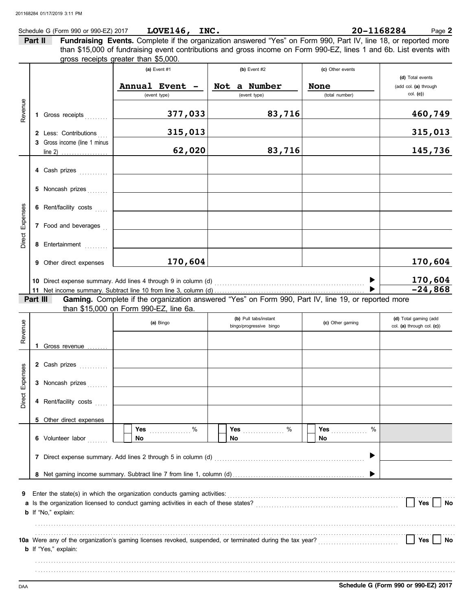| <b>LOVE146,</b><br>a G (Form 990 or 990-EZ) 2017<br>Schedule <sup>(</sup> | INC. | 1168284<br>20– | $Page \triangle$ |
|---------------------------------------------------------------------------|------|----------------|------------------|
|---------------------------------------------------------------------------|------|----------------|------------------|

**Part II Fundraising Events.** Complete if the organization answered "Yes" on Form 990, Part IV, line 18, or reported more gross receipts greater than \$5,000. than \$15,000 of fundraising event contributions and gross income on Form 990-EZ, lines 1 and 6b. List events with

|                 |          |                              | (a) Event $#1$                                                           | (b) Event $#2$                                                                                                                                                               | (c) Other events              |                                                     |
|-----------------|----------|------------------------------|--------------------------------------------------------------------------|------------------------------------------------------------------------------------------------------------------------------------------------------------------------------|-------------------------------|-----------------------------------------------------|
|                 |          |                              | Annual Event                                                             | Not a Number                                                                                                                                                                 |                               | (d) Total events                                    |
|                 |          |                              | (event type)                                                             | (event type)                                                                                                                                                                 | <b>None</b><br>(total number) | (add col. (a) through<br>col. (c)                   |
|                 |          |                              |                                                                          |                                                                                                                                                                              |                               |                                                     |
| Revenue         |          | 1 Gross receipts             | 377,033                                                                  | 83,716                                                                                                                                                                       |                               | 460,749                                             |
|                 |          | 2 Less: Contributions        | 315,013                                                                  |                                                                                                                                                                              |                               | 315,013                                             |
|                 |          | 3 Gross income (line 1 minus |                                                                          |                                                                                                                                                                              |                               |                                                     |
|                 |          |                              | 62,020                                                                   | 83,716                                                                                                                                                                       |                               | 145,736                                             |
|                 |          | 4 Cash prizes                |                                                                          |                                                                                                                                                                              |                               |                                                     |
|                 |          | 5 Noncash prizes             |                                                                          |                                                                                                                                                                              |                               |                                                     |
|                 |          | 6 Rent/facility costs        |                                                                          |                                                                                                                                                                              |                               |                                                     |
| Direct Expenses |          | 7 Food and beverages         |                                                                          |                                                                                                                                                                              |                               |                                                     |
|                 |          | 8 Entertainment              |                                                                          |                                                                                                                                                                              |                               |                                                     |
|                 |          | 9 Other direct expenses      | 170,604                                                                  |                                                                                                                                                                              |                               | 170,604                                             |
|                 |          |                              |                                                                          |                                                                                                                                                                              |                               | 170,604                                             |
|                 |          |                              |                                                                          |                                                                                                                                                                              |                               | $-24,868$                                           |
|                 | Part III |                              |                                                                          | Gaming. Complete if the organization answered "Yes" on Form 990, Part IV, line 19, or reported more                                                                          |                               |                                                     |
|                 |          |                              | than \$15,000 on Form 990-EZ, line 6a.                                   |                                                                                                                                                                              |                               |                                                     |
|                 |          |                              | (a) Bingo                                                                | (b) Pull tabs/instant<br>bingo/progressive bingo                                                                                                                             | (c) Other gaming              | (d) Total gaming (add<br>col. (a) through col. (c)) |
| Revenue         |          |                              |                                                                          |                                                                                                                                                                              |                               |                                                     |
|                 |          | 1 Gross revenue              |                                                                          |                                                                                                                                                                              |                               |                                                     |
|                 |          |                              |                                                                          |                                                                                                                                                                              |                               |                                                     |
|                 |          | 2 Cash prizes                |                                                                          |                                                                                                                                                                              |                               |                                                     |
| Expenses        |          | 3 Noncash prizes             |                                                                          |                                                                                                                                                                              |                               |                                                     |
| Direct          |          | 4 Rent/facility costs        |                                                                          |                                                                                                                                                                              |                               |                                                     |
|                 |          | 5 Other direct expenses      |                                                                          |                                                                                                                                                                              |                               |                                                     |
|                 |          | 6 Volunteer labor            | Yes<br>%<br><b>No</b>                                                    | $\%$<br>Yes<br>No                                                                                                                                                            | $\%$<br>Yes<br>No             |                                                     |
|                 |          |                              | 7 Direct expense summary. Add lines 2 through 5 in column (d)            |                                                                                                                                                                              |                               |                                                     |
|                 |          |                              |                                                                          |                                                                                                                                                                              |                               |                                                     |
|                 |          |                              |                                                                          |                                                                                                                                                                              |                               |                                                     |
| 9               |          |                              | Enter the state(s) in which the organization conducts gaming activities: | a Is the organization licensed to conduct gaming activities in each of these states?<br>a Is the organization licensed to conduct gaming activities in each of these states? |                               | Yes<br>No                                           |
|                 |          | <b>b</b> If "No," explain:   |                                                                          |                                                                                                                                                                              |                               |                                                     |
|                 |          |                              |                                                                          |                                                                                                                                                                              |                               |                                                     |
|                 |          | <b>b</b> If "Yes," explain:  |                                                                          | 10a Were any of the organization's gaming licenses revoked, suspended, or terminated during the tax year?                                                                    |                               | Yes<br>No                                           |
|                 |          |                              |                                                                          |                                                                                                                                                                              |                               |                                                     |
|                 |          |                              |                                                                          |                                                                                                                                                                              |                               |                                                     |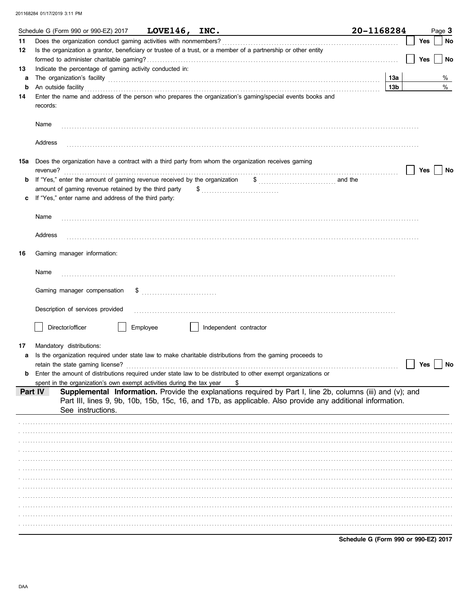|     | Schedule G (Form 990 or 990-EZ) 2017 LOVE146, INC.                        |          |                                                                                                                                                                                                                                      | 20-1168284                           |     |     | Page 3 |
|-----|---------------------------------------------------------------------------|----------|--------------------------------------------------------------------------------------------------------------------------------------------------------------------------------------------------------------------------------------|--------------------------------------|-----|-----|--------|
| 11  | Does the organization conduct gaming activities with nonmembers?          |          |                                                                                                                                                                                                                                      |                                      |     | Yes | No     |
| 12  |                                                                           |          | Is the organization a grantor, beneficiary or trustee of a trust, or a member of a partnership or other entity                                                                                                                       |                                      | Yes |     | No     |
| 13  | Indicate the percentage of gaming activity conducted in:                  |          |                                                                                                                                                                                                                                      |                                      |     |     |        |
| a   |                                                                           |          | The organization's facility encouragement and an architecture of the organization's facility encouragement and the organization's facility                                                                                           | 13а                                  |     |     | %      |
| b   |                                                                           |          | An outside facility <b>contract and the contract of a contract of a contract of a contract of a contract of a contract of a contract of a contract of a contract of a contract of a contract of a contract of a contract of a co</b> | 13b                                  |     |     | $\%$   |
| 14  | records:                                                                  |          | Enter the name and address of the person who prepares the organization's gaming/special events books and                                                                                                                             |                                      |     |     |        |
|     | Name                                                                      |          |                                                                                                                                                                                                                                      |                                      |     |     |        |
|     | Address                                                                   |          |                                                                                                                                                                                                                                      |                                      |     |     |        |
| 15a | revenue?                                                                  |          | Does the organization have a contract with a third party from whom the organization receives gaming                                                                                                                                  |                                      | Yes |     | No     |
| b   | If "Yes," enter the amount of gaming revenue received by the organization |          | $\frac{1}{2}$ and the                                                                                                                                                                                                                |                                      |     |     |        |
|     | amount of gaming revenue retained by the third party                      |          |                                                                                                                                                                                                                                      |                                      |     |     |        |
|     | If "Yes," enter name and address of the third party:                      |          |                                                                                                                                                                                                                                      |                                      |     |     |        |
|     | Name                                                                      |          |                                                                                                                                                                                                                                      |                                      |     |     |        |
|     | Address                                                                   |          |                                                                                                                                                                                                                                      |                                      |     |     |        |
| 16  | Gaming manager information:                                               |          |                                                                                                                                                                                                                                      |                                      |     |     |        |
|     | Name                                                                      |          |                                                                                                                                                                                                                                      |                                      |     |     |        |
|     | Gaming manager compensation                                               |          |                                                                                                                                                                                                                                      |                                      |     |     |        |
|     | Description of services provided                                          |          |                                                                                                                                                                                                                                      |                                      |     |     |        |
|     | Director/officer                                                          | Employee | Independent contractor                                                                                                                                                                                                               |                                      |     |     |        |
| 17  | Mandatory distributions:                                                  |          |                                                                                                                                                                                                                                      |                                      |     |     |        |
| a   |                                                                           |          | Is the organization required under state law to make charitable distributions from the gaming proceeds to                                                                                                                            |                                      |     |     |        |
|     | retain the state gaming license?                                          |          |                                                                                                                                                                                                                                      |                                      |     | Yes | No     |
| b   |                                                                           |          | Enter the amount of distributions required under state law to be distributed to other exempt organizations or                                                                                                                        |                                      |     |     |        |
|     | spent in the organization's own exempt activities during the tax year     |          |                                                                                                                                                                                                                                      |                                      |     |     |        |
|     | Part IV<br>See instructions.                                              |          | Supplemental Information. Provide the explanations required by Part I, line 2b, columns (iii) and (v); and<br>Part III, lines 9, 9b, 10b, 15b, 15c, 16, and 17b, as applicable. Also provide any additional information.             |                                      |     |     |        |
|     |                                                                           |          |                                                                                                                                                                                                                                      |                                      |     |     |        |
|     |                                                                           |          |                                                                                                                                                                                                                                      |                                      |     |     |        |
|     |                                                                           |          |                                                                                                                                                                                                                                      |                                      |     |     |        |
|     |                                                                           |          |                                                                                                                                                                                                                                      |                                      |     |     |        |
|     |                                                                           |          |                                                                                                                                                                                                                                      |                                      |     |     |        |
|     |                                                                           |          |                                                                                                                                                                                                                                      |                                      |     |     |        |
|     |                                                                           |          |                                                                                                                                                                                                                                      |                                      |     |     |        |
|     |                                                                           |          |                                                                                                                                                                                                                                      |                                      |     |     |        |
|     |                                                                           |          |                                                                                                                                                                                                                                      |                                      |     |     |        |
|     |                                                                           |          |                                                                                                                                                                                                                                      |                                      |     |     |        |
|     |                                                                           |          |                                                                                                                                                                                                                                      |                                      |     |     |        |
|     |                                                                           |          |                                                                                                                                                                                                                                      | Schedule G (Form 990 or 990-EZ) 2017 |     |     |        |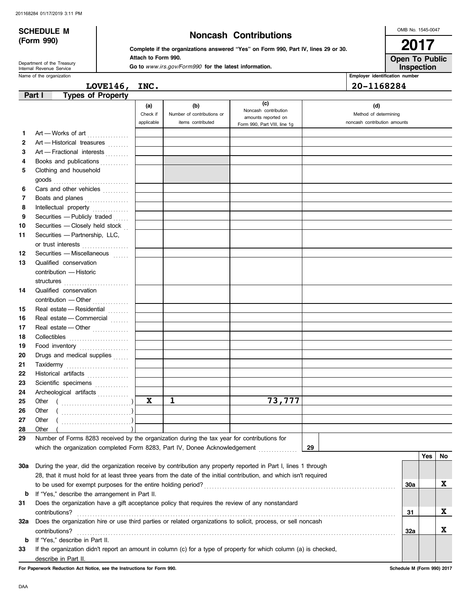|          | <b>SCHEDULE M</b>                                                                                                  |                               |                                                        | <b>Noncash Contributions</b>                                                       |    |                                                              | OMB No. 1545-0047     |     |     |
|----------|--------------------------------------------------------------------------------------------------------------------|-------------------------------|--------------------------------------------------------|------------------------------------------------------------------------------------|----|--------------------------------------------------------------|-----------------------|-----|-----|
|          | (Form 990)                                                                                                         |                               | Attach to Form 990.                                    | Complete if the organizations answered "Yes" on Form 990, Part IV, lines 29 or 30. |    |                                                              | 2017                  |     |     |
|          | Department of the Treasury                                                                                         |                               | Go to www.irs.gov/Form990 for the latest information.  |                                                                                    |    |                                                              | <b>Open To Public</b> |     |     |
|          | Internal Revenue Service<br>Name of the organization                                                               |                               |                                                        |                                                                                    |    | Employer identification number                               | Inspection            |     |     |
|          |                                                                                                                    |                               |                                                        |                                                                                    |    |                                                              |                       |     |     |
|          | <b>Types of Property</b><br>Part I                                                                                 | <b>LOVE146,</b><br>INC.       |                                                        |                                                                                    |    | 20-1168284                                                   |                       |     |     |
|          |                                                                                                                    |                               |                                                        | (c)                                                                                |    |                                                              |                       |     |     |
|          |                                                                                                                    | (a)<br>Check if<br>applicable | (b)<br>Number of contributions or<br>items contributed | Noncash contribution<br>amounts reported on<br>Form 990, Part VIII, line 1g        |    | (d)<br>Method of determining<br>noncash contribution amounts |                       |     |     |
| 1        | Art — Works of art                                                                                                 |                               |                                                        |                                                                                    |    |                                                              |                       |     |     |
| 2        | Art - Historical treasures                                                                                         |                               |                                                        |                                                                                    |    |                                                              |                       |     |     |
| 3        | Art - Fractional interests                                                                                         |                               |                                                        |                                                                                    |    |                                                              |                       |     |     |
| 4        | Books and publications                                                                                             |                               |                                                        |                                                                                    |    |                                                              |                       |     |     |
| 5        | Clothing and household<br>goods                                                                                    |                               |                                                        |                                                                                    |    |                                                              |                       |     |     |
| 6        | Cars and other vehicles                                                                                            |                               |                                                        |                                                                                    |    |                                                              |                       |     |     |
| 7        | Boats and planes                                                                                                   |                               |                                                        |                                                                                    |    |                                                              |                       |     |     |
| 8        | Intellectual property                                                                                              |                               |                                                        |                                                                                    |    |                                                              |                       |     |     |
| 9        | Securities - Publicly traded                                                                                       |                               |                                                        |                                                                                    |    |                                                              |                       |     |     |
| 10       | Securities - Closely held stock                                                                                    |                               |                                                        |                                                                                    |    |                                                              |                       |     |     |
| 11       | Securities - Partnership, LLC,                                                                                     |                               |                                                        |                                                                                    |    |                                                              |                       |     |     |
|          | or trust interests                                                                                                 | .                             |                                                        |                                                                                    |    |                                                              |                       |     |     |
| 12       | Securities - Miscellaneous                                                                                         |                               |                                                        |                                                                                    |    |                                                              |                       |     |     |
| 13       | Qualified conservation                                                                                             |                               |                                                        |                                                                                    |    |                                                              |                       |     |     |
|          | contribution - Historic                                                                                            |                               |                                                        |                                                                                    |    |                                                              |                       |     |     |
| 14       | structures<br>Qualified conservation                                                                               |                               |                                                        |                                                                                    |    |                                                              |                       |     |     |
|          | contribution - Other                                                                                               | .                             |                                                        |                                                                                    |    |                                                              |                       |     |     |
| 15       | Real estate - Residential                                                                                          |                               |                                                        |                                                                                    |    |                                                              |                       |     |     |
| 16       | Real estate - Commercial                                                                                           |                               |                                                        |                                                                                    |    |                                                              |                       |     |     |
| 17       | Real estate - Other                                                                                                |                               |                                                        |                                                                                    |    |                                                              |                       |     |     |
| 18       |                                                                                                                    |                               |                                                        |                                                                                    |    |                                                              |                       |     |     |
| 19       | Food inventory                                                                                                     |                               |                                                        |                                                                                    |    |                                                              |                       |     |     |
| 20<br>21 | Drugs and medical supplies<br>Taxidermy                                                                            |                               |                                                        |                                                                                    |    |                                                              |                       |     |     |
| 22       | Historical artifacts                                                                                               |                               |                                                        |                                                                                    |    |                                                              |                       |     |     |
| 23       | Scientific specimens                                                                                               |                               |                                                        |                                                                                    |    |                                                              |                       |     |     |
| 24       | Archeological artifacts                                                                                            |                               |                                                        |                                                                                    |    |                                                              |                       |     |     |
| 25       | Other<br>$\left(\begin{array}{ccc}\dots & \dots & \dots & \dots & \dots\end{array}\right)$                         | $\mathbf x$                   | 1                                                      | 73,777                                                                             |    |                                                              |                       |     |     |
| 26       | Other                                                                                                              |                               |                                                        |                                                                                    |    |                                                              |                       |     |     |
| 27       | Other                                                                                                              |                               |                                                        |                                                                                    |    |                                                              |                       |     |     |
| 28       | Other                                                                                                              |                               |                                                        |                                                                                    |    |                                                              |                       |     |     |
| 29       | Number of Forms 8283 received by the organization during the tax year for contributions for                        |                               |                                                        |                                                                                    |    |                                                              |                       |     |     |
|          | which the organization completed Form 8283, Part IV, Donee Acknowledgement                                         |                               |                                                        |                                                                                    | 29 |                                                              |                       | Yes | No. |
| 30a      | During the year, did the organization receive by contribution any property reported in Part I, lines 1 through     |                               |                                                        |                                                                                    |    |                                                              |                       |     |     |
|          | 28, that it must hold for at least three years from the date of the initial contribution, and which isn't required |                               |                                                        |                                                                                    |    |                                                              |                       |     |     |
|          | to be used for exempt purposes for the entire holding period?                                                      |                               |                                                        |                                                                                    |    |                                                              | 30a                   |     | X   |
| b        | If "Yes," describe the arrangement in Part II.                                                                     |                               |                                                        |                                                                                    |    |                                                              |                       |     |     |
| 31       | Does the organization have a gift acceptance policy that requires the review of any nonstandard                    |                               |                                                        |                                                                                    |    |                                                              |                       |     |     |
|          | contributions?                                                                                                     |                               |                                                        |                                                                                    |    |                                                              | 31                    |     | X   |
| 32a      | Does the organization hire or use third parties or related organizations to solicit, process, or sell noncash      |                               |                                                        |                                                                                    |    |                                                              |                       |     |     |
|          | contributions?                                                                                                     |                               |                                                        |                                                                                    |    |                                                              | 32a                   |     | X   |
|          | <b>b</b> If "Yes," describe in Part II.                                                                            |                               |                                                        |                                                                                    |    |                                                              |                       |     |     |

**33** If the organization didn't report an amount in column (c) for a type of property for which column (a) is checked, describe in Part II.

**For Paperwork Reduction Act Notice, see the Instructions for Form 990. Schedule M (Form 990) 2017**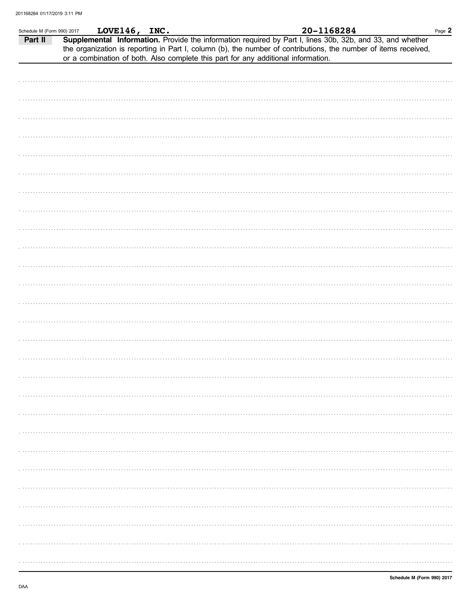| Schedule M (Form 990) 2017 | LOVE146, INC.                                                                     |  | 20-1168284                                                                                                                                                                                                                   | Page 2 |  |
|----------------------------|-----------------------------------------------------------------------------------|--|------------------------------------------------------------------------------------------------------------------------------------------------------------------------------------------------------------------------------|--------|--|
| Part II                    | or a combination of both. Also complete this part for any additional information. |  | Supplemental Information. Provide the information required by Part I, lines 30b, 32b, and 33, and whether<br>the organization is reporting in Part I, column (b), the number of contributions, the number of items received, |        |  |
|                            |                                                                                   |  |                                                                                                                                                                                                                              |        |  |
|                            |                                                                                   |  |                                                                                                                                                                                                                              |        |  |
|                            |                                                                                   |  |                                                                                                                                                                                                                              |        |  |
|                            |                                                                                   |  |                                                                                                                                                                                                                              |        |  |
|                            |                                                                                   |  |                                                                                                                                                                                                                              |        |  |
|                            |                                                                                   |  |                                                                                                                                                                                                                              |        |  |
|                            |                                                                                   |  |                                                                                                                                                                                                                              |        |  |
|                            |                                                                                   |  |                                                                                                                                                                                                                              |        |  |
|                            |                                                                                   |  |                                                                                                                                                                                                                              |        |  |
|                            |                                                                                   |  |                                                                                                                                                                                                                              |        |  |
|                            |                                                                                   |  |                                                                                                                                                                                                                              |        |  |
|                            |                                                                                   |  |                                                                                                                                                                                                                              |        |  |
|                            |                                                                                   |  |                                                                                                                                                                                                                              |        |  |
|                            |                                                                                   |  |                                                                                                                                                                                                                              |        |  |
|                            |                                                                                   |  |                                                                                                                                                                                                                              |        |  |
|                            |                                                                                   |  |                                                                                                                                                                                                                              |        |  |
|                            |                                                                                   |  |                                                                                                                                                                                                                              |        |  |
|                            |                                                                                   |  |                                                                                                                                                                                                                              |        |  |
|                            |                                                                                   |  |                                                                                                                                                                                                                              |        |  |
|                            |                                                                                   |  |                                                                                                                                                                                                                              |        |  |
|                            |                                                                                   |  |                                                                                                                                                                                                                              |        |  |
|                            |                                                                                   |  |                                                                                                                                                                                                                              |        |  |
|                            |                                                                                   |  |                                                                                                                                                                                                                              |        |  |
|                            |                                                                                   |  |                                                                                                                                                                                                                              |        |  |
|                            |                                                                                   |  |                                                                                                                                                                                                                              |        |  |
|                            |                                                                                   |  |                                                                                                                                                                                                                              |        |  |
|                            |                                                                                   |  |                                                                                                                                                                                                                              |        |  |
|                            |                                                                                   |  |                                                                                                                                                                                                                              |        |  |
|                            |                                                                                   |  |                                                                                                                                                                                                                              |        |  |
|                            |                                                                                   |  |                                                                                                                                                                                                                              |        |  |
|                            |                                                                                   |  |                                                                                                                                                                                                                              |        |  |
|                            |                                                                                   |  |                                                                                                                                                                                                                              |        |  |
|                            |                                                                                   |  |                                                                                                                                                                                                                              |        |  |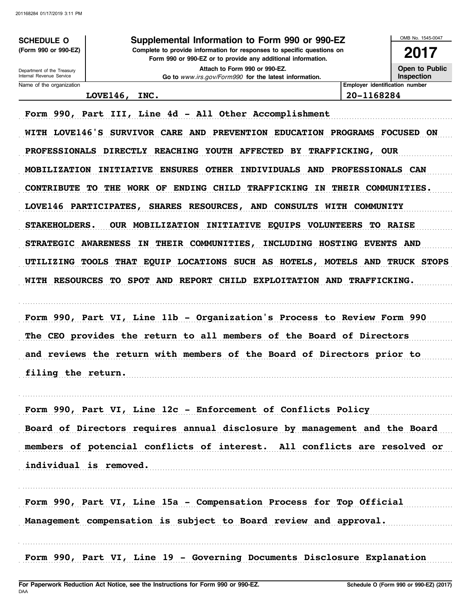**SCHEDULE O** (Form 990 or 990-EZ)

#### Supplemental Information to Form 990 or 990-EZ

Complete to provide information for responses to specific questions on Form 990 or 990-EZ or to provide any additional information.

> Attach to Form 990 or 990-EZ. Go to www.irs.gov/Form990 for the latest information.

OMB No. 1545-0047

2017

Open to Public Inspection

Department of the Treasury Internal Revenue Service Name of the organization

### $LOVE146$ ,  $INC.$

20-1168284

Employer identification number

Form 990, Part III, Line 4d - All Other Accomplishment WITH LOVE146'S SURVIVOR CARE AND PREVENTION EDUCATION PROGRAMS FOCUSED ON PROFESSIONALS DIRECTLY REACHING YOUTH AFFECTED BY TRAFFICKING, OUR MOBILIZATION INITIATIVE ENSURES OTHER INDIVIDUALS AND PROFESSIONALS CAN CONTRIBUTE TO THE WORK OF ENDING CHILD TRAFFICKING IN THEIR COMMUNITIES. LOVE146 PARTICIPATES, SHARES RESOURCES, AND CONSULTS WITH COMMUNITY STAKEHOLDERS. OUR MOBILIZATION INITIATIVE EQUIPS VOLUNTEERS TO RAISE STRATEGIC AWARENESS IN THEIR COMMUNITIES, INCLUDING HOSTING EVENTS AND UTILIZING TOOLS THAT EQUIP LOCATIONS SUCH AS HOTELS, MOTELS AND TRUCK STOPS WITH RESOURCES TO SPOT AND REPORT CHILD EXPLOITATION AND TRAFFICKING.

Form 990, Part VI, Line 11b - Organization's Process to Review Form 990 The CEO provides the return to all members of the Board of Directors and reviews the return with members of the Board of Directors prior to filing the return.

Form 990, Part VI, Line 12c - Enforcement of Conflicts Policy Board of Directors requires annual disclosure by management and the Board members of potencial conflicts of interest. All conflicts are resolved or individual is removed.

Form 990, Part VI, Line 15a - Compensation Process for Top Official Management compensation is subject to Board review and approval.

Form 990, Part VI, Line 19 - Governing Documents Disclosure Explanation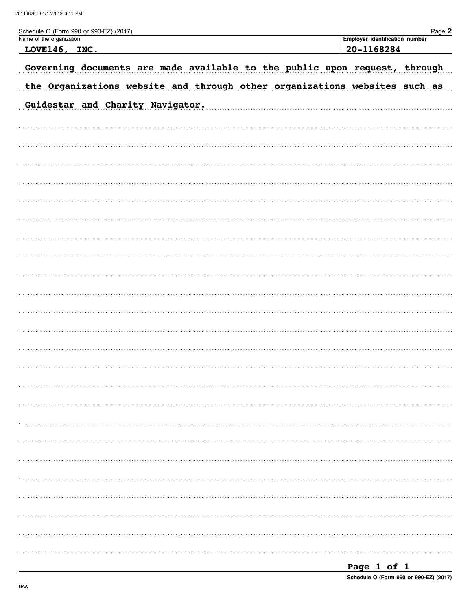| Schedule O (Form 990 or 990-EZ) (2017)<br>Name of the organization         | Employer identification number | Page 2 |
|----------------------------------------------------------------------------|--------------------------------|--------|
| LOVE146, INC.                                                              | 20-1168284                     |        |
| Governing documents are made available to the public upon request, through |                                |        |
| the Organizations website and through other organizations websites such as |                                |        |
| Guidestar and Charity Navigator.                                           |                                |        |
|                                                                            |                                |        |
|                                                                            |                                |        |
|                                                                            |                                |        |
|                                                                            |                                |        |
|                                                                            |                                |        |
|                                                                            |                                |        |
|                                                                            |                                |        |
|                                                                            |                                |        |
|                                                                            |                                |        |
|                                                                            |                                |        |
|                                                                            |                                |        |
|                                                                            |                                |        |
|                                                                            |                                |        |
|                                                                            |                                |        |
|                                                                            |                                |        |
|                                                                            |                                |        |
|                                                                            |                                |        |
|                                                                            |                                |        |
|                                                                            |                                |        |
|                                                                            |                                |        |
|                                                                            |                                |        |
|                                                                            |                                |        |
|                                                                            |                                |        |
|                                                                            |                                |        |
|                                                                            |                                |        |
|                                                                            |                                |        |
|                                                                            |                                |        |
|                                                                            |                                |        |